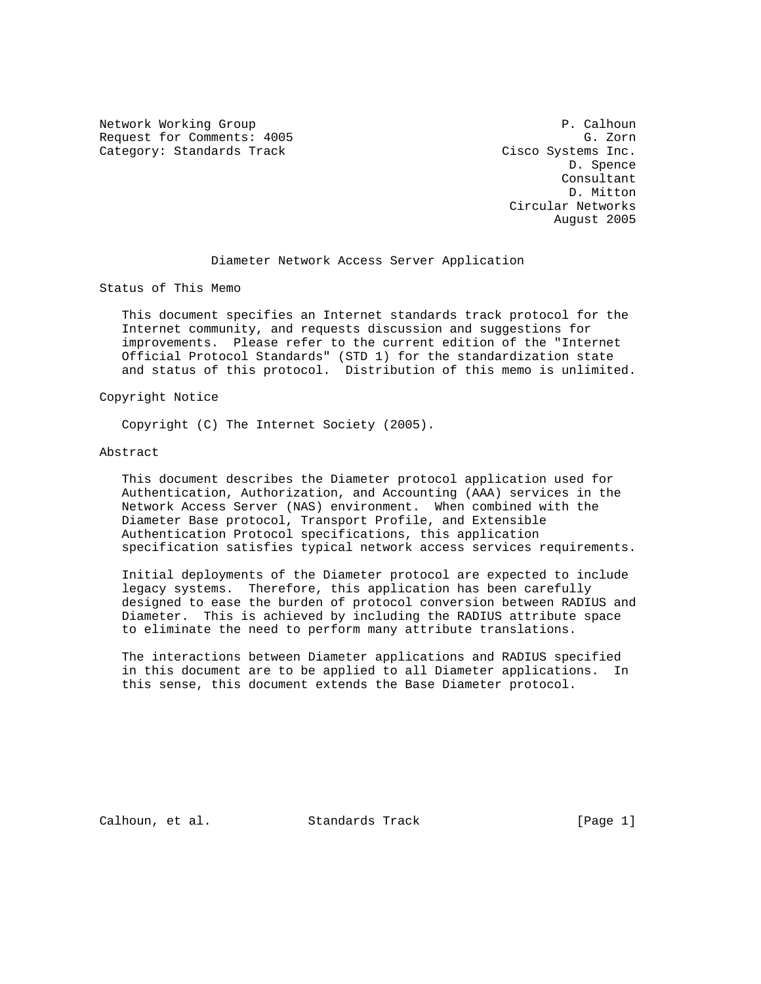Network Working Group **P. Calhoun** P. Calhoun Request for Comments: 4005 G. Zorn Category: Standards Track Cisco Systems Inc.

 D. Spence Consultant D. Mitton Circular Networks August 2005

#### Diameter Network Access Server Application

Status of This Memo

 This document specifies an Internet standards track protocol for the Internet community, and requests discussion and suggestions for improvements. Please refer to the current edition of the "Internet Official Protocol Standards" (STD 1) for the standardization state and status of this protocol. Distribution of this memo is unlimited.

Copyright Notice

Copyright (C) The Internet Society (2005).

#### Abstract

 This document describes the Diameter protocol application used for Authentication, Authorization, and Accounting (AAA) services in the Network Access Server (NAS) environment. When combined with the Diameter Base protocol, Transport Profile, and Extensible Authentication Protocol specifications, this application specification satisfies typical network access services requirements.

 Initial deployments of the Diameter protocol are expected to include legacy systems. Therefore, this application has been carefully designed to ease the burden of protocol conversion between RADIUS and Diameter. This is achieved by including the RADIUS attribute space to eliminate the need to perform many attribute translations.

 The interactions between Diameter applications and RADIUS specified in this document are to be applied to all Diameter applications. In this sense, this document extends the Base Diameter protocol.

Calhoun, et al. Standards Track [Page 1]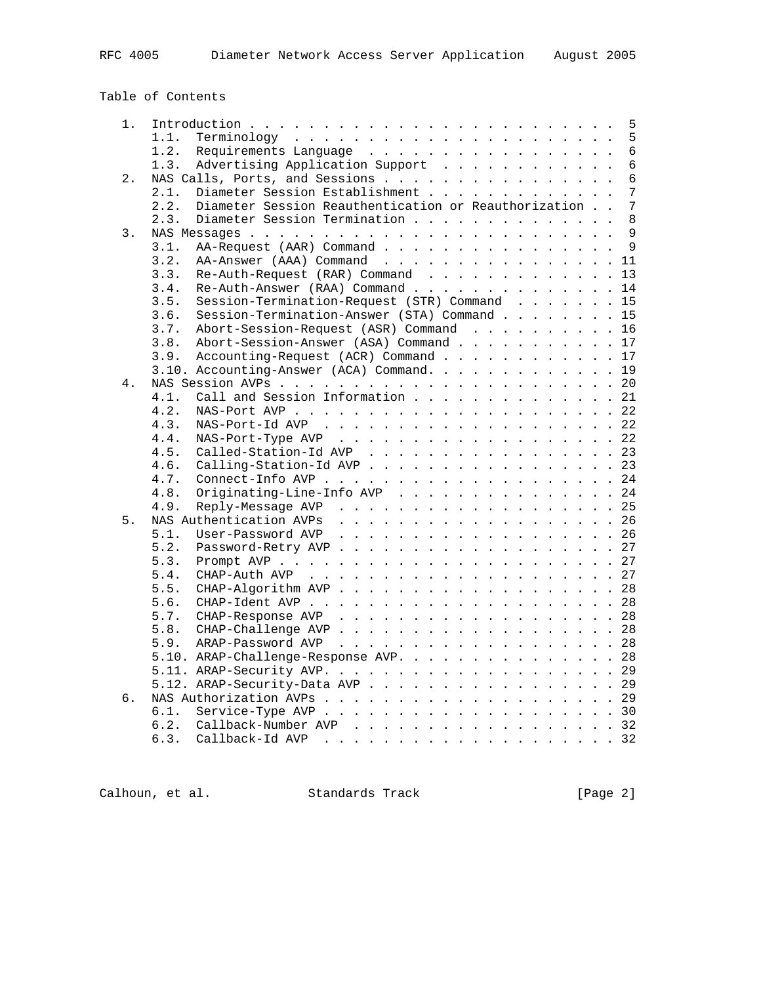Table of Contents

| 1.   | 5                                                                              |
|------|--------------------------------------------------------------------------------|
|      | 5<br>1.1.                                                                      |
|      | $6\phantom{1}$<br>Requirements Language<br>1.2.                                |
|      | $\overline{6}$<br>Advertising Application Support<br>1.3.                      |
| 2.   | $\overline{6}$<br>NAS Calls, Ports, and Sessions                               |
|      | 7<br>Diameter Session Establishment<br>2.1.                                    |
|      | $\overline{7}$<br>Diameter Session Reauthentication or Reauthorization<br>2.2. |
|      | Diameter Session Termination<br>8<br>2.3.                                      |
| 3.   | 9                                                                              |
|      | $\overline{9}$<br>3.1.<br>AA-Request (AAR) Command                             |
|      | 3.2.<br>AA-Answer (AAA) Command 11                                             |
|      | Re-Auth-Request (RAR) Command<br>3.3.<br>13                                    |
|      | Re-Auth-Answer (RAA) Command<br>3.4.<br>14                                     |
|      | Session-Termination-Request (STR) Command 15<br>3.5.                           |
|      | Session-Termination-Answer (STA) Command 15<br>3.6.                            |
|      |                                                                                |
|      | Abort-Session-Request (ASR) Command 16<br>3.7.                                 |
|      | Abort-Session-Answer (ASA) Command 17<br>3.8.                                  |
|      | Accounting-Request (ACR) Command 17<br>3.9.                                    |
|      | 3.10. Accounting-Answer (ACA) Command.<br>19                                   |
| 4.   | 20                                                                             |
|      | Call and Session Information 21<br>4.1.                                        |
|      | 22<br>4.2.                                                                     |
|      | 4.3.<br>22                                                                     |
|      | NAS-Port-Type AVP 22<br>4.4.                                                   |
|      | Called-Station-Id AVP 23<br>4.5.                                               |
|      | 4.6.<br>Calling-Station-Id AVP 23                                              |
|      | 4.7.<br>24                                                                     |
|      | Originating-Line-Info AVP<br>24<br>4.8.                                        |
|      | 4.9.<br>Reply-Message AVP 25                                                   |
| $5.$ | NAS Authentication AVPs 26                                                     |
|      | 5.1.<br>26                                                                     |
|      | 5.2.<br>27                                                                     |
|      | 27<br>5.3.                                                                     |
|      | 5.4.                                                                           |
|      | 5.5.<br>28                                                                     |
|      | 5.6.<br>28                                                                     |
|      | CHAP-Response AVP 28<br>5.7.                                                   |
|      | 28<br>5.8.                                                                     |
|      | 5.9.<br>28                                                                     |
|      | 5.10. ARAP-Challenge-Response AVP.<br>28                                       |
|      | 29                                                                             |
|      |                                                                                |
|      | 5.12. ARAP-Security-Data AVP 29                                                |
| б.   | 29                                                                             |
|      | 6.1.<br>30                                                                     |
|      | Callback-Number AVP 32<br>6.2.                                                 |
|      | 6.3.                                                                           |

Calhoun, et al. Standards Track [Page 2]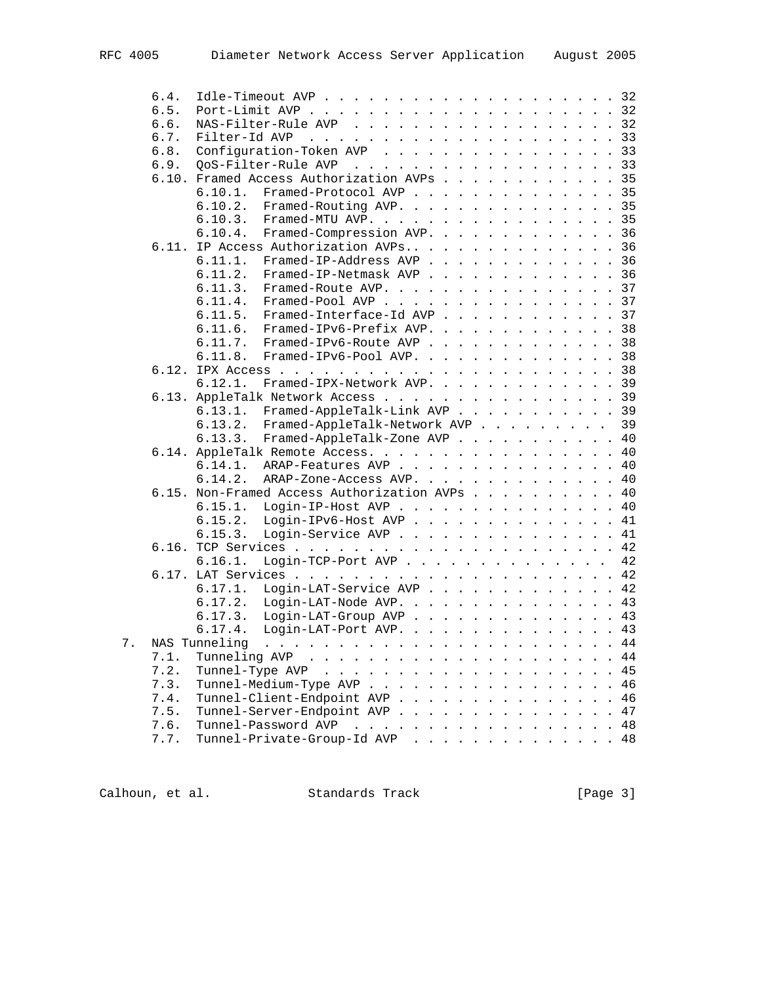|       | 6.4.  |                                                                                                                                                                                                                                                             |  |
|-------|-------|-------------------------------------------------------------------------------------------------------------------------------------------------------------------------------------------------------------------------------------------------------------|--|
|       | 6.5.  |                                                                                                                                                                                                                                                             |  |
|       | 6.6.  | NAS-Filter-Rule AVP 32                                                                                                                                                                                                                                      |  |
|       | 6.7.  | 33<br>Filter-Id AVP                                                                                                                                                                                                                                         |  |
|       | 6.8.  | Configuration-Token AVP<br>33                                                                                                                                                                                                                               |  |
|       | 6.9.  | 33<br>OoS-Filter-Rule AVP<br>the contract of the contract of the contract of the contract of the contract of the contract of the contract of the contract of the contract of the contract of the contract of the contract of the contract of the contract o |  |
|       |       | 6.10. Framed Access Authorization AVPs 35                                                                                                                                                                                                                   |  |
|       |       | Framed-Protocol AVP 35<br>6.10.1.                                                                                                                                                                                                                           |  |
|       |       | Framed-Routing AVP. 35<br>6.10.2.                                                                                                                                                                                                                           |  |
|       |       | 35<br>6.10.3.<br>Framed-MTU AVP.                                                                                                                                                                                                                            |  |
|       |       | 36<br>6.10.4.<br>Framed-Compression AVP.                                                                                                                                                                                                                    |  |
|       |       | 6.11. IP Access Authorization AVPs<br>36                                                                                                                                                                                                                    |  |
|       |       |                                                                                                                                                                                                                                                             |  |
|       |       | 6.11.1.<br>Framed-IP-Address AVP 36                                                                                                                                                                                                                         |  |
|       |       | Framed-IP-Netmask AVP 36<br>6.11.2.                                                                                                                                                                                                                         |  |
|       |       | Framed-Route AVP. 37<br>6.11.3.                                                                                                                                                                                                                             |  |
|       |       | 6.11.4.<br>Framed-Pool AVP<br>37                                                                                                                                                                                                                            |  |
|       |       | Framed-Interface-Id AVP<br>37<br>6.11.5.                                                                                                                                                                                                                    |  |
|       |       | 6.11.6.<br>Framed-IPv6-Prefix AVP. 38                                                                                                                                                                                                                       |  |
|       |       | 6.11.7.<br>Framed-IPv6-Route AVP 38                                                                                                                                                                                                                         |  |
|       |       | Framed-IPv6-Pool AVP. 38<br>6.11.8.                                                                                                                                                                                                                         |  |
|       |       |                                                                                                                                                                                                                                                             |  |
|       |       | 6.12.1.<br>Framed-IPX-Network AVP. 39                                                                                                                                                                                                                       |  |
|       |       | 6.13. AppleTalk Network Access 39                                                                                                                                                                                                                           |  |
|       |       | Framed-AppleTalk-Link AVP 39<br>6.13.1.                                                                                                                                                                                                                     |  |
|       |       | 39<br>6.13.2.<br>Framed-AppleTalk-Network AVP                                                                                                                                                                                                               |  |
|       |       | Framed-AppleTalk-Zone AVP 40<br>6.13.3.                                                                                                                                                                                                                     |  |
|       |       | 6.14. AppleTalk Remote Access. 40                                                                                                                                                                                                                           |  |
|       |       | 40<br>6.14.1.<br>ARAP-Features AVP                                                                                                                                                                                                                          |  |
|       |       | 40<br>6.14.2.<br>ARAP-Zone-Access AVP.                                                                                                                                                                                                                      |  |
|       |       | 6.15. Non-Framed Access Authorization AVPs 40                                                                                                                                                                                                               |  |
|       |       |                                                                                                                                                                                                                                                             |  |
|       |       | 6.15.1. Login-IP-Host AVP 40                                                                                                                                                                                                                                |  |
|       |       | 6.15.2. Login-IPv6-Host AVP 41                                                                                                                                                                                                                              |  |
|       |       | Login-Service AVP 41<br>6.15.3.                                                                                                                                                                                                                             |  |
|       | 6.16. |                                                                                                                                                                                                                                                             |  |
|       |       | Login-TCP-Port AVP<br>42<br>6.16.1.                                                                                                                                                                                                                         |  |
|       |       |                                                                                                                                                                                                                                                             |  |
|       |       | 6.17.1.<br>Login-LAT-Service AVP 42                                                                                                                                                                                                                         |  |
|       |       | Login-LAT-Node AVP. 43<br>6.17.2.                                                                                                                                                                                                                           |  |
|       |       | Login-LAT-Group AVP 43<br>6.17.3.                                                                                                                                                                                                                           |  |
|       |       | Login-LAT-Port AVP. 43<br>6.17.4.                                                                                                                                                                                                                           |  |
| $7$ . |       | 44<br>NAS Tunneling<br>. The contract of the contract of the contract of the contract of the contract of the contract of the contract of the contract of the contract of the contract of the contract of the contract of the contract of the contrac        |  |
|       | 7.1.  | 44                                                                                                                                                                                                                                                          |  |
|       | 7.2.  | 45<br>Tunnel-Type AVP<br>$\cdot$ $\cdot$ $\cdot$ $\cdot$                                                                                                                                                                                                    |  |
|       | 7.3.  | 46<br>Tunnel-Medium-Type AVP                                                                                                                                                                                                                                |  |
|       | 7.4.  | 46<br>Tunnel-Client-Endpoint AVP                                                                                                                                                                                                                            |  |
|       | 7.5.  | Tunnel-Server-Endpoint AVP<br>47                                                                                                                                                                                                                            |  |
|       | 7.6.  | Tunnel-Password AVP<br>48                                                                                                                                                                                                                                   |  |
|       |       | $\mathcal{L}^{\mathcal{A}}$ . The contribution of the contribution of the contribution of $\mathcal{L}^{\mathcal{A}}$                                                                                                                                       |  |
|       | 7.7.  | Tunnel-Private-Group-Id AVP 48                                                                                                                                                                                                                              |  |

Calhoun, et al. Standards Track [Page 3]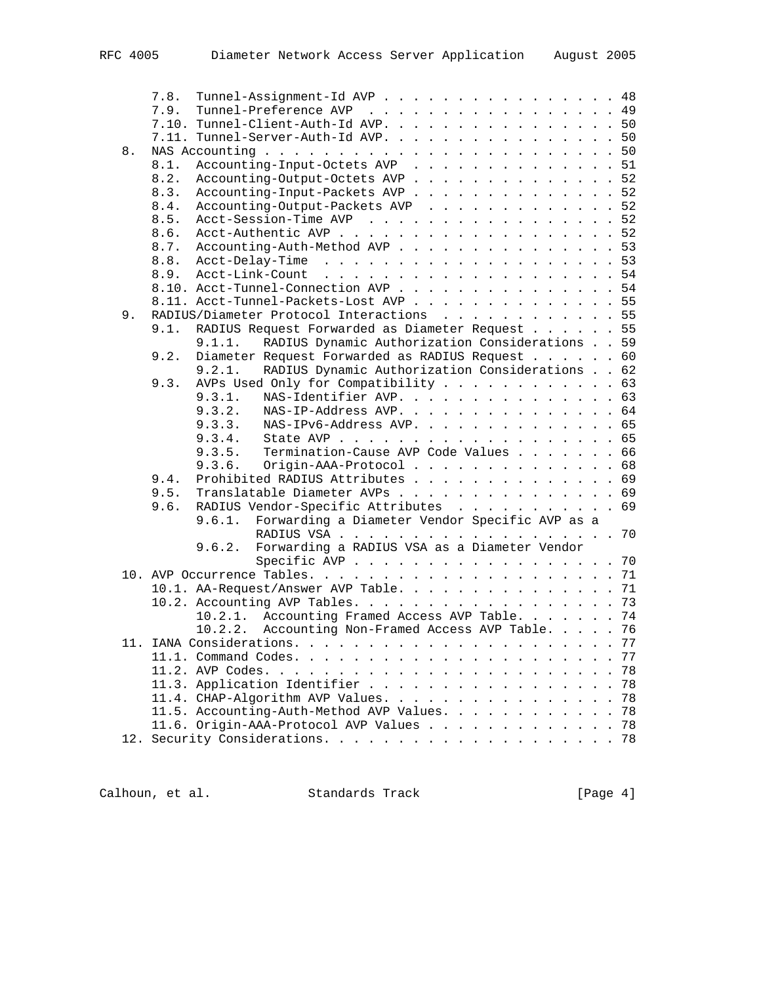|    | Tunnel-Assignment-Id AVP 48<br>7.8.                      |    |
|----|----------------------------------------------------------|----|
|    | Tunnel-Preference AVP 49<br>7.9.                         |    |
|    | 7.10. Tunnel-Client-Auth-Id AVP. 50                      |    |
|    | 7.11. Tunnel-Server-Auth-Id AVP. 50                      |    |
| 8. |                                                          |    |
|    | Accounting-Input-Octets AVP 51<br>8.1.                   |    |
|    | Accounting-Output-Octets AVP 52<br>8.2.                  |    |
|    | Accounting-Input-Packets AVP 52<br>8.3.                  |    |
|    | Accounting-Output-Packets AVP 52<br>8.4.                 |    |
|    | Acct-Session-Time AVP 52<br>8.5.                         |    |
|    | Acct-Authentic AVP 52<br>8.6.                            |    |
|    | Accounting-Auth-Method AVP 53<br>8.7.                    |    |
|    |                                                          |    |
|    |                                                          |    |
|    | 8.10. Acct-Tunnel-Connection AVP 54                      |    |
|    | 8.11. Acct-Tunnel-Packets-Lost AVP 55                    |    |
| 9. | RADIUS/Diameter Protocol Interactions 55                 |    |
|    | RADIUS Request Forwarded as Diameter Request 55<br>9.1.  |    |
|    | RADIUS Dynamic Authorization Considerations 59<br>9.1.1. |    |
|    |                                                          |    |
|    | Diameter Request Forwarded as RADIUS Request 60<br>9.2.  |    |
|    | RADIUS Dynamic Authorization Considerations 62<br>9.2.1. |    |
|    | AVPs Used Only for Compatibility 63<br>9.3.              |    |
|    | NAS-Identifier AVP. 63<br>9.3.1.                         |    |
|    | 9.3.2.<br>NAS-IP-Address AVP. 64                         |    |
|    | NAS-IPv6-Address AVP. 65<br>9.3.3.                       |    |
|    |                                                          |    |
|    | 9.3.5. Termination-Cause AVP Code Values 66              |    |
|    | Origin-AAA-Protocol 68<br>9.3.6.                         |    |
|    | Prohibited RADIUS Attributes 69<br>9.4.                  |    |
|    | Translatable Diameter AVPs 69<br>9.5.                    |    |
|    | RADIUS Vendor-Specific Attributes 69<br>9.6.             |    |
|    | Forwarding a Diameter Vendor Specific AVP as a<br>9.6.1. |    |
|    |                                                          |    |
|    | Forwarding a RADIUS VSA as a Diameter Vendor<br>9.6.2.   |    |
|    | Specific AVP 70                                          |    |
|    |                                                          |    |
|    | 10.1. AA-Request/Answer AVP Table. 71                    |    |
|    | 10.2. Accounting AVP Tables. 73                          |    |
|    | 10.2.1. Accounting Framed Access AVP Table. 74           |    |
|    | 10.2.2. Accounting Non-Framed Access AVP Table. 76       |    |
|    |                                                          | 77 |
|    | 11.1. Command Codes.                                     | 77 |
|    | 11.2. AVP Codes.                                         | 78 |
|    | 11.3. Application Identifier                             | 78 |
|    | 11.4. CHAP-Algorithm AVP Values.                         | 78 |
|    | 11.5. Accounting-Auth-Method AVP Values.                 | 78 |
|    | 11.6. Origin-AAA-Protocol AVP Values<br>78               |    |
|    |                                                          |    |
|    |                                                          |    |

Calhoun, et al. Standards Track [Page 4]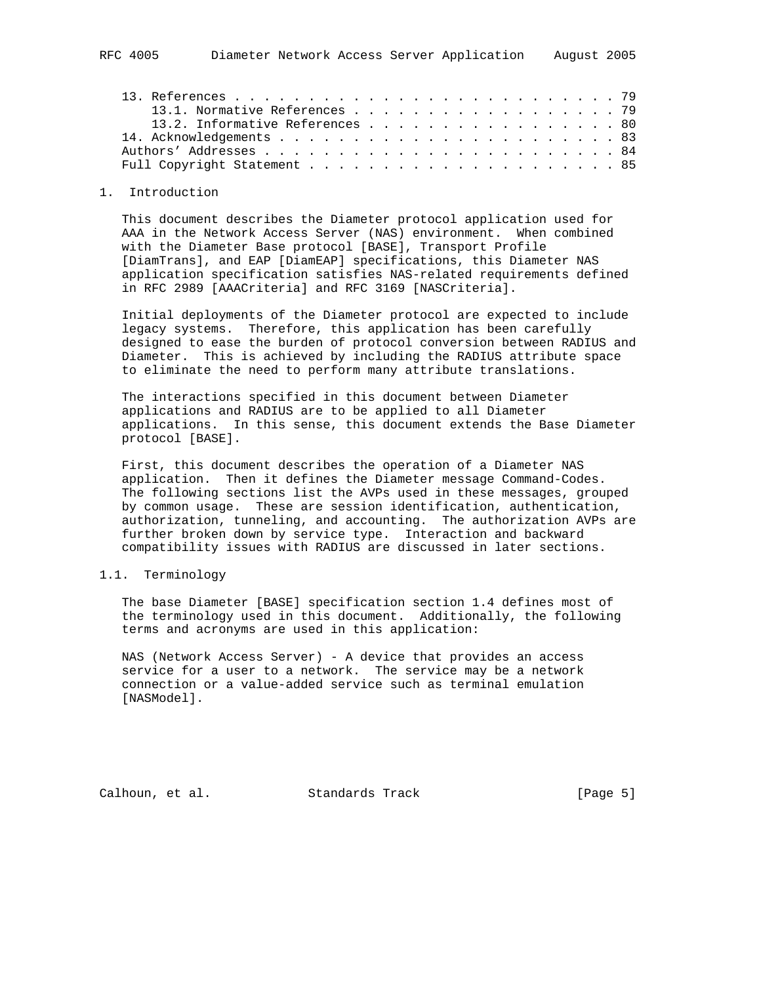|  | 13.1. Normative References 79   |  |  |  |  |  |  |  |  |  |  |  |  |
|--|---------------------------------|--|--|--|--|--|--|--|--|--|--|--|--|
|  | 13.2. Informative References 80 |  |  |  |  |  |  |  |  |  |  |  |  |
|  |                                 |  |  |  |  |  |  |  |  |  |  |  |  |
|  |                                 |  |  |  |  |  |  |  |  |  |  |  |  |
|  |                                 |  |  |  |  |  |  |  |  |  |  |  |  |

#### 1. Introduction

 This document describes the Diameter protocol application used for AAA in the Network Access Server (NAS) environment. When combined with the Diameter Base protocol [BASE], Transport Profile [DiamTrans], and EAP [DiamEAP] specifications, this Diameter NAS application specification satisfies NAS-related requirements defined in RFC 2989 [AAACriteria] and RFC 3169 [NASCriteria].

 Initial deployments of the Diameter protocol are expected to include legacy systems. Therefore, this application has been carefully designed to ease the burden of protocol conversion between RADIUS and Diameter. This is achieved by including the RADIUS attribute space to eliminate the need to perform many attribute translations.

 The interactions specified in this document between Diameter applications and RADIUS are to be applied to all Diameter applications. In this sense, this document extends the Base Diameter protocol [BASE].

 First, this document describes the operation of a Diameter NAS application. Then it defines the Diameter message Command-Codes. The following sections list the AVPs used in these messages, grouped by common usage. These are session identification, authentication, authorization, tunneling, and accounting. The authorization AVPs are further broken down by service type. Interaction and backward compatibility issues with RADIUS are discussed in later sections.

### 1.1. Terminology

 The base Diameter [BASE] specification section 1.4 defines most of the terminology used in this document. Additionally, the following terms and acronyms are used in this application:

 NAS (Network Access Server) - A device that provides an access service for a user to a network. The service may be a network connection or a value-added service such as terminal emulation [NASModel].

Calhoun, et al. Standards Track [Page 5]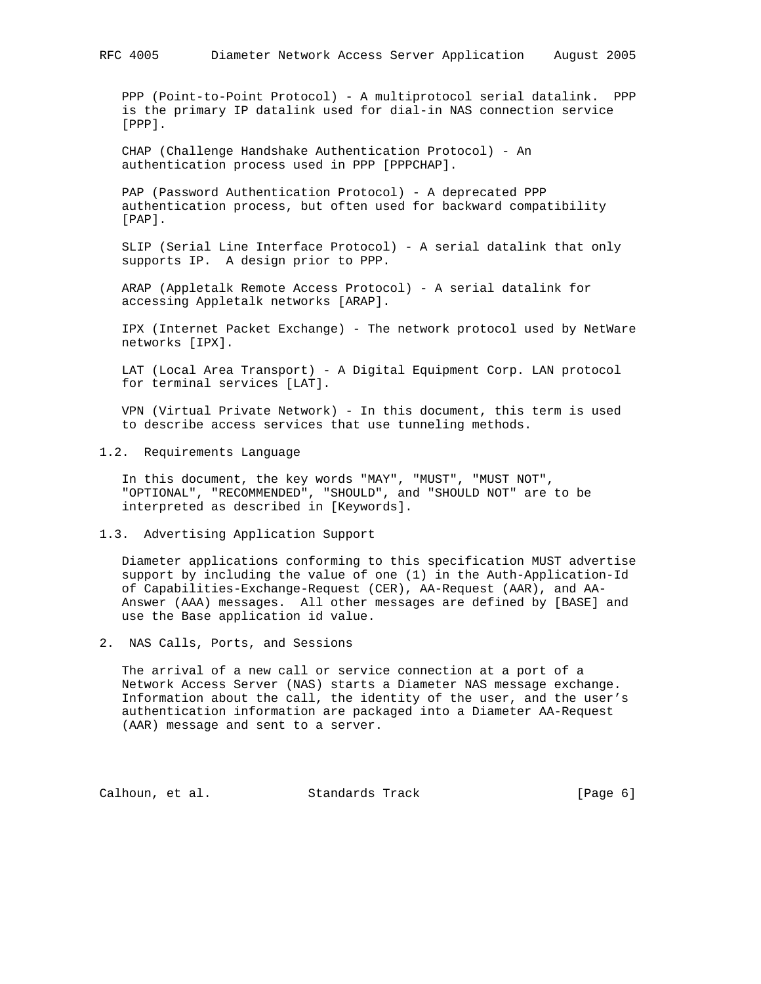PPP (Point-to-Point Protocol) - A multiprotocol serial datalink. PPP is the primary IP datalink used for dial-in NAS connection service [PPP].

 CHAP (Challenge Handshake Authentication Protocol) - An authentication process used in PPP [PPPCHAP].

 PAP (Password Authentication Protocol) - A deprecated PPP authentication process, but often used for backward compatibility [PAP].

 SLIP (Serial Line Interface Protocol) - A serial datalink that only supports IP. A design prior to PPP.

 ARAP (Appletalk Remote Access Protocol) - A serial datalink for accessing Appletalk networks [ARAP].

 IPX (Internet Packet Exchange) - The network protocol used by NetWare networks [IPX].

 LAT (Local Area Transport) - A Digital Equipment Corp. LAN protocol for terminal services [LAT].

 VPN (Virtual Private Network) - In this document, this term is used to describe access services that use tunneling methods.

1.2. Requirements Language

 In this document, the key words "MAY", "MUST", "MUST NOT", "OPTIONAL", "RECOMMENDED", "SHOULD", and "SHOULD NOT" are to be interpreted as described in [Keywords].

1.3. Advertising Application Support

 Diameter applications conforming to this specification MUST advertise support by including the value of one (1) in the Auth-Application-Id of Capabilities-Exchange-Request (CER), AA-Request (AAR), and AA- Answer (AAA) messages. All other messages are defined by [BASE] and use the Base application id value.

2. NAS Calls, Ports, and Sessions

 The arrival of a new call or service connection at a port of a Network Access Server (NAS) starts a Diameter NAS message exchange. Information about the call, the identity of the user, and the user's authentication information are packaged into a Diameter AA-Request (AAR) message and sent to a server.

Calhoun, et al. Standards Track [Page 6]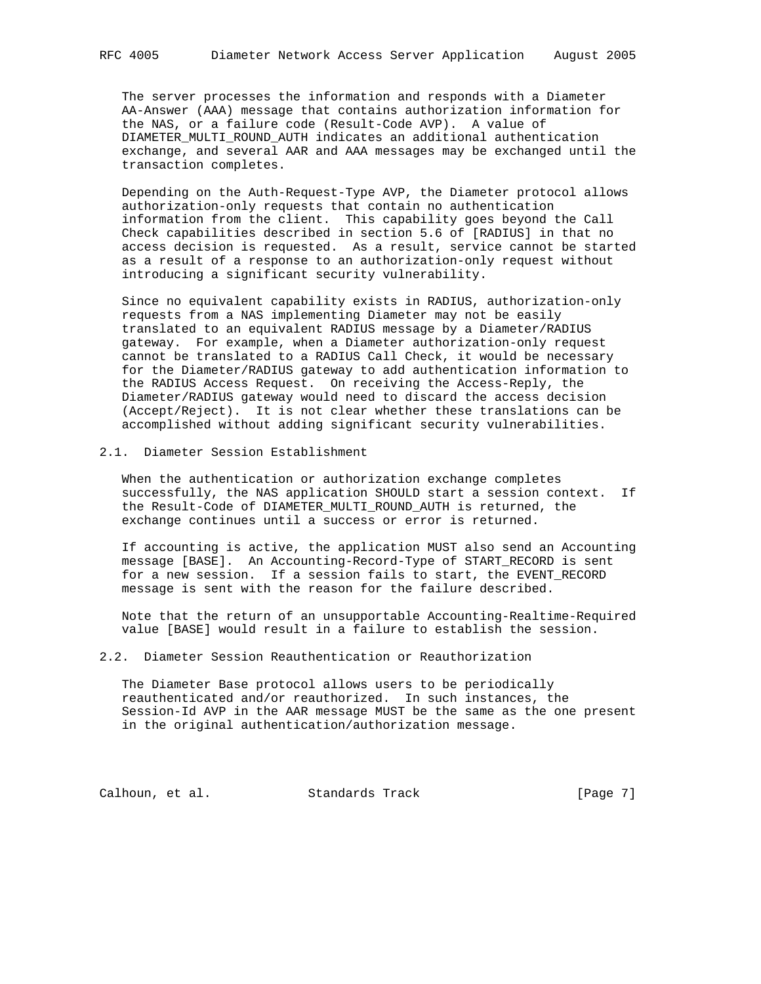The server processes the information and responds with a Diameter AA-Answer (AAA) message that contains authorization information for the NAS, or a failure code (Result-Code AVP). A value of DIAMETER\_MULTI\_ROUND\_AUTH indicates an additional authentication exchange, and several AAR and AAA messages may be exchanged until the transaction completes.

 Depending on the Auth-Request-Type AVP, the Diameter protocol allows authorization-only requests that contain no authentication information from the client. This capability goes beyond the Call Check capabilities described in section 5.6 of [RADIUS] in that no access decision is requested. As a result, service cannot be started as a result of a response to an authorization-only request without introducing a significant security vulnerability.

 Since no equivalent capability exists in RADIUS, authorization-only requests from a NAS implementing Diameter may not be easily translated to an equivalent RADIUS message by a Diameter/RADIUS gateway. For example, when a Diameter authorization-only request cannot be translated to a RADIUS Call Check, it would be necessary for the Diameter/RADIUS gateway to add authentication information to the RADIUS Access Request. On receiving the Access-Reply, the Diameter/RADIUS gateway would need to discard the access decision (Accept/Reject). It is not clear whether these translations can be accomplished without adding significant security vulnerabilities.

## 2.1. Diameter Session Establishment

 When the authentication or authorization exchange completes successfully, the NAS application SHOULD start a session context. If the Result-Code of DIAMETER\_MULTI\_ROUND\_AUTH is returned, the exchange continues until a success or error is returned.

 If accounting is active, the application MUST also send an Accounting message [BASE]. An Accounting-Record-Type of START\_RECORD is sent for a new session. If a session fails to start, the EVENT\_RECORD message is sent with the reason for the failure described.

 Note that the return of an unsupportable Accounting-Realtime-Required value [BASE] would result in a failure to establish the session.

# 2.2. Diameter Session Reauthentication or Reauthorization

 The Diameter Base protocol allows users to be periodically reauthenticated and/or reauthorized. In such instances, the Session-Id AVP in the AAR message MUST be the same as the one present in the original authentication/authorization message.

Calhoun, et al. Standards Track [Page 7]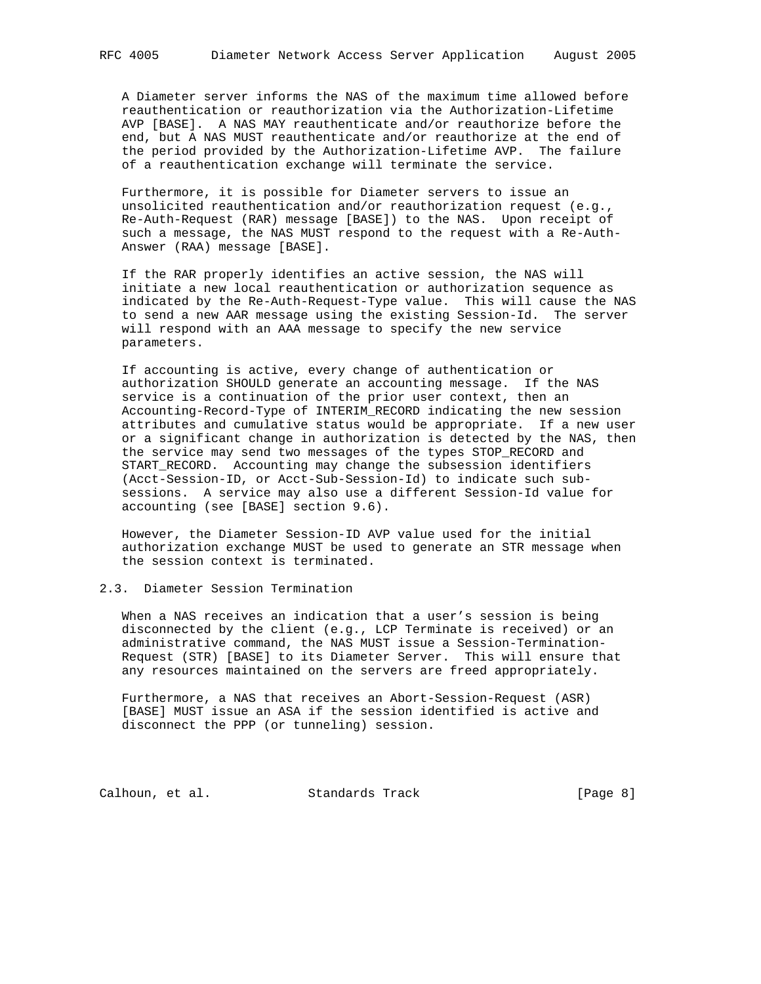A Diameter server informs the NAS of the maximum time allowed before reauthentication or reauthorization via the Authorization-Lifetime AVP [BASE]. A NAS MAY reauthenticate and/or reauthorize before the end, but A NAS MUST reauthenticate and/or reauthorize at the end of the period provided by the Authorization-Lifetime AVP. The failure of a reauthentication exchange will terminate the service.

 Furthermore, it is possible for Diameter servers to issue an unsolicited reauthentication and/or reauthorization request (e.g., Re-Auth-Request (RAR) message [BASE]) to the NAS. Upon receipt of such a message, the NAS MUST respond to the request with a Re-Auth- Answer (RAA) message [BASE].

 If the RAR properly identifies an active session, the NAS will initiate a new local reauthentication or authorization sequence as indicated by the Re-Auth-Request-Type value. This will cause the NAS to send a new AAR message using the existing Session-Id. The server will respond with an AAA message to specify the new service parameters.

 If accounting is active, every change of authentication or authorization SHOULD generate an accounting message. If the NAS service is a continuation of the prior user context, then an Accounting-Record-Type of INTERIM\_RECORD indicating the new session attributes and cumulative status would be appropriate. If a new user or a significant change in authorization is detected by the NAS, then the service may send two messages of the types STOP\_RECORD and START RECORD. Accounting may change the subsession identifiers (Acct-Session-ID, or Acct-Sub-Session-Id) to indicate such sub sessions. A service may also use a different Session-Id value for accounting (see [BASE] section 9.6).

 However, the Diameter Session-ID AVP value used for the initial authorization exchange MUST be used to generate an STR message when the session context is terminated.

# 2.3. Diameter Session Termination

 When a NAS receives an indication that a user's session is being disconnected by the client (e.g., LCP Terminate is received) or an administrative command, the NAS MUST issue a Session-Termination- Request (STR) [BASE] to its Diameter Server. This will ensure that any resources maintained on the servers are freed appropriately.

 Furthermore, a NAS that receives an Abort-Session-Request (ASR) [BASE] MUST issue an ASA if the session identified is active and disconnect the PPP (or tunneling) session.

Calhoun, et al. Standards Track [Page 8]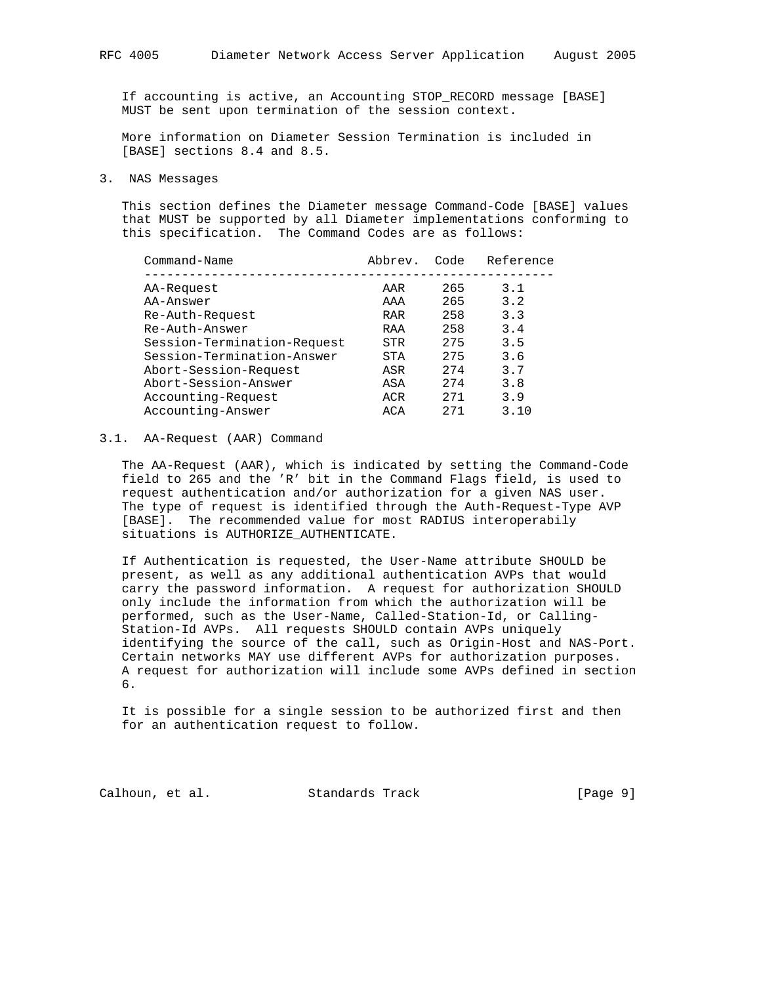If accounting is active, an Accounting STOP\_RECORD message [BASE] MUST be sent upon termination of the session context.

 More information on Diameter Session Termination is included in [BASE] sections 8.4 and 8.5.

3. NAS Messages

 This section defines the Diameter message Command-Code [BASE] values that MUST be supported by all Diameter implementations conforming to this specification. The Command Codes are as follows:

| Command-Name                | Abbrev.    | Code | Reference |
|-----------------------------|------------|------|-----------|
| AA-Request                  | AAR        | 265  | 3.1       |
| AA-Answer                   | AAA        | 265  | 3.2       |
| Re-Auth-Request             | <b>RAR</b> | 258  | 3.3       |
| Re-Auth-Answer              | RAA        | 258  | 3.4       |
| Session-Termination-Request | STR        | 275  | 3.5       |
| Session-Termination-Answer  | <b>STA</b> | 275  | 3.6       |
| Abort-Session-Request       | ASR        | 274  | 3.7       |
| Abort-Session-Answer        | ASA        | 274  | 3.8       |
| Accounting-Request          | ACR        | 271  | 3.9       |
| Accounting-Answer           | ACA        | 2.71 | 3.10      |
|                             |            |      |           |

### 3.1. AA-Request (AAR) Command

 The AA-Request (AAR), which is indicated by setting the Command-Code field to 265 and the 'R' bit in the Command Flags field, is used to request authentication and/or authorization for a given NAS user. The type of request is identified through the Auth-Request-Type AVP [BASE]. The recommended value for most RADIUS interoperabily situations is AUTHORIZE\_AUTHENTICATE.

 If Authentication is requested, the User-Name attribute SHOULD be present, as well as any additional authentication AVPs that would carry the password information. A request for authorization SHOULD only include the information from which the authorization will be performed, such as the User-Name, Called-Station-Id, or Calling- Station-Id AVPs. All requests SHOULD contain AVPs uniquely identifying the source of the call, such as Origin-Host and NAS-Port. Certain networks MAY use different AVPs for authorization purposes. A request for authorization will include some AVPs defined in section 6.

 It is possible for a single session to be authorized first and then for an authentication request to follow.

Calhoun, et al. Standards Track [Page 9]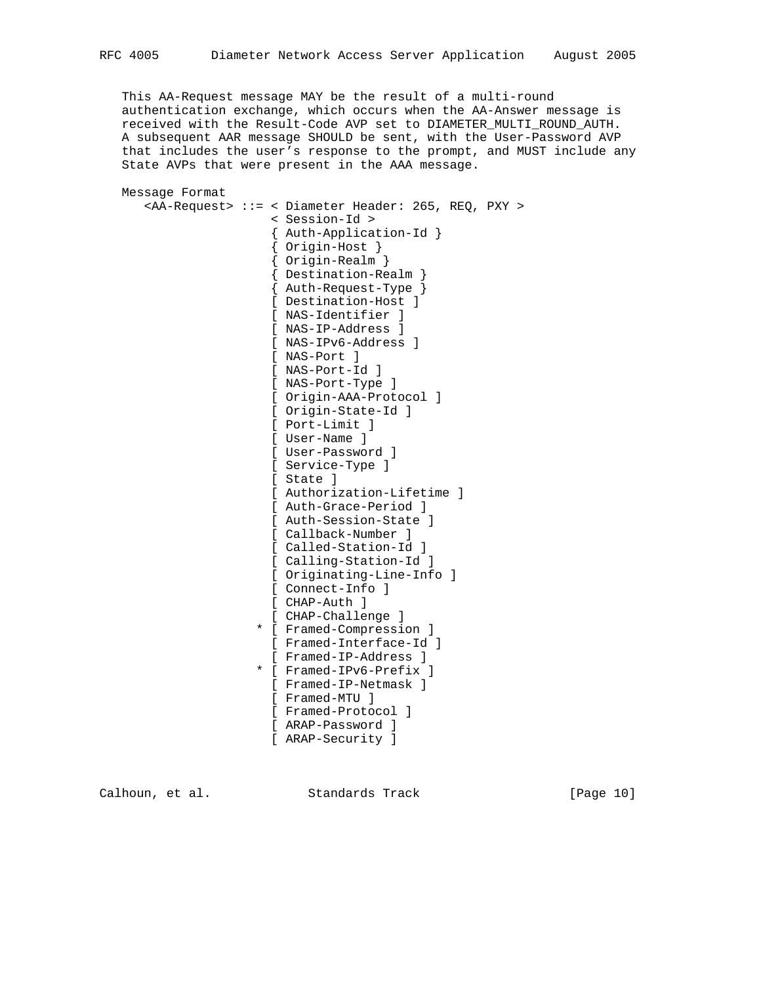This AA-Request message MAY be the result of a multi-round authentication exchange, which occurs when the AA-Answer message is received with the Result-Code AVP set to DIAMETER\_MULTI\_ROUND\_AUTH. A subsequent AAR message SHOULD be sent, with the User-Password AVP that includes the user's response to the prompt, and MUST include any State AVPs that were present in the AAA message.

```
 Message Format
```

```
 <AA-Request> ::= < Diameter Header: 265, REQ, PXY >
                      < Session-Id >
                       { Auth-Application-Id }
                       { Origin-Host }
                       { Origin-Realm }
{ Destination-Realm }
{ Auth-Request-Type }
                      [ Destination-Host ]
                      [ NAS-Identifier ]
                      [ NAS-IP-Address ]
                      [ NAS-IPv6-Address ]
                      [ NAS-Port ]
                      [ NAS-Port-Id ]
                      [ NAS-Port-Type ]
                      [ Origin-AAA-Protocol ]
                      [ Origin-State-Id ]
                      [ Port-Limit ]
                      [ User-Name ]
                      [ User-Password ]
                      [ Service-Type ]
                      [ State ]
                      [ Authorization-Lifetime ]
                      [ Auth-Grace-Period ]
                      [ Auth-Session-State ]
                       [ Callback-Number ]
                       [ Called-Station-Id ]
                       [ Calling-Station-Id ]
                       [ Originating-Line-Info ]
                      [ Connect-Info ]
                      [ CHAP-Auth ]
                       [ CHAP-Challenge ]
                     * [ Framed-Compression ]
                      [ Framed-Interface-Id ]
                      [ Framed-IP-Address ]
                     * [ Framed-IPv6-Prefix ]
                      [ Framed-IP-Netmask ]
                       [ Framed-MTU ]
                       [ Framed-Protocol ]
                      [ ARAP-Password ]
                       [ ARAP-Security ]
```
Calhoun, et al. Standards Track [Page 10]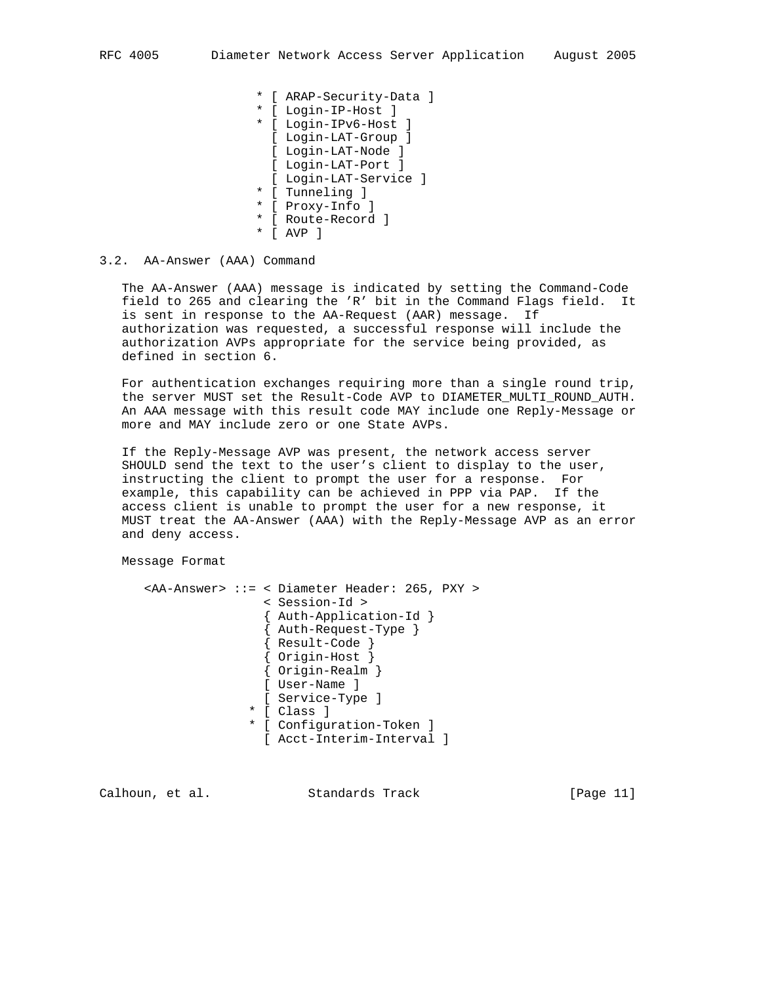- \* [ ARAP-Security-Data ]
- \* [ Login-IP-Host ]
- \* [ Login-IPv6-Host ] [ Login-LAT-Group ]
	- [ Login-LAT-Node ]
- [ Login-LAT-Port ]
	- [ Login-LAT-Service ]
- \* [ Tunneling ]
- \* [ Proxy-Info ]
- \* [ Route-Record ]
- \* [ AVP ]

### 3.2. AA-Answer (AAA) Command

 The AA-Answer (AAA) message is indicated by setting the Command-Code field to 265 and clearing the 'R' bit in the Command Flags field. It is sent in response to the AA-Request (AAR) message. If authorization was requested, a successful response will include the authorization AVPs appropriate for the service being provided, as defined in section 6.

 For authentication exchanges requiring more than a single round trip, the server MUST set the Result-Code AVP to DIAMETER\_MULTI\_ROUND\_AUTH. An AAA message with this result code MAY include one Reply-Message or more and MAY include zero or one State AVPs.

 If the Reply-Message AVP was present, the network access server SHOULD send the text to the user's client to display to the user, instructing the client to prompt the user for a response. For example, this capability can be achieved in PPP via PAP. If the access client is unable to prompt the user for a new response, it MUST treat the AA-Answer (AAA) with the Reply-Message AVP as an error and deny access.

## Message Format

```
 <AA-Answer> ::= < Diameter Header: 265, PXY >
                 < Session-Id >
                 { Auth-Application-Id }
                 { Auth-Request-Type }
                 { Result-Code }
                 { Origin-Host }
                 { Origin-Realm }
                [ User-Name ]
                [ Service-Type ]
               * [ Class ]
               * [ Configuration-Token ]
                [ Acct-Interim-Interval ]
```
Calhoun, et al. Standards Track [Page 11]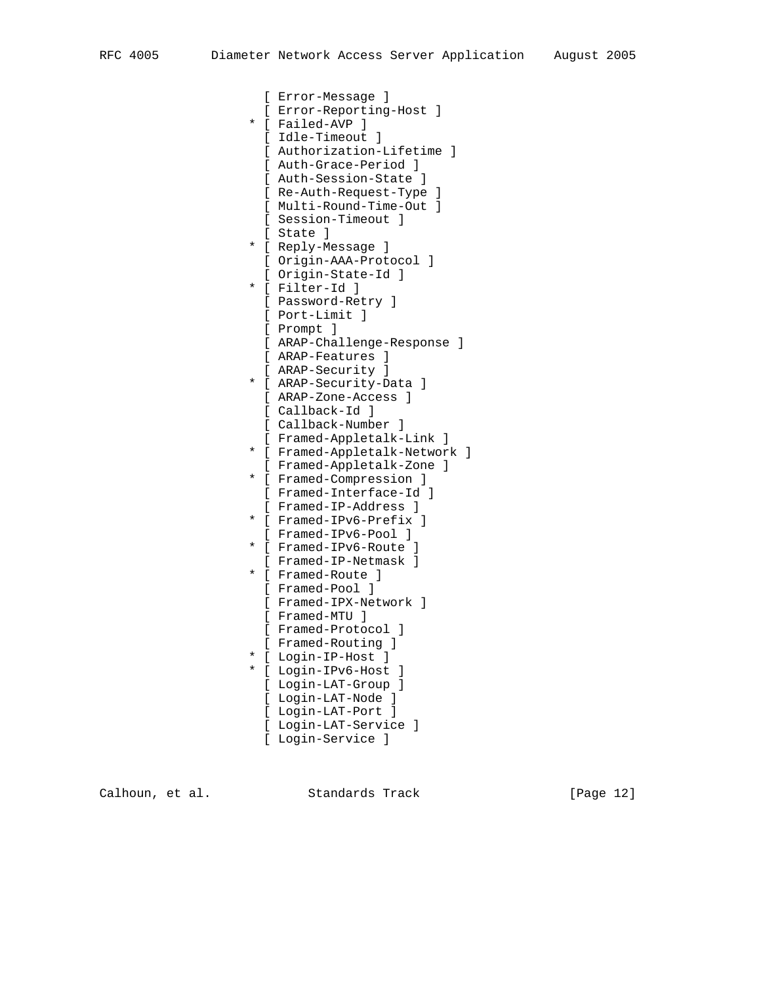[ Error-Message ] [ Error-Reporting-Host ] \* [ Failed-AVP ] [ Idle-Timeout ] [ Authorization-Lifetime ] [ Auth-Grace-Period ] [ Auth-Session-State ] [ Re-Auth-Request-Type ] [ Multi-Round-Time-Out ] [ Session-Timeout ] [ State ] \* [ Reply-Message ] [ Origin-AAA-Protocol ] [ Origin-State-Id ] \* [ Filter-Id ] [ Password-Retry ] [ Port-Limit ] [ Prompt ] [ ARAP-Challenge-Response ] [ ARAP-Features ] [ ARAP-Security ] \* [ ARAP-Security-Data ] [ ARAP-Zone-Access ] [ Callback-Id ] [ Callback-Number ] [ Framed-Appletalk-Link ] \* [ Framed-Appletalk-Network ] [ Framed-Appletalk-Zone ] \* [ Framed-Compression ] [ Framed-Interface-Id ] [ Framed-IP-Address ] \* [ Framed-IPv6-Prefix ] [ Framed-IPv6-Pool ] \* [ Framed-IPv6-Route ] [ Framed-IP-Netmask ] \* [ Framed-Route ] [ Framed-Pool ] [ Framed-IPX-Network ] [ Framed-MTU ] [ Framed-Protocol ] [ Framed-Routing ] \* [ Login-IP-Host ] \* [ Login-IPv6-Host ] [ Login-LAT-Group ] [ Login-LAT-Node ] [ Login-LAT-Port ] [ Login-LAT-Service ]

[ Login-Service ]

Calhoun, et al. Standards Track [Page 12]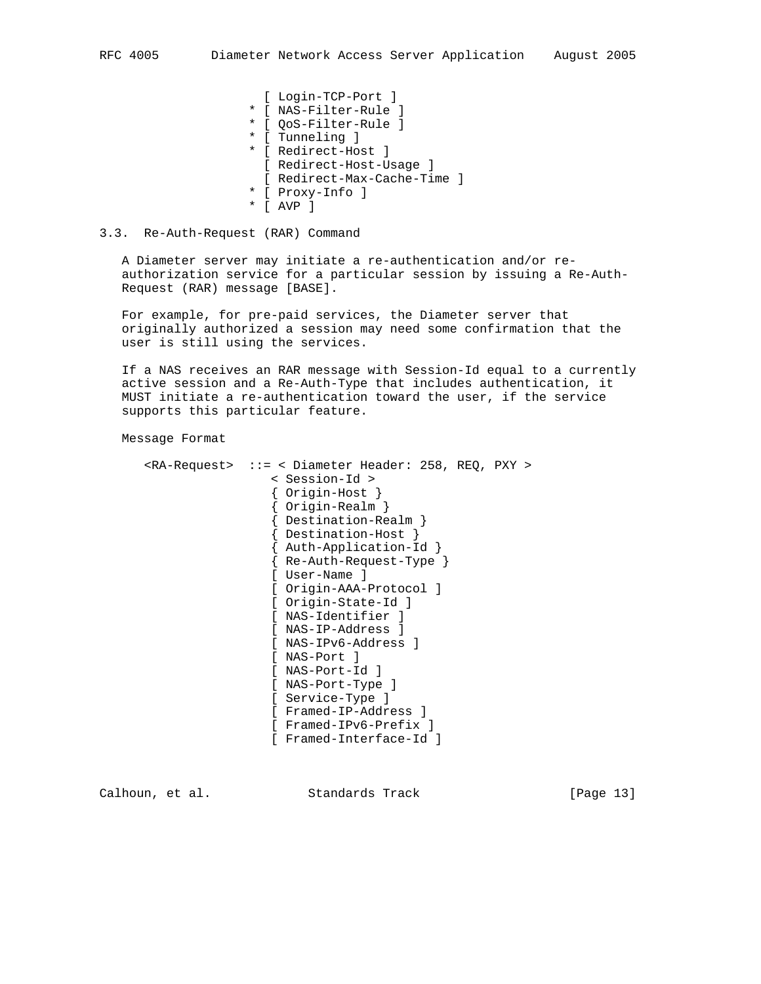[ Login-TCP-Port ] \* [ NAS-Filter-Rule ] \* [ QoS-Filter-Rule ] \* [ Tunneling ] \* [ Redirect-Host ] [ Redirect-Host-Usage ] [ Redirect-Max-Cache-Time ] \* [ Proxy-Info ] \* [ AVP ]

# 3.3. Re-Auth-Request (RAR) Command

 A Diameter server may initiate a re-authentication and/or re authorization service for a particular session by issuing a Re-Auth- Request (RAR) message [BASE].

 For example, for pre-paid services, the Diameter server that originally authorized a session may need some confirmation that the user is still using the services.

 If a NAS receives an RAR message with Session-Id equal to a currently active session and a Re-Auth-Type that includes authentication, it MUST initiate a re-authentication toward the user, if the service supports this particular feature.

Message Format

```
 <RA-Request> ::= < Diameter Header: 258, REQ, PXY >
                  < Session-Id >
                  { Origin-Host }
                  { Origin-Realm }
                  { Destination-Realm }
                  { Destination-Host }
                  { Auth-Application-Id }
                  { Re-Auth-Request-Type }
                  [ User-Name ]
                  [ Origin-AAA-Protocol ]
                 [ Origin-State-Id ]
                 [ NAS-Identifier ]
                 [ NAS-IP-Address ]
                 [ NAS-IPv6-Address ]
                 [ NAS-Port ]
                 [ NAS-Port-Id ]
                 [ NAS-Port-Type ]
                 [ Service-Type ]
                  [ Framed-IP-Address ]
                  [ Framed-IPv6-Prefix ]
                  [ Framed-Interface-Id ]
```
Calhoun, et al. Standards Track [Page 13]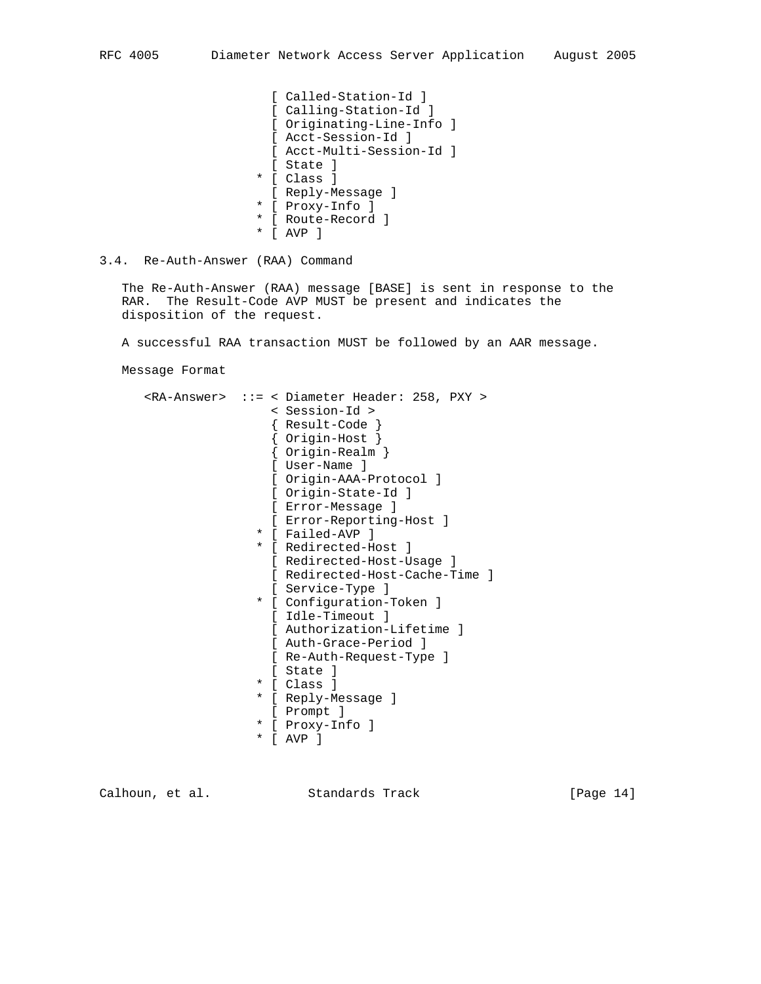- [ Called-Station-Id ] [ Calling-Station-Id ] [ Originating-Line-Info ] [ Acct-Session-Id ] [ Acct-Multi-Session-Id ] [ State ] \* [ Class ] [ Reply-Message ] \* [ Proxy-Info ]
- \* [ Route-Record ]
- \* [ AVP ]
- 3.4. Re-Auth-Answer (RAA) Command

 The Re-Auth-Answer (RAA) message [BASE] is sent in response to the RAR. The Result-Code AVP MUST be present and indicates the disposition of the request.

A successful RAA transaction MUST be followed by an AAR message.

Message Format

|  |   | <ra-answer> ::= &lt; Diameter Header: 258, PXY &gt;<br/>&lt; Session-Id &gt;<br/>Result-Code }<br/>Original<br/>Origin-Realm }<br/>[ User-Name ]<br/>[ Origin-AAA-Protocol ]<br/>[ Origin-State-Id ]<br/>[ Error-Message ]<br/>[ Error-Reporting-Host ]<br/>* [ Failed-AVP ]<br/>* [ Redirected-Host ]<br/>[ Redirected-Host-Usage ]<br/>[ Redirected-Host-Cache-Time ]<br/>[ Service-Type ]<br/>* [ Configuration-Token ]<br/>[ Idle-Timeout ]<br/>[ Authorization-Lifetime ]<br/>[ Auth-Grace-Period ]<br/>[ Re-Auth-Request-Type ]<br/>[ State ]<br/>* [ Class ]<br/>* [ Reply-Message ]<br/>[ Prompt ]<br/>* [ Proxy-Info ]</ra-answer> |
|--|---|---------------------------------------------------------------------------------------------------------------------------------------------------------------------------------------------------------------------------------------------------------------------------------------------------------------------------------------------------------------------------------------------------------------------------------------------------------------------------------------------------------------------------------------------------------------------------------------------------------------------------------------------|
|  | * | AVP 1                                                                                                                                                                                                                                                                                                                                                                                                                                                                                                                                                                                                                                       |
|  |   |                                                                                                                                                                                                                                                                                                                                                                                                                                                                                                                                                                                                                                             |

Calhoun, et al. Standards Track [Page 14]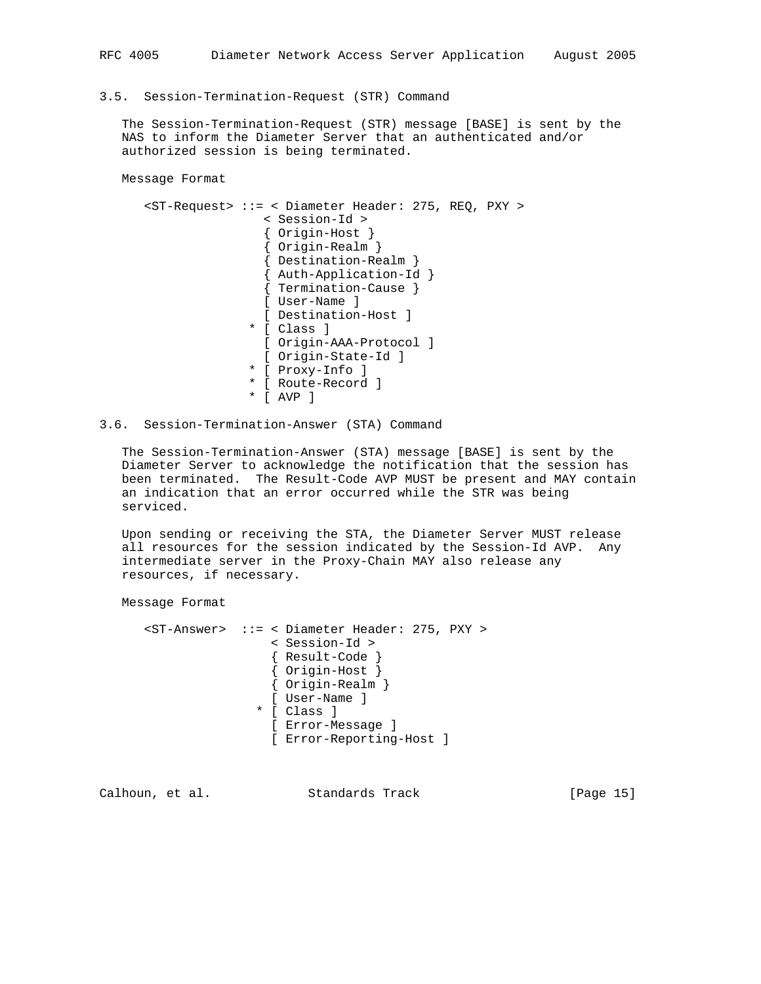3.5. Session-Termination-Request (STR) Command

 The Session-Termination-Request (STR) message [BASE] is sent by the NAS to inform the Diameter Server that an authenticated and/or authorized session is being terminated.

Message Format

```
 <ST-Request> ::= < Diameter Header: 275, REQ, PXY >
                    < Session-Id >
                    { Origin-Host }
                    { Origin-Realm }
                    { Destination-Realm }
{ Auth-Application-Id }
{ Termination-Cause }
                    [ User-Name ]
                    [ Destination-Host ]
                  * [ Class ]
                   [ Origin-AAA-Protocol ]
                    [ Origin-State-Id ]
                  * [ Proxy-Info ]
                  * [ Route-Record ]
                  * [ AVP ]
```
# 3.6. Session-Termination-Answer (STA) Command

 The Session-Termination-Answer (STA) message [BASE] is sent by the Diameter Server to acknowledge the notification that the session has been terminated. The Result-Code AVP MUST be present and MAY contain an indication that an error occurred while the STR was being serviced.

 Upon sending or receiving the STA, the Diameter Server MUST release all resources for the session indicated by the Session-Id AVP. Any intermediate server in the Proxy-Chain MAY also release any resources, if necessary.

Message Format

```
 <ST-Answer> ::= < Diameter Header: 275, PXY >
                 < Session-Id >
                  { Result-Code }
                  { Origin-Host }
                  { Origin-Realm }
                 [ User-Name ]
                * [ Class ]
                  [ Error-Message ]
                  [ Error-Reporting-Host ]
```
Calhoun, et al. Standards Track [Page 15]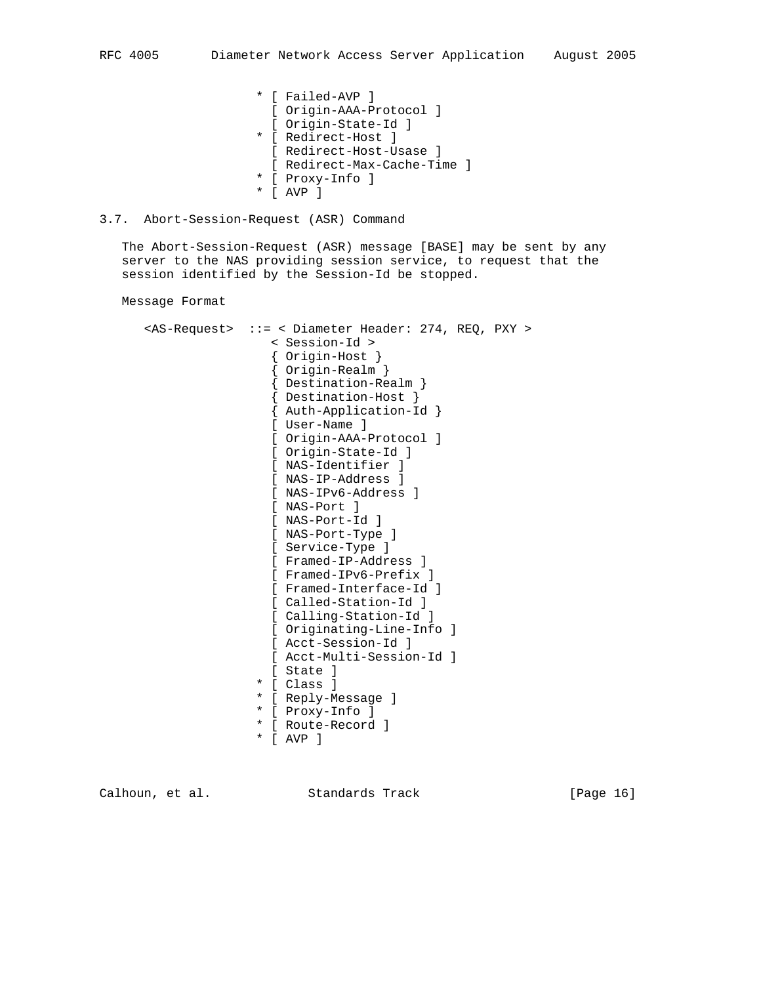- \* [ Failed-AVP ] [ Origin-AAA-Protocol ] [ Origin-State-Id ]
- \* [ Redirect-Host ]
- [ Redirect-Host-Usase ]
- [ Redirect-Max-Cache-Time ]
- \* [ Proxy-Info ]
- \* [ AVP ]

## 3.7. Abort-Session-Request (ASR) Command

 The Abort-Session-Request (ASR) message [BASE] may be sent by any server to the NAS providing session service, to request that the session identified by the Session-Id be stopped.

Message Format

 <AS-Request> ::= < Diameter Header: 274, REQ, PXY > < Session-Id > { Origin-Host } { Origin-Realm } { Destination-Realm } { Destination-Host } { Auth-Application-Id } [ User-Name ] [ Origin-AAA-Protocol ] [ Origin-State-Id ] [ NAS-Identifier ] [ NAS-IP-Address ] [ NAS-IPv6-Address ] [ NAS-Port ] [ NAS-Port-Id ] [ NAS-Port-Type ] [ Service-Type ] [ Framed-IP-Address ] [ Framed-IPv6-Prefix ] [ Framed-Interface-Id ] [ Called-Station-Id ] [ Calling-Station-Id ] [ Originating-Line-Info ] [ Acct-Session-Id ] [ Acct-Multi-Session-Id ] [ State ] \* [ Class ] \* [ Reply-Message ] \* [ Proxy-Info ] \* [ Route-Record ] \* [ AVP ]

Calhoun, et al. Standards Track [Page 16]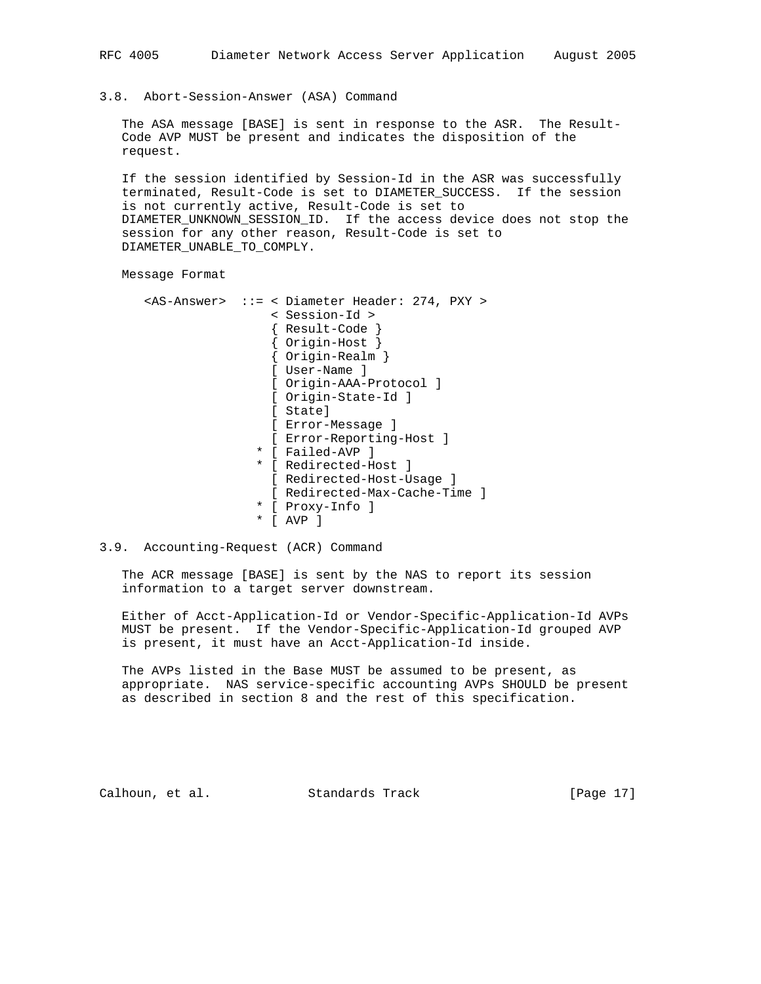#### 3.8. Abort-Session-Answer (ASA) Command

 The ASA message [BASE] is sent in response to the ASR. The Result- Code AVP MUST be present and indicates the disposition of the request.

 If the session identified by Session-Id in the ASR was successfully terminated, Result-Code is set to DIAMETER\_SUCCESS. If the session is not currently active, Result-Code is set to DIAMETER UNKNOWN SESSION ID. If the access device does not stop the session for any other reason, Result-Code is set to DIAMETER\_UNABLE\_TO\_COMPLY.

Message Format

 <AS-Answer> ::= < Diameter Header: 274, PXY > < Session-Id > { Result-Code } { Origin-Host } { Origin-Realm } [ User-Name ] [ Origin-AAA-Protocol ] [ Origin-State-Id ] [ State] [ Error-Message ] [ Error-Reporting-Host ] \* [ Failed-AVP ] \* [ Redirected-Host ] [ Redirected-Host-Usage ] [ Redirected-Max-Cache-Time ] \* [ Proxy-Info ] \* [ AVP ]

## 3.9. Accounting-Request (ACR) Command

 The ACR message [BASE] is sent by the NAS to report its session information to a target server downstream.

 Either of Acct-Application-Id or Vendor-Specific-Application-Id AVPs MUST be present. If the Vendor-Specific-Application-Id grouped AVP is present, it must have an Acct-Application-Id inside.

 The AVPs listed in the Base MUST be assumed to be present, as appropriate. NAS service-specific accounting AVPs SHOULD be present as described in section 8 and the rest of this specification.

Calhoun, et al. Standards Track [Page 17]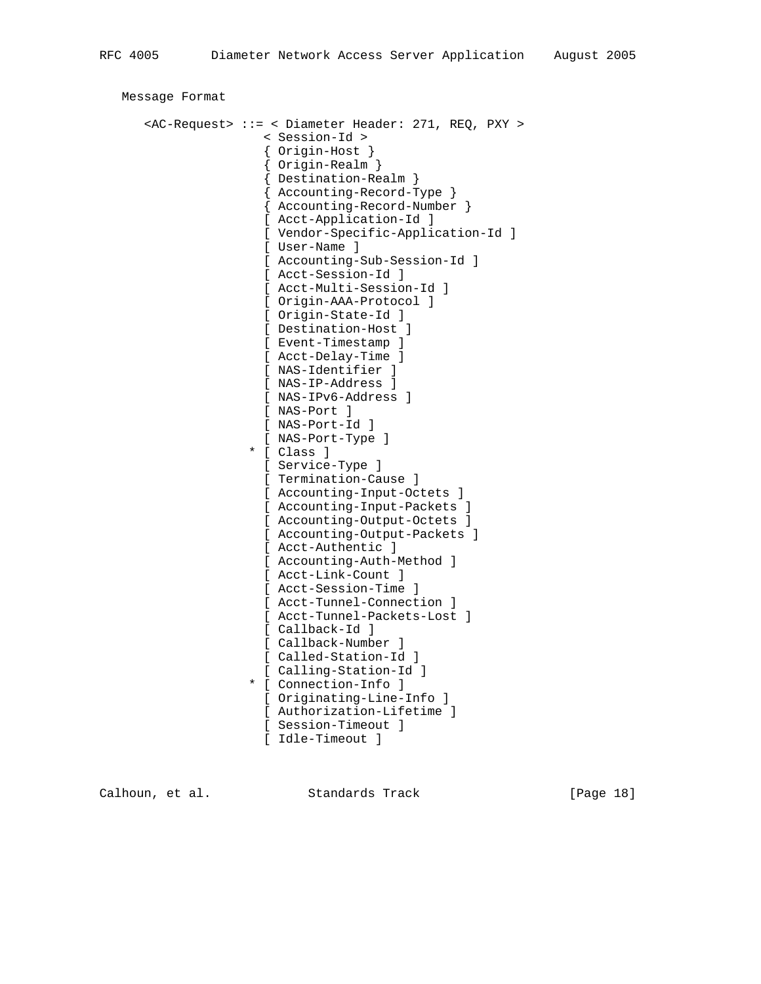```
 Message Format
      <AC-Request> ::= < Diameter Header: 271, REQ, PXY >
                      < Session-Id >
{ Origin-Host }
{ Origin-Realm }
                      { Destination-Realm }
                      { Accounting-Record-Type }
                      { Accounting-Record-Number }
                      [ Acct-Application-Id ]
                      [ Vendor-Specific-Application-Id ]
                      [ User-Name ]
                      [ Accounting-Sub-Session-Id ]
                      [ Acct-Session-Id ]
                      [ Acct-Multi-Session-Id ]
                      [ Origin-AAA-Protocol ]
                      [ Origin-State-Id ]
                      [ Destination-Host ]
                      [ Event-Timestamp ]
                      [ Acct-Delay-Time ]
                      [ NAS-Identifier ]
                      [ NAS-IP-Address ]
                      [ NAS-IPv6-Address ]
                      [ NAS-Port ]
                      [ NAS-Port-Id ]
                      [ NAS-Port-Type ]
                    * [ Class ]
                      [ Service-Type ]
                      [ Termination-Cause ]
                      [ Accounting-Input-Octets ]
                      [ Accounting-Input-Packets ]
                      [ Accounting-Output-Octets ]
                      [ Accounting-Output-Packets ]
                      [ Acct-Authentic ]
                      [ Accounting-Auth-Method ]
                      [ Acct-Link-Count ]
                      [ Acct-Session-Time ]
                      [ Acct-Tunnel-Connection ]
                      [ Acct-Tunnel-Packets-Lost ]
                      [ Callback-Id ]
                      [ Callback-Number ]
                      [ Called-Station-Id ]
                      [ Calling-Station-Id ]
                    * [ Connection-Info ]
                      [ Originating-Line-Info ]
                      [ Authorization-Lifetime ]
                      [ Session-Timeout ]
                      [ Idle-Timeout ]
```
Calhoun, et al. Standards Track [Page 18]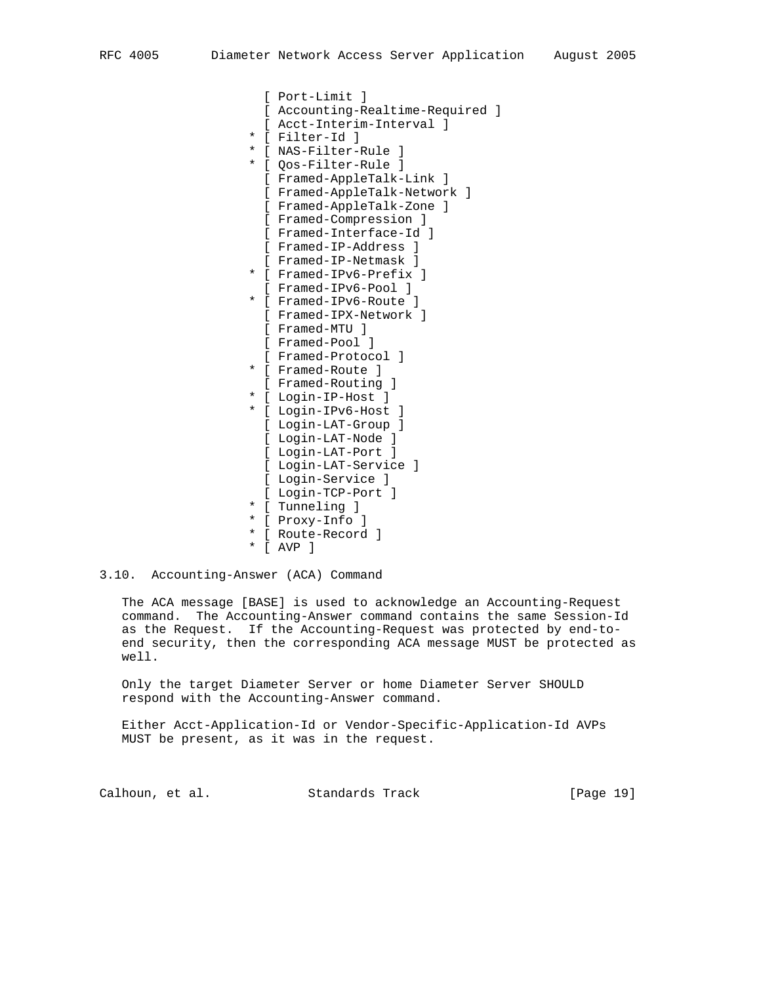[ Port-Limit ] [ Accounting-Realtime-Required ] [ Acct-Interim-Interval ] \* [ Filter-Id ] \* [ NAS-Filter-Rule ] \* [ Qos-Filter-Rule ] [ Framed-AppleTalk-Link ] [ Framed-AppleTalk-Network ] [ Framed-AppleTalk-Zone ] [ Framed-Compression ] [ Framed-Interface-Id ] [ Framed-IP-Address ] [ Framed-IP-Netmask ] \* [ Framed-IPv6-Prefix ] [ Framed-IPv6-Pool ] \* [ Framed-IPv6-Route ] [ Framed-IPX-Network ] [ Framed-MTU ] [ Framed-Pool ] [ Framed-Protocol ] \* [ Framed-Route ] [ Framed-Routing ] \* [ Login-IP-Host ] \* [ Login-IPv6-Host ] [ Login-LAT-Group ] [ Login-LAT-Node ] [ Login-LAT-Port ] [ Login-LAT-Service ] [ Login-Service ] [ Login-TCP-Port ] \* [ Tunneling ] \* [ Proxy-Info ]

- \* [ Route-Record ]
- \* [ AVP ]
- 3.10. Accounting-Answer (ACA) Command

 The ACA message [BASE] is used to acknowledge an Accounting-Request command. The Accounting-Answer command contains the same Session-Id as the Request. If the Accounting-Request was protected by end-to end security, then the corresponding ACA message MUST be protected as well.

 Only the target Diameter Server or home Diameter Server SHOULD respond with the Accounting-Answer command.

 Either Acct-Application-Id or Vendor-Specific-Application-Id AVPs MUST be present, as it was in the request.

Calhoun, et al. Standards Track [Page 19]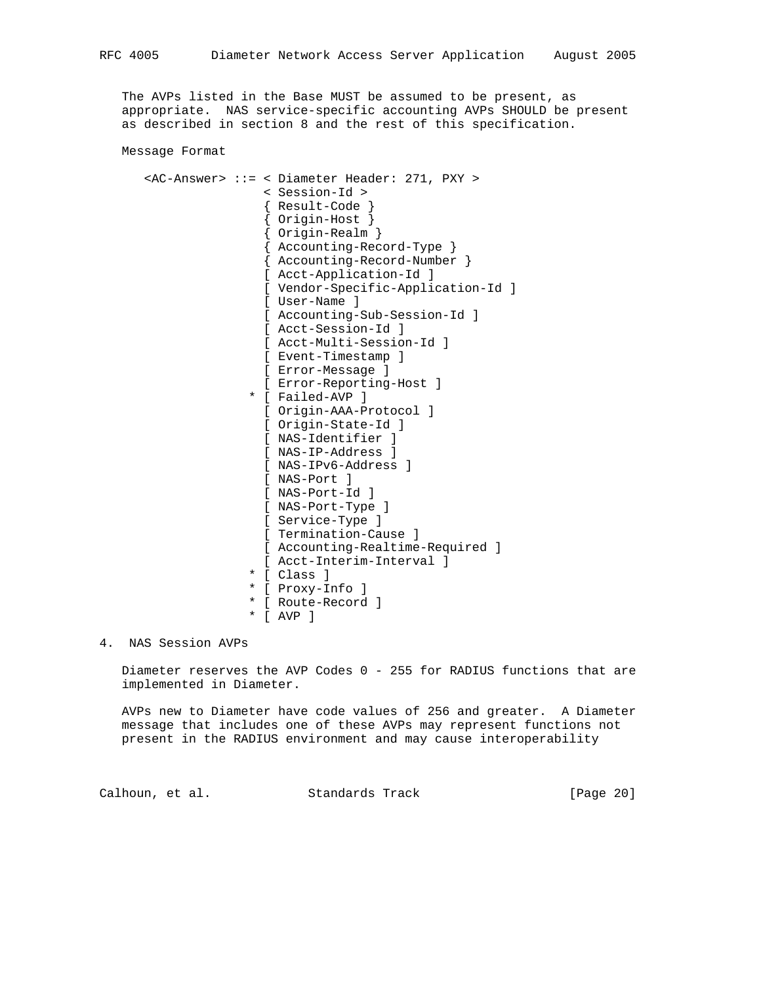The AVPs listed in the Base MUST be assumed to be present, as appropriate. NAS service-specific accounting AVPs SHOULD be present as described in section 8 and the rest of this specification.

Message Format

```
 <AC-Answer> ::= < Diameter Header: 271, PXY >
                     < Session-Id >
                      { Result-Code }
                      { Origin-Host }
{ Origin-Realm }
{ Accounting-Record-Type }
                     { Accounting-Record-Number }
                     [ Acct-Application-Id ]
                     [ Vendor-Specific-Application-Id ]
                     [ User-Name ]
                     [ Accounting-Sub-Session-Id ]
                     [ Acct-Session-Id ]
                     [ Acct-Multi-Session-Id ]
                     [ Event-Timestamp ]
                     [ Error-Message ]
                     [ Error-Reporting-Host ]
                   * [ Failed-AVP ]
                     [ Origin-AAA-Protocol ]
                     [ Origin-State-Id ]
                     [ NAS-Identifier ]
                     [ NAS-IP-Address ]
                     [ NAS-IPv6-Address ]
                     [ NAS-Port ]
                     [ NAS-Port-Id ]
                     [ NAS-Port-Type ]
                     [ Service-Type ]
                     [ Termination-Cause ]
                     [ Accounting-Realtime-Required ]
                     [ Acct-Interim-Interval ]
                   * [ Class ]
                    * [ Proxy-Info ]
                   * [ Route-Record ]
                   * [ AVP ]
```
4. NAS Session AVPs

 Diameter reserves the AVP Codes 0 - 255 for RADIUS functions that are implemented in Diameter.

 AVPs new to Diameter have code values of 256 and greater. A Diameter message that includes one of these AVPs may represent functions not present in the RADIUS environment and may cause interoperability

Calhoun, et al. Standards Track [Page 20]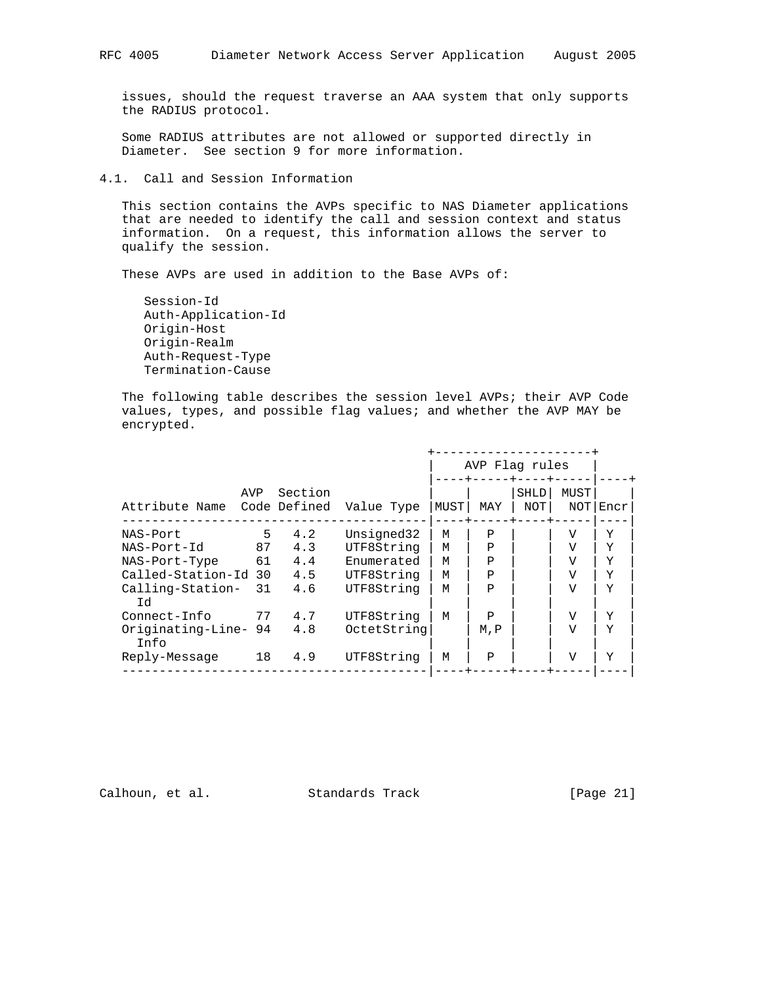issues, should the request traverse an AAA system that only supports the RADIUS protocol.

 Some RADIUS attributes are not allowed or supported directly in Diameter. See section 9 for more information.

4.1. Call and Session Information

 This section contains the AVPs specific to NAS Diameter applications that are needed to identify the call and session context and status information. On a request, this information allows the server to qualify the session.

These AVPs are used in addition to the Base AVPs of:

 Session-Id Auth-Application-Id Origin-Host Origin-Realm Auth-Request-Type Termination-Cause

 The following table describes the session level AVPs; their AVP Code values, types, and possible flag values; and whether the AVP MAY be encrypted.

|                              |     |         |             |      | AVP Flag rules |                    |                |      |  |
|------------------------------|-----|---------|-------------|------|----------------|--------------------|----------------|------|--|
| Attribute Name Code Defined  | AVP | Section | Value Type  | MUST | MAY            | <b>SHLD</b><br>NOT | MUST<br>NOT    | Encr |  |
| NAS-Port                     | 5   | 4.2     | Unsigned32  | М    | P              |                    | V              | Y    |  |
| NAS-Port-Id                  | 87  | 4.3     | UTF8String  | М    | P              |                    | V              | Y    |  |
| NAS-Port-Type                | 61  | 4.4     | Enumerated  | М    | P              |                    | $\overline{V}$ | Y    |  |
| Called-Station-Id 30         |     | 4.5     | UTF8String  | М    | P              |                    | V              | Y    |  |
| Calling-Station-<br>Гd       | 31  | 4.6     | UTF8String  | М    | P              |                    | V              | Y    |  |
| Connect-Info                 | 77  | 4.7     | UTF8String  | М    | P              |                    | V              | Y    |  |
| Originating-Line- 94<br>Tnfo |     | 4.8     | OctetString |      | M, P           |                    | V              | Y    |  |
| Reply-Message                | 18  | 4.9     | UTF8String  | M    | P              |                    | $\overline{V}$ | Y    |  |

Calhoun, et al. Standards Track [Page 21]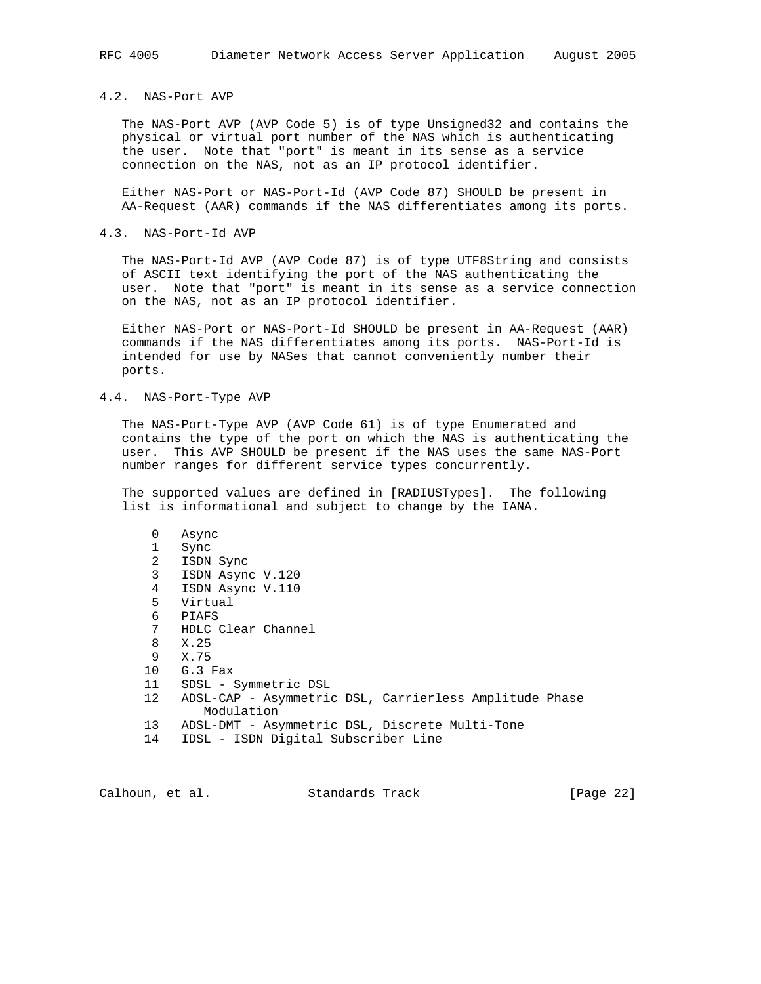## 4.2. NAS-Port AVP

 The NAS-Port AVP (AVP Code 5) is of type Unsigned32 and contains the physical or virtual port number of the NAS which is authenticating the user. Note that "port" is meant in its sense as a service connection on the NAS, not as an IP protocol identifier.

 Either NAS-Port or NAS-Port-Id (AVP Code 87) SHOULD be present in AA-Request (AAR) commands if the NAS differentiates among its ports.

#### 4.3. NAS-Port-Id AVP

 The NAS-Port-Id AVP (AVP Code 87) is of type UTF8String and consists of ASCII text identifying the port of the NAS authenticating the user. Note that "port" is meant in its sense as a service connection on the NAS, not as an IP protocol identifier.

 Either NAS-Port or NAS-Port-Id SHOULD be present in AA-Request (AAR) commands if the NAS differentiates among its ports. NAS-Port-Id is intended for use by NASes that cannot conveniently number their ports.

### 4.4. NAS-Port-Type AVP

 The NAS-Port-Type AVP (AVP Code 61) is of type Enumerated and contains the type of the port on which the NAS is authenticating the user. This AVP SHOULD be present if the NAS uses the same NAS-Port number ranges for different service types concurrently.

 The supported values are defined in [RADIUSTypes]. The following list is informational and subject to change by the IANA.

| 0               | Async                                                  |
|-----------------|--------------------------------------------------------|
| 1               | Sync                                                   |
| 2               | ISDN Sync                                              |
| 3               | ISDN Async V.120                                       |
| 4               | ISDN Async V.110                                       |
| 5               | Virtual                                                |
| 6               | PIAFS                                                  |
| 7               | HDLC Clear Channel                                     |
| 8               | X.25                                                   |
| 9               | X.75                                                   |
|                 | 10 G.3 Fax                                             |
| 11              | SDSL - Symmetric DSL                                   |
| 12 <sup>°</sup> | ADSL-CAP - Asymmetric DSL, Carrierless Amplitude Phase |
|                 | Modulation                                             |
| 13              | ADSL-DMT - Asymmetric DSL, Discrete Multi-Tone         |
| 14              | IDSL - ISDN Digital Subscriber Line                    |

Calhoun, et al. Standards Track [Page 22]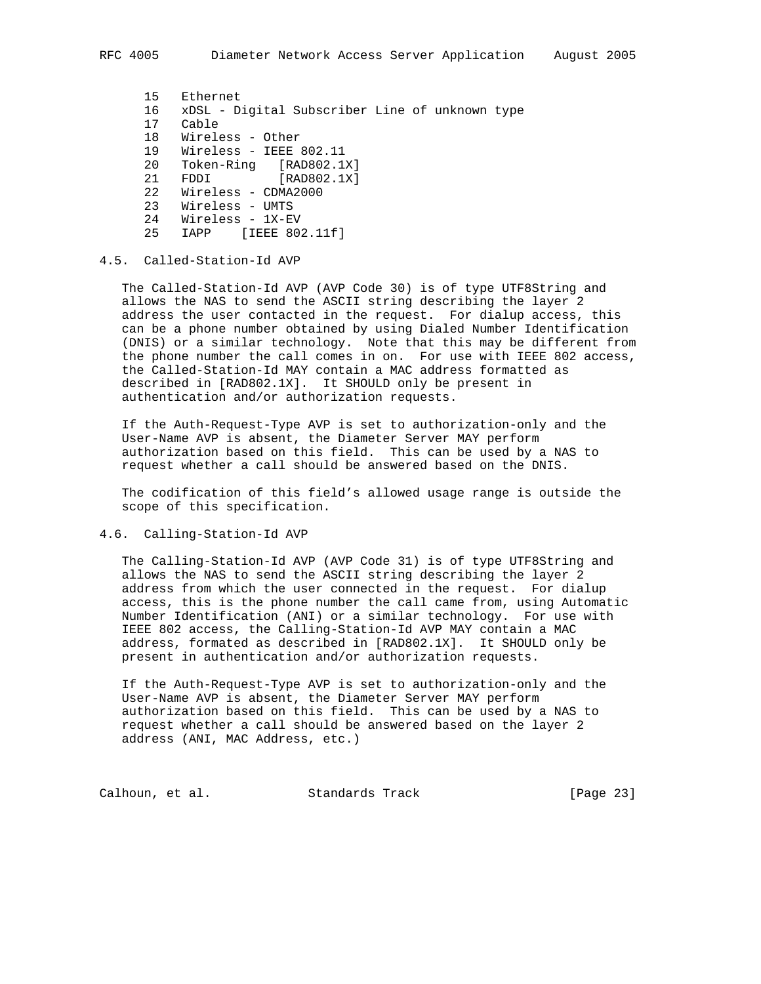15 Ethernet 16 xDSL - Digital Subscriber Line of unknown type 17 Cable 18 Wireless - Other 19 Wireless - IEEE 802.11 20 Token-Ring [RAD802.1X] 21 FDDI [RAD802.1X] 22 Wireless - CDMA2000 23 Wireless - UMTS 24 Wireless - 1X-EV 25 IAPP [IEEE 802.11f]

# 4.5. Called-Station-Id AVP

 The Called-Station-Id AVP (AVP Code 30) is of type UTF8String and allows the NAS to send the ASCII string describing the layer 2 address the user contacted in the request. For dialup access, this can be a phone number obtained by using Dialed Number Identification (DNIS) or a similar technology. Note that this may be different from the phone number the call comes in on. For use with IEEE 802 access, the Called-Station-Id MAY contain a MAC address formatted as described in [RAD802.1X]. It SHOULD only be present in authentication and/or authorization requests.

 If the Auth-Request-Type AVP is set to authorization-only and the User-Name AVP is absent, the Diameter Server MAY perform authorization based on this field. This can be used by a NAS to request whether a call should be answered based on the DNIS.

 The codification of this field's allowed usage range is outside the scope of this specification.

## 4.6. Calling-Station-Id AVP

 The Calling-Station-Id AVP (AVP Code 31) is of type UTF8String and allows the NAS to send the ASCII string describing the layer 2 address from which the user connected in the request. For dialup access, this is the phone number the call came from, using Automatic Number Identification (ANI) or a similar technology. For use with IEEE 802 access, the Calling-Station-Id AVP MAY contain a MAC address, formated as described in [RAD802.1X]. It SHOULD only be present in authentication and/or authorization requests.

 If the Auth-Request-Type AVP is set to authorization-only and the User-Name AVP is absent, the Diameter Server MAY perform authorization based on this field. This can be used by a NAS to request whether a call should be answered based on the layer 2 address (ANI, MAC Address, etc.)

Calhoun, et al. Standards Track [Page 23]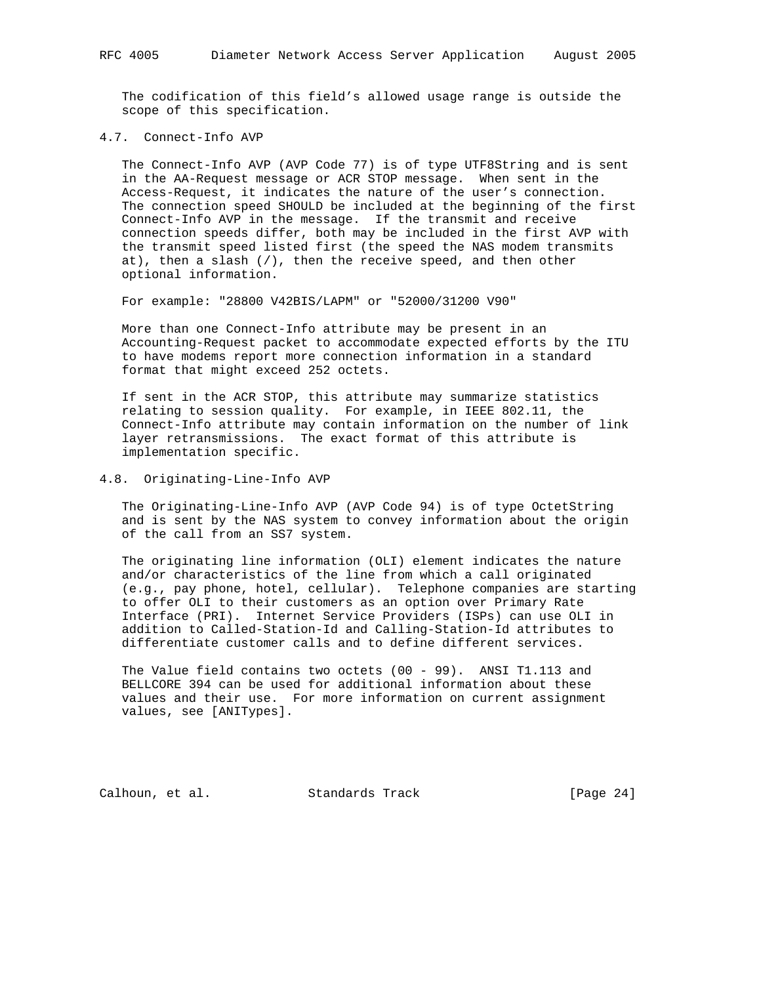The codification of this field's allowed usage range is outside the scope of this specification.

#### 4.7. Connect-Info AVP

 The Connect-Info AVP (AVP Code 77) is of type UTF8String and is sent in the AA-Request message or ACR STOP message. When sent in the Access-Request, it indicates the nature of the user's connection. The connection speed SHOULD be included at the beginning of the first Connect-Info AVP in the message. If the transmit and receive connection speeds differ, both may be included in the first AVP with the transmit speed listed first (the speed the NAS modem transmits at), then a slash (/), then the receive speed, and then other optional information.

For example: "28800 V42BIS/LAPM" or "52000/31200 V90"

 More than one Connect-Info attribute may be present in an Accounting-Request packet to accommodate expected efforts by the ITU to have modems report more connection information in a standard format that might exceed 252 octets.

 If sent in the ACR STOP, this attribute may summarize statistics relating to session quality. For example, in IEEE 802.11, the Connect-Info attribute may contain information on the number of link layer retransmissions. The exact format of this attribute is implementation specific.

4.8. Originating-Line-Info AVP

 The Originating-Line-Info AVP (AVP Code 94) is of type OctetString and is sent by the NAS system to convey information about the origin of the call from an SS7 system.

 The originating line information (OLI) element indicates the nature and/or characteristics of the line from which a call originated (e.g., pay phone, hotel, cellular). Telephone companies are starting to offer OLI to their customers as an option over Primary Rate Interface (PRI). Internet Service Providers (ISPs) can use OLI in addition to Called-Station-Id and Calling-Station-Id attributes to differentiate customer calls and to define different services.

 The Value field contains two octets (00 - 99). ANSI T1.113 and BELLCORE 394 can be used for additional information about these values and their use. For more information on current assignment values, see [ANITypes].

Calhoun, et al. Standards Track [Page 24]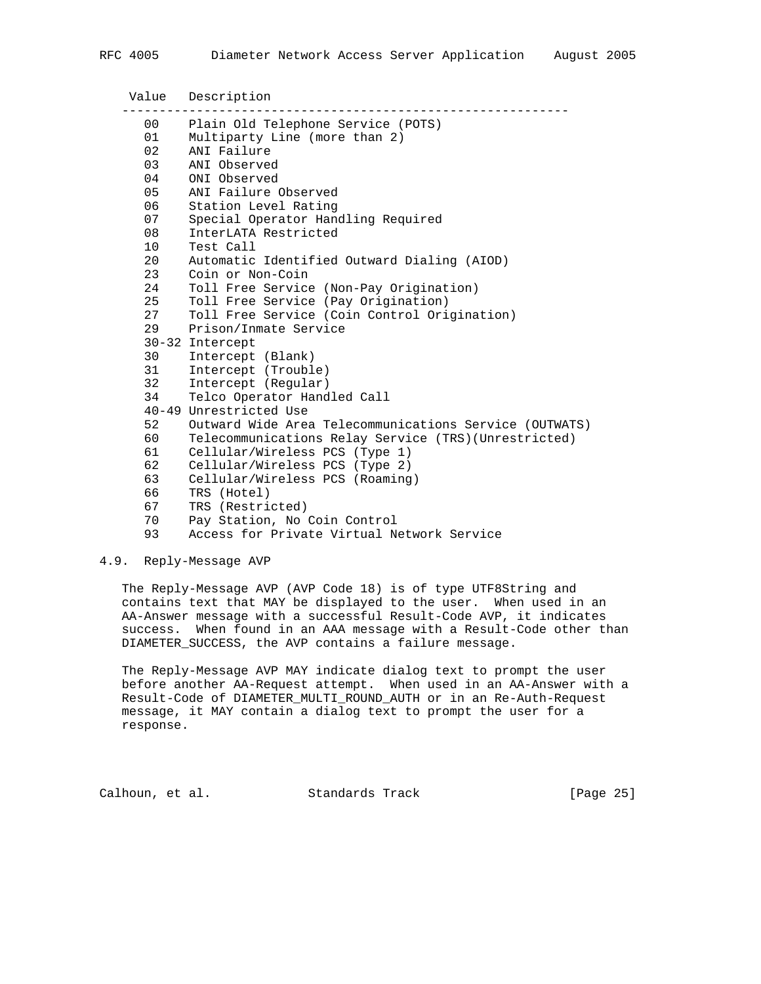Value Description ------------------------------------------------------------ 00 Plain Old Telephone Service (POTS) 01 Multiparty Line (more than 2) 02 ANI Failure 03 ANI Observed 04 ONI Observed 05 ANI Failure Observed 06 Station Level Rating 07 Special Operator Handling Required 08 InterLATA Restricted 10 Test Call 20 Automatic Identified Outward Dialing (AIOD) 23 Coin or Non-Coin 24 Toll Free Service (Non-Pay Origination) 25 Toll Free Service (Pay Origination) 27 Toll Free Service (Coin Control Origination) 29 Prison/Inmate Service 30-32 Intercept 30 Intercept (Blank) 31 Intercept (Trouble) 32 Intercept (Regular) 34 Telco Operator Handled Call 40-49 Unrestricted Use 52 Outward Wide Area Telecommunications Service (OUTWATS) 60 Telecommunications Relay Service (TRS)(Unrestricted) 61 Cellular/Wireless PCS (Type 1) 62 Cellular/Wireless PCS (Type 2) 63 Cellular/Wireless PCS (Roaming) 66 TRS (Hotel) 67 TRS (Restricted) 70 Pay Station, No Coin Control 93 Access for Private Virtual Network Service

## 4.9. Reply-Message AVP

 The Reply-Message AVP (AVP Code 18) is of type UTF8String and contains text that MAY be displayed to the user. When used in an AA-Answer message with a successful Result-Code AVP, it indicates success. When found in an AAA message with a Result-Code other than DIAMETER\_SUCCESS, the AVP contains a failure message.

 The Reply-Message AVP MAY indicate dialog text to prompt the user before another AA-Request attempt. When used in an AA-Answer with a Result-Code of DIAMETER\_MULTI\_ROUND\_AUTH or in an Re-Auth-Request message, it MAY contain a dialog text to prompt the user for a response.

Calhoun, et al. Standards Track [Page 25]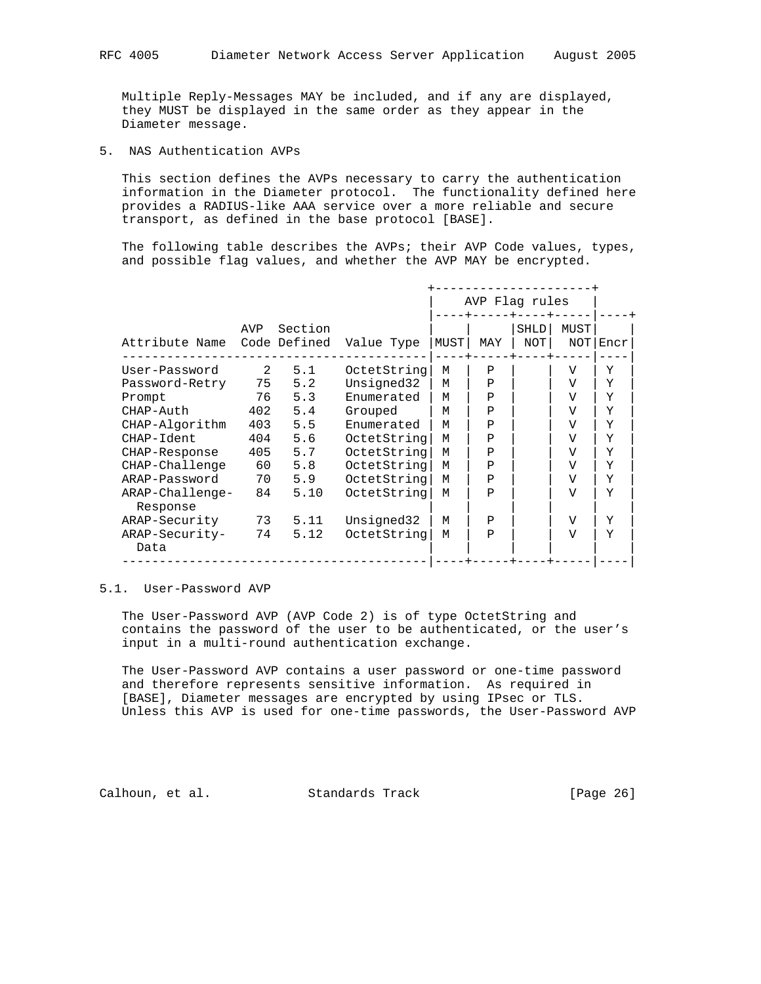Multiple Reply-Messages MAY be included, and if any are displayed, they MUST be displayed in the same order as they appear in the Diameter message.

5. NAS Authentication AVPs

 This section defines the AVPs necessary to carry the authentication information in the Diameter protocol. The functionality defined here provides a RADIUS-like AAA service over a more reliable and secure transport, as defined in the base protocol [BASE].

 The following table describes the AVPs; their AVP Code values, types, and possible flag values, and whether the AVP MAY be encrypted.

|                             |               |                         |             |      | AVP Flag rules |                    |                |      |
|-----------------------------|---------------|-------------------------|-------------|------|----------------|--------------------|----------------|------|
| Attribute Name              | AVP           | Section<br>Code Defined | Value Type  | MUST | MAY            | <b>SHLD</b><br>NOT | MUST<br>NOT    | Encr |
| User-Password               | $\mathcal{L}$ | 5.1                     | OctetString | М    | P              |                    | V              | Y    |
| Password-Retry              | 75            | 5.2                     | Unsigned32  | М    | Ρ              |                    | V              | Y    |
| Prompt                      | 76            | 5.3                     | Enumerated  | М    | P              |                    | $\overline{V}$ | Y    |
| CHAP-Auth                   | 402           | 5.4                     | Grouped     | М    | Ρ              |                    | V              | Y    |
| CHAP-Algorithm              | 403           | 5.5                     | Enumerated  | м    | $\mathsf{P}$   |                    | V              | Y    |
| CHAP-Ident                  | 404           | 5.6                     | OctetString | M    | P              |                    | V              | Y    |
| CHAP-Response               | 405           | 5.7                     | OctetString | м    | P              |                    | V              | Y    |
| CHAP-Challenge              | 60            | 5.8                     | OctetString | M    | Ρ              |                    | V              | Y    |
| ARAP-Password               | 70            | 5.9                     | OctetString | M    | P              |                    | V              | Y    |
| ARAP-Challenge-<br>Response | 84            | 5.10                    | OctetString | м    | P              |                    | V              | Y    |
| ARAP-Security               | 73            | 5.11                    | Unsigned32  | М    | P              |                    | $\overline{V}$ | Y    |
| ARAP-Security-<br>Data      | 74            | 5.12                    | OctetString | М    | $\mathsf{P}$   |                    | V              | Y    |

# 5.1. User-Password AVP

 The User-Password AVP (AVP Code 2) is of type OctetString and contains the password of the user to be authenticated, or the user's input in a multi-round authentication exchange.

 The User-Password AVP contains a user password or one-time password and therefore represents sensitive information. As required in [BASE], Diameter messages are encrypted by using IPsec or TLS. Unless this AVP is used for one-time passwords, the User-Password AVP

Calhoun, et al. Standards Track [Page 26]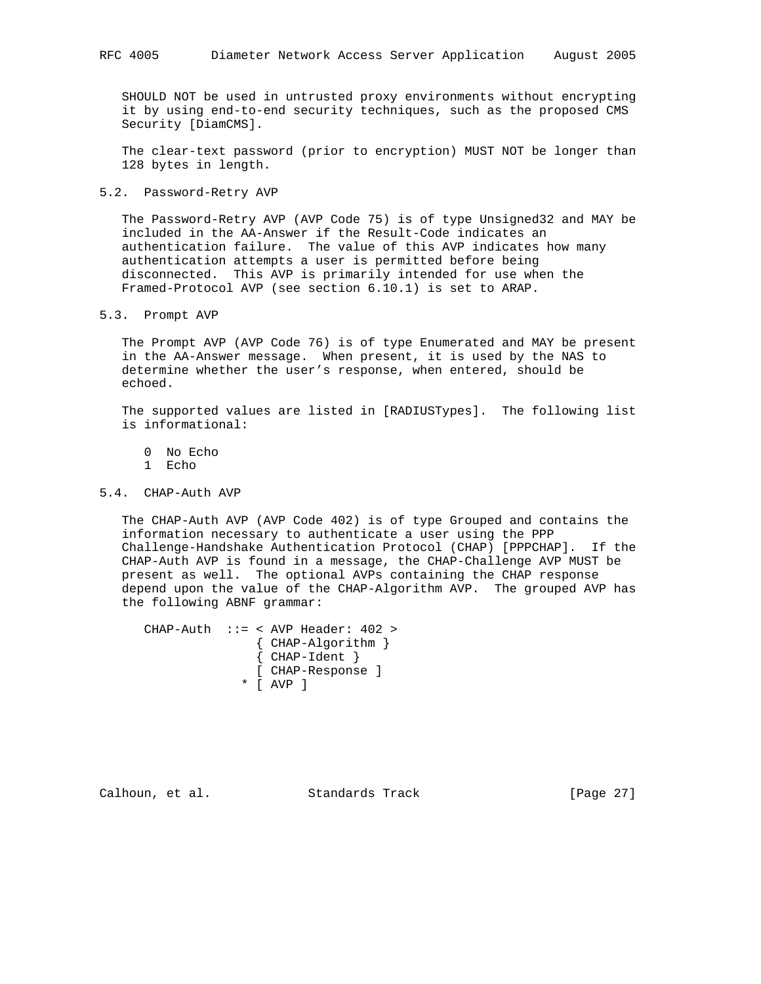SHOULD NOT be used in untrusted proxy environments without encrypting it by using end-to-end security techniques, such as the proposed CMS Security [DiamCMS].

 The clear-text password (prior to encryption) MUST NOT be longer than 128 bytes in length.

5.2. Password-Retry AVP

 The Password-Retry AVP (AVP Code 75) is of type Unsigned32 and MAY be included in the AA-Answer if the Result-Code indicates an authentication failure. The value of this AVP indicates how many authentication attempts a user is permitted before being disconnected. This AVP is primarily intended for use when the Framed-Protocol AVP (see section 6.10.1) is set to ARAP.

5.3. Prompt AVP

 The Prompt AVP (AVP Code 76) is of type Enumerated and MAY be present in the AA-Answer message. When present, it is used by the NAS to determine whether the user's response, when entered, should be echoed.

 The supported values are listed in [RADIUSTypes]. The following list is informational:

0 No Echo

1 Echo

### 5.4. CHAP-Auth AVP

 The CHAP-Auth AVP (AVP Code 402) is of type Grouped and contains the information necessary to authenticate a user using the PPP Challenge-Handshake Authentication Protocol (CHAP) [PPPCHAP]. If the CHAP-Auth AVP is found in a message, the CHAP-Challenge AVP MUST be present as well. The optional AVPs containing the CHAP response depend upon the value of the CHAP-Algorithm AVP. The grouped AVP has the following ABNF grammar:

 CHAP-Auth ::= < AVP Header: 402 > { CHAP-Algorithm } { CHAP-Ident } [ CHAP-Response ] \* [ AVP ]

Calhoun, et al. Standards Track [Page 27]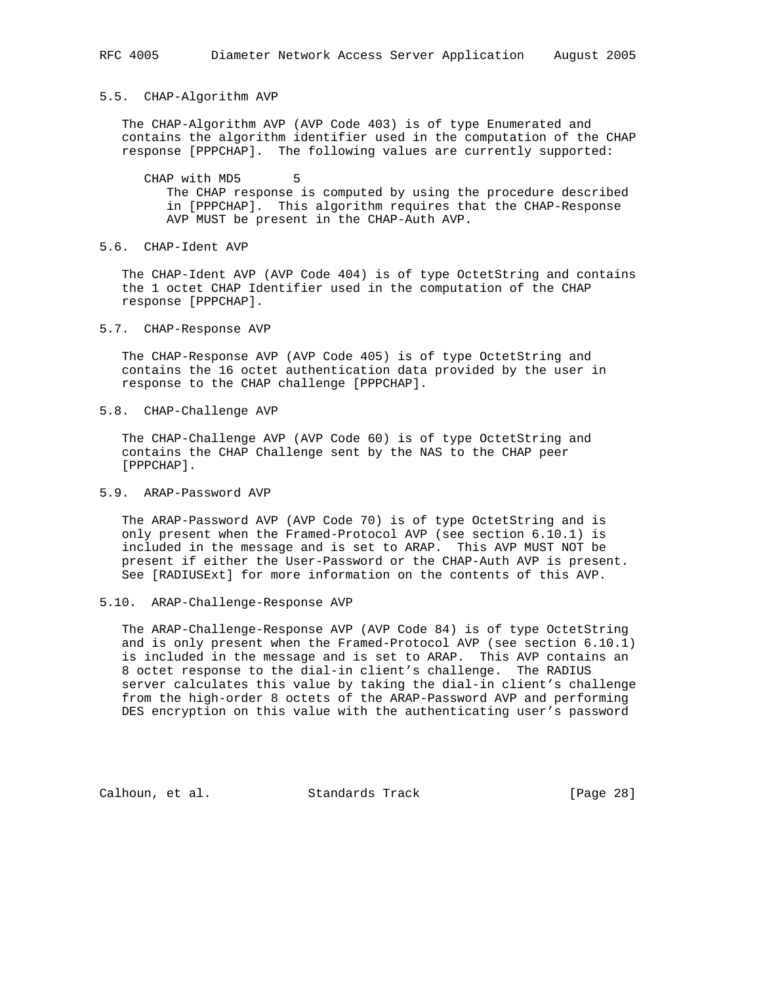#### 5.5. CHAP-Algorithm AVP

 The CHAP-Algorithm AVP (AVP Code 403) is of type Enumerated and contains the algorithm identifier used in the computation of the CHAP response [PPPCHAP]. The following values are currently supported:

CHAP with MD5 5 The CHAP response is computed by using the procedure described in [PPPCHAP]. This algorithm requires that the CHAP-Response AVP MUST be present in the CHAP-Auth AVP.

5.6. CHAP-Ident AVP

 The CHAP-Ident AVP (AVP Code 404) is of type OctetString and contains the 1 octet CHAP Identifier used in the computation of the CHAP response [PPPCHAP].

5.7. CHAP-Response AVP

 The CHAP-Response AVP (AVP Code 405) is of type OctetString and contains the 16 octet authentication data provided by the user in response to the CHAP challenge [PPPCHAP].

5.8. CHAP-Challenge AVP

 The CHAP-Challenge AVP (AVP Code 60) is of type OctetString and contains the CHAP Challenge sent by the NAS to the CHAP peer [PPPCHAP].

5.9. ARAP-Password AVP

 The ARAP-Password AVP (AVP Code 70) is of type OctetString and is only present when the Framed-Protocol AVP (see section 6.10.1) is included in the message and is set to ARAP. This AVP MUST NOT be present if either the User-Password or the CHAP-Auth AVP is present. See [RADIUSExt] for more information on the contents of this AVP.

5.10. ARAP-Challenge-Response AVP

 The ARAP-Challenge-Response AVP (AVP Code 84) is of type OctetString and is only present when the Framed-Protocol AVP (see section 6.10.1) is included in the message and is set to ARAP. This AVP contains an 8 octet response to the dial-in client's challenge. The RADIUS server calculates this value by taking the dial-in client's challenge from the high-order 8 octets of the ARAP-Password AVP and performing DES encryption on this value with the authenticating user's password

Calhoun, et al. Standards Track [Page 28]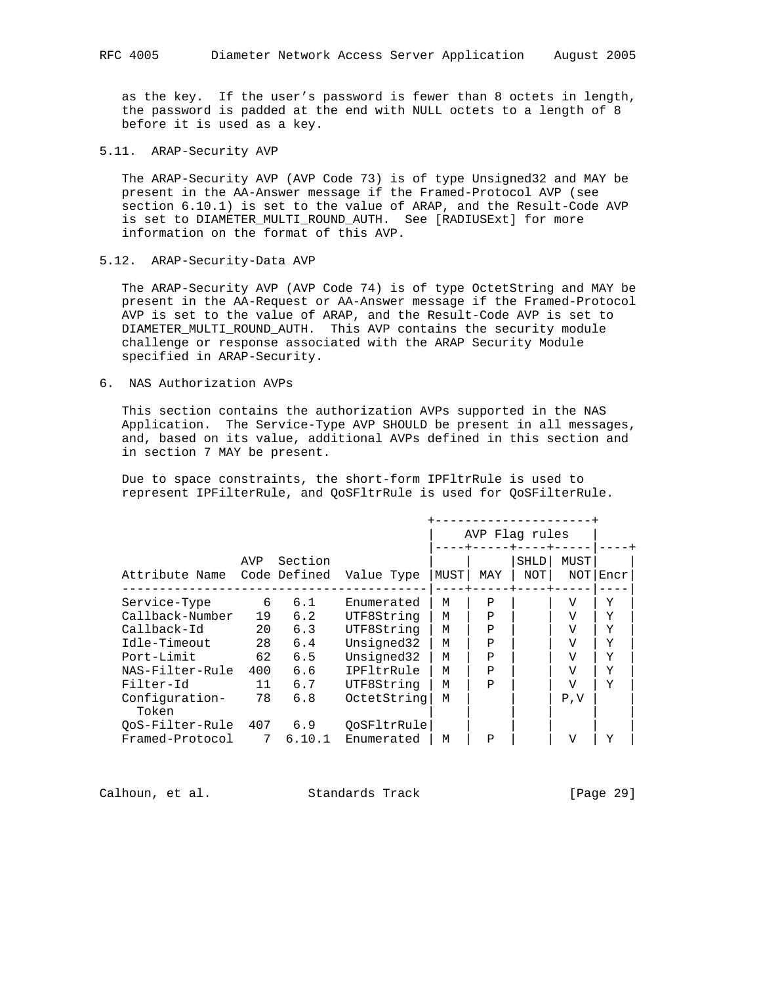as the key. If the user's password is fewer than 8 octets in length, the password is padded at the end with NULL octets to a length of 8 before it is used as a key.

5.11. ARAP-Security AVP

 The ARAP-Security AVP (AVP Code 73) is of type Unsigned32 and MAY be present in the AA-Answer message if the Framed-Protocol AVP (see section 6.10.1) is set to the value of ARAP, and the Result-Code AVP is set to DIAMETER\_MULTI\_ROUND\_AUTH. See [RADIUSExt] for more information on the format of this AVP.

5.12. ARAP-Security-Data AVP

 The ARAP-Security AVP (AVP Code 74) is of type OctetString and MAY be present in the AA-Request or AA-Answer message if the Framed-Protocol AVP is set to the value of ARAP, and the Result-Code AVP is set to DIAMETER\_MULTI\_ROUND\_AUTH. This AVP contains the security module challenge or response associated with the ARAP Security Module specified in ARAP-Security.

6. NAS Authorization AVPs

 This section contains the authorization AVPs supported in the NAS Application. The Service-Type AVP SHOULD be present in all messages, and, based on its value, additional AVPs defined in this section and in section 7 MAY be present.

 Due to space constraints, the short-form IPFltrRule is used to represent IPFilterRule, and QoSFltrRule is used for QoSFilterRule.

|                         |     |                         |             |      | AVP Flag rules |             |             |      |  |
|-------------------------|-----|-------------------------|-------------|------|----------------|-------------|-------------|------|--|
| Attribute Name          | AVP | Section<br>Code Defined | Value Type  | MUST | MAY            | SHLD<br>NOT | MUST<br>NOT | Encr |  |
| Service-Type            | 6   | 6.1                     | Enumerated  | м    | P              |             | V           | Y    |  |
| Callback-Number         | 19  | 6.2                     | UTF8String  | M    | Ρ              |             | V           | Y    |  |
| Callback-Id             | 20  | 6.3                     | UTF8String  | M    | $\mathsf{P}$   |             | V           | Y    |  |
| Idle-Timeout            | 28  | 6.4                     | Unsigned32  | M    | $\mathbf{P}$   |             | V           | Y    |  |
| Port-Limit              | 62  | 6.5                     | Unsigned32  | M    | $\mathbf{P}$   |             | V           | Y    |  |
| NAS-Filter-Rule         | 400 | 6.6                     | IPFltrRule  | M    | Р              |             | V           | Y    |  |
| Filter-Id               | 11  | 6.7                     | UTF8String  | M    | $\mathsf{P}$   |             | V           | Y    |  |
| Configuration-<br>Token | 78  | 6.8                     | OctetString | M    |                |             | P, V        |      |  |
| QoS-Filter-Rule         | 407 | 6.9                     | OoSFltrRule |      |                |             |             |      |  |
| Framed-Protocol         | 7   | 6.10.1                  | Enumerated  | М    | Ρ              |             | W           | Y    |  |

Calhoun, et al. Standards Track [Page 29]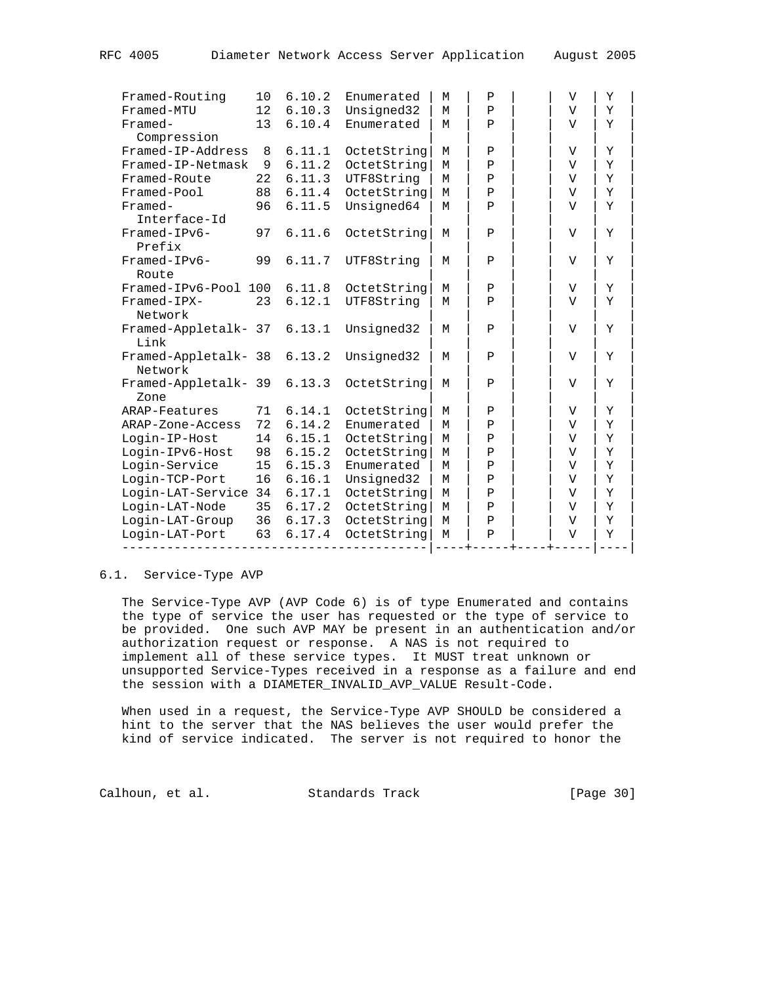| Framed-Routing                  | 10 | 6.10.2 | Enumerated  | M | P            | $\mathbf{V}$   | Y |
|---------------------------------|----|--------|-------------|---|--------------|----------------|---|
| Framed-MTU                      | 12 | 6.10.3 | Unsigned32  | M | $\rm P$      | $\overline{V}$ | Y |
| Framed-<br>Compression          | 13 | 6.10.4 | Enumerated  | M | $\mathbf P$  | $\mathbf{V}$   | Y |
| Framed-IP-Address               | 8  | 6.11.1 | OctetString | M | $\mathbf P$  | V              | Y |
| Framed-IP-Netmask               | 9  | 6.11.2 | OctetString | M | $\rm P$      | V              | Y |
| Framed-Route                    | 22 | 6.11.3 | UTF8String  | M | Ρ            | V              | Y |
| Framed-Pool                     | 88 | 6.11.4 | OctetString | M | $\mathbf{P}$ | $\mathbf{V}$   | Y |
| Framed-<br>Interface-Id         | 96 | 6.11.5 | Unsigned64  | M | P            | $\mathbf {V}$  | Y |
| $Framed-IPV6-$<br>Prefix        | 97 | 6.11.6 | OctetString | M | $\mathbf{P}$ | $\mathbf {V}$  | Y |
| Framed-IPv6-<br>Route           | 99 | 6.11.7 | UTF8String  | M | $\mathbf{P}$ | V              | Y |
| Framed-IPv6-Pool 100            |    | 6.11.8 | OctetString | M | Ρ            | $\mathbf {V}$  | Y |
| Framed-IPX-<br>Network          | 23 | 6.12.1 | UTF8String  | М | $\mathbf{P}$ | V              | Υ |
| Framed-Appletalk- 37<br>Link    |    | 6.13.1 | Unsigned32  | M | $\mathbf{P}$ | $\mathbf{V}$   | Y |
| Framed-Appletalk- 38<br>Network |    | 6.13.2 | Unsigned32  | M | $\mathbf{P}$ | V              | Y |
| Framed-Appletalk- 39<br>Zone    |    | 6.13.3 | OctetString | M | $\mathbf{P}$ | $\mathbf{V}$   | Y |
| ARAP-Features                   | 71 | 6.14.1 | OctetString | М | P            | V              | Y |
| ARAP-Zone-Access                | 72 | 6.14.2 | Enumerated  | M | Ρ            | V              | Y |
| Login-IP-Host                   | 14 | 6.15.1 | OctetString | М | $\rm P$      | V              | Y |
| Login-IPv6-Host                 | 98 | 6.15.2 | OctetString | M | $\rm P$      | V              | Y |
| Login-Service                   | 15 | 6.15.3 | Enumerated  | M | $\rm P$      | $\mathbf {V}$  | Y |
| Login-TCP-Port                  | 16 | 6.16.1 | Unsigned32  | M | Ρ            | V              | Y |
| Login-LAT-Service 34            |    | 6.17.1 | OctetString | M | Ρ            | $\mathbf{V}$   | Y |
| Login-LAT-Node                  | 35 | 6.17.2 | OctetString | М | Ρ            | $\mathbf{V}$   | Y |
| Login-LAT-Group                 | 36 | 6.17.3 | OctetString | M | Ρ            | V              | Y |
| Login-LAT-Port                  | 63 | 6.17.4 | OctetString | M | $\, {\bf P}$ | $\mathbf {V}$  | Y |
|                                 |    |        |             |   |              |                |   |

# 6.1. Service-Type AVP

 The Service-Type AVP (AVP Code 6) is of type Enumerated and contains the type of service the user has requested or the type of service to be provided. One such AVP MAY be present in an authentication and/or authorization request or response. A NAS is not required to implement all of these service types. It MUST treat unknown or unsupported Service-Types received in a response as a failure and end the session with a DIAMETER\_INVALID\_AVP\_VALUE Result-Code.

 When used in a request, the Service-Type AVP SHOULD be considered a hint to the server that the NAS believes the user would prefer the kind of service indicated. The server is not required to honor the

Calhoun, et al. Standards Track [Page 30]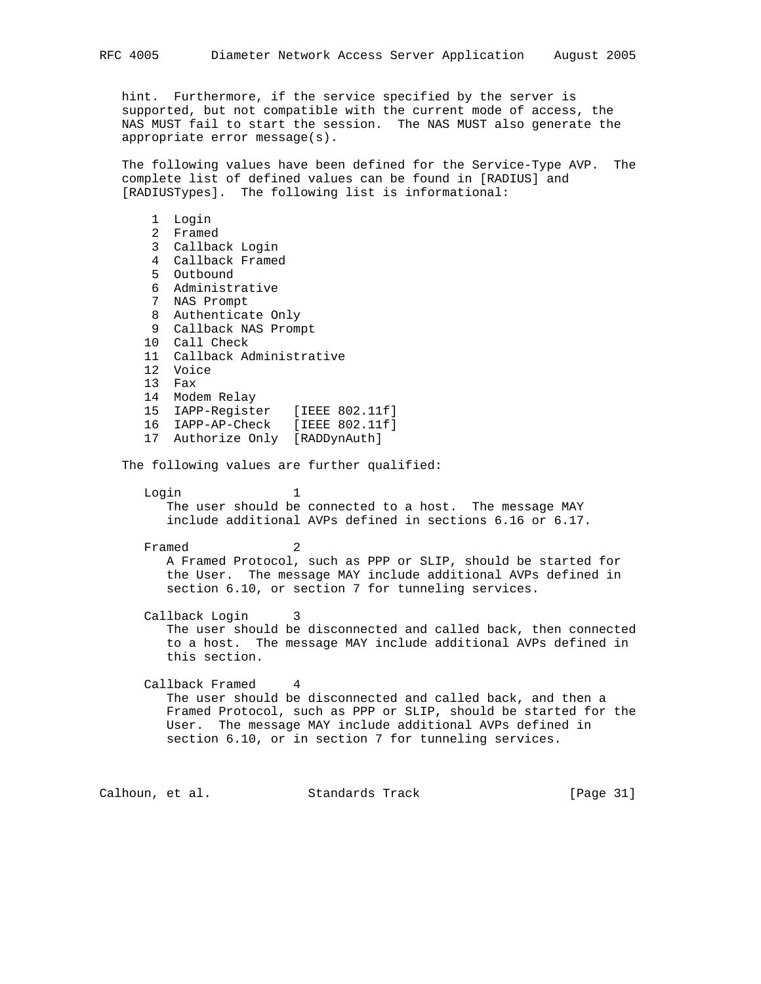hint. Furthermore, if the service specified by the server is supported, but not compatible with the current mode of access, the NAS MUST fail to start the session. The NAS MUST also generate the appropriate error message(s).

 The following values have been defined for the Service-Type AVP. The complete list of defined values can be found in [RADIUS] and [RADIUSTypes]. The following list is informational:

 1 Login 2 Framed 3 Callback Login 4 Callback Framed 5 Outbound 6 Administrative 7 NAS Prompt 8 Authenticate Only 9 Callback NAS Prompt 10 Call Check 11 Callback Administrative 12 Voice 13 Fax 14 Modem Relay 15 IAPP-Register [IEEE 802.11f] 16 IAPP-AP-Check [IEEE 802.11f] 17 Authorize Only [RADDynAuth] The following values are further qualified: Login 1 The user should be connected to a host. The message MAY include additional AVPs defined in sections 6.16 or 6.17. Framed 2 A Framed Protocol, such as PPP or SLIP, should be started for the User. The message MAY include additional AVPs defined in section 6.10, or section 7 for tunneling services. Callback Login 3 The user should be disconnected and called back, then connected to a host. The message MAY include additional AVPs defined in this section. Callback Framed 4 The user should be disconnected and called back, and then a Framed Protocol, such as PPP or SLIP, should be started for the User. The message MAY include additional AVPs defined in section 6.10, or in section 7 for tunneling services.

Calhoun, et al. Standards Track [Page 31]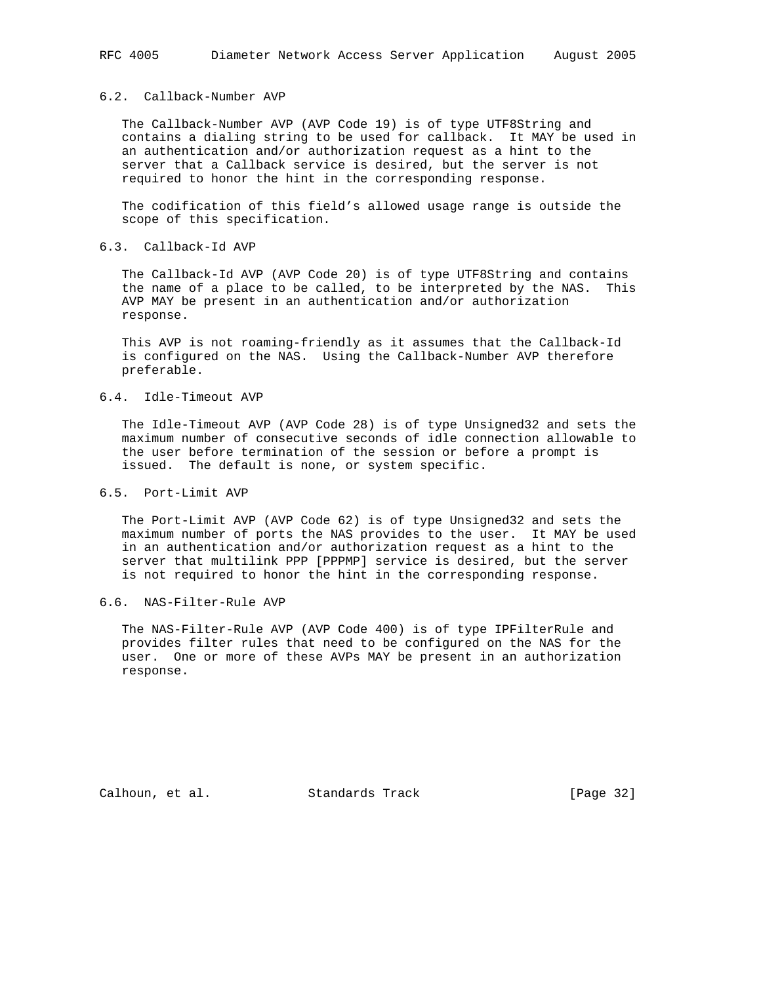## 6.2. Callback-Number AVP

 The Callback-Number AVP (AVP Code 19) is of type UTF8String and contains a dialing string to be used for callback. It MAY be used in an authentication and/or authorization request as a hint to the server that a Callback service is desired, but the server is not required to honor the hint in the corresponding response.

 The codification of this field's allowed usage range is outside the scope of this specification.

# 6.3. Callback-Id AVP

 The Callback-Id AVP (AVP Code 20) is of type UTF8String and contains the name of a place to be called, to be interpreted by the NAS. This AVP MAY be present in an authentication and/or authorization response.

 This AVP is not roaming-friendly as it assumes that the Callback-Id is configured on the NAS. Using the Callback-Number AVP therefore preferable.

## 6.4. Idle-Timeout AVP

 The Idle-Timeout AVP (AVP Code 28) is of type Unsigned32 and sets the maximum number of consecutive seconds of idle connection allowable to the user before termination of the session or before a prompt is issued. The default is none, or system specific.

#### 6.5. Port-Limit AVP

 The Port-Limit AVP (AVP Code 62) is of type Unsigned32 and sets the maximum number of ports the NAS provides to the user. It MAY be used in an authentication and/or authorization request as a hint to the server that multilink PPP [PPPMP] service is desired, but the server is not required to honor the hint in the corresponding response.

## 6.6. NAS-Filter-Rule AVP

 The NAS-Filter-Rule AVP (AVP Code 400) is of type IPFilterRule and provides filter rules that need to be configured on the NAS for the user. One or more of these AVPs MAY be present in an authorization response.

Calhoun, et al. Standards Track [Page 32]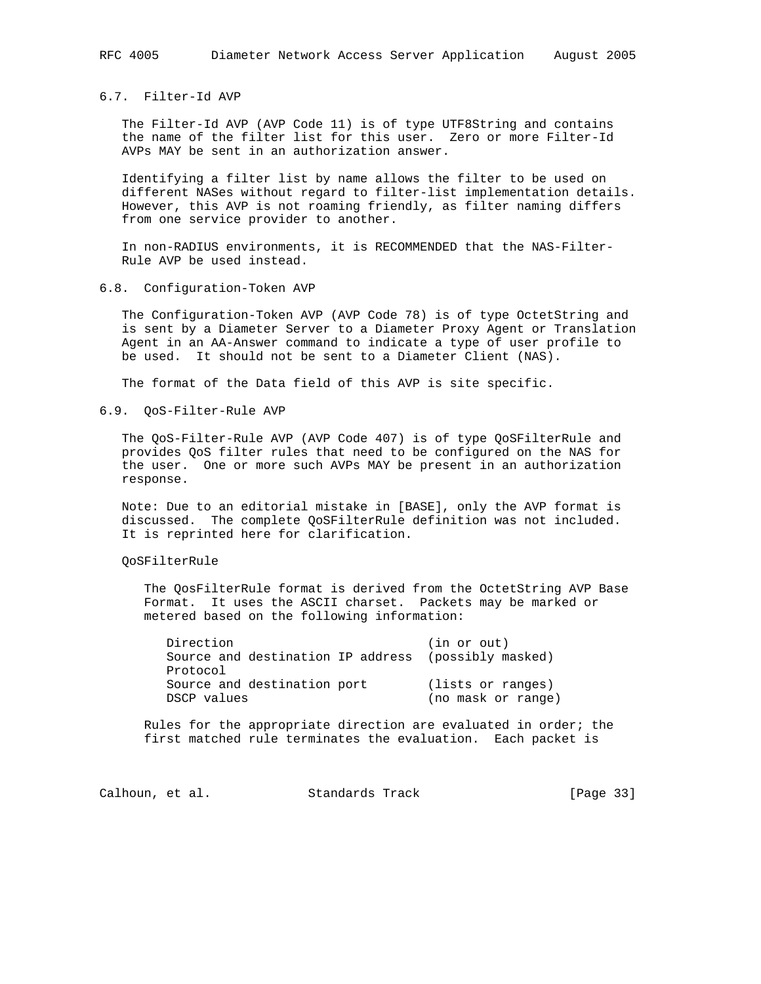## 6.7. Filter-Id AVP

 The Filter-Id AVP (AVP Code 11) is of type UTF8String and contains the name of the filter list for this user. Zero or more Filter-Id AVPs MAY be sent in an authorization answer.

 Identifying a filter list by name allows the filter to be used on different NASes without regard to filter-list implementation details. However, this AVP is not roaming friendly, as filter naming differs from one service provider to another.

 In non-RADIUS environments, it is RECOMMENDED that the NAS-Filter- Rule AVP be used instead.

#### 6.8. Configuration-Token AVP

 The Configuration-Token AVP (AVP Code 78) is of type OctetString and is sent by a Diameter Server to a Diameter Proxy Agent or Translation Agent in an AA-Answer command to indicate a type of user profile to be used. It should not be sent to a Diameter Client (NAS).

The format of the Data field of this AVP is site specific.

## 6.9. QoS-Filter-Rule AVP

 The QoS-Filter-Rule AVP (AVP Code 407) is of type QoSFilterRule and provides QoS filter rules that need to be configured on the NAS for the user. One or more such AVPs MAY be present in an authorization response.

 Note: Due to an editorial mistake in [BASE], only the AVP format is discussed. The complete QoSFilterRule definition was not included. It is reprinted here for clarification.

### QoSFilterRule

 The QosFilterRule format is derived from the OctetString AVP Base Format. It uses the ASCII charset. Packets may be marked or metered based on the following information:

| Direction   |                             | (in or out)                                         |
|-------------|-----------------------------|-----------------------------------------------------|
|             |                             | Source and destination IP address (possibly masked) |
| Protocol    |                             |                                                     |
|             | Source and destination port | (lists or ranges)                                   |
| DSCP values |                             | (no mask or range)                                  |

 Rules for the appropriate direction are evaluated in order; the first matched rule terminates the evaluation. Each packet is

Calhoun, et al. Standards Track [Page 33]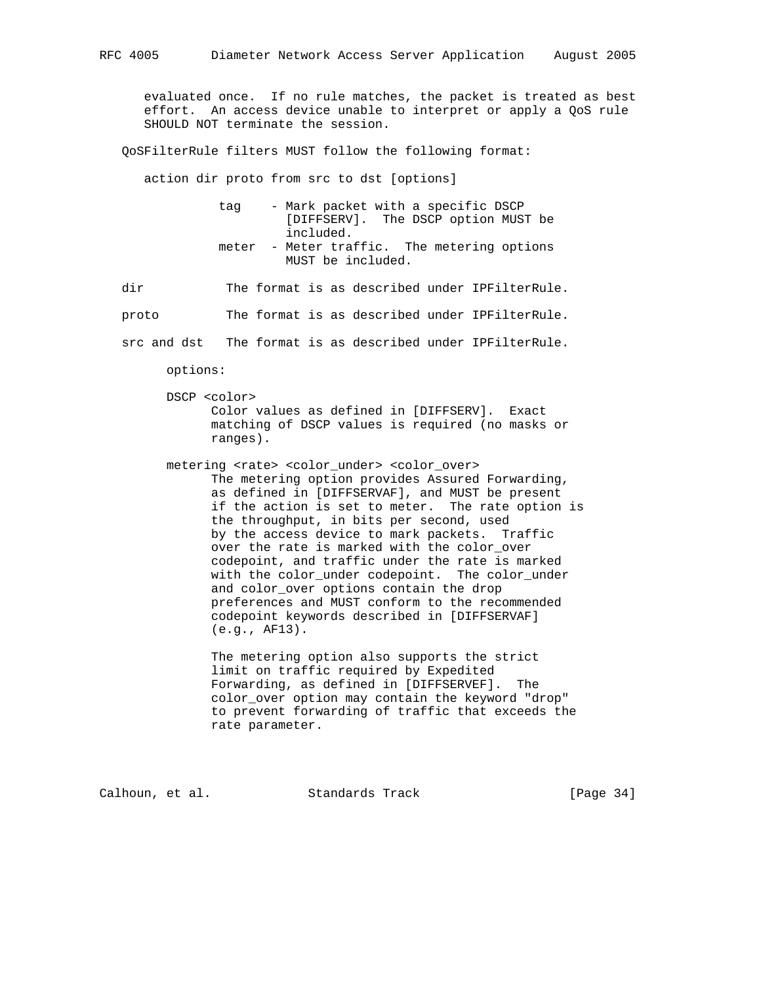evaluated once. If no rule matches, the packet is treated as best effort. An access device unable to interpret or apply a QoS rule SHOULD NOT terminate the session.

QoSFilterRule filters MUST follow the following format:

action dir proto from src to dst [options]

 tag - Mark packet with a specific DSCP [DIFFSERV]. The DSCP option MUST be included. meter - Meter traffic. The metering options MUST be included.

dir The format is as described under IPFilterRule.

proto The format is as described under IPFilterRule.

src and dst The format is as described under IPFilterRule.

options:

- DSCP <color> Color values as defined in [DIFFSERV]. Exact matching of DSCP values is required (no masks or ranges).
- metering <rate> <color\_under> <color\_over> The metering option provides Assured Forwarding, as defined in [DIFFSERVAF], and MUST be present if the action is set to meter. The rate option is the throughput, in bits per second, used by the access device to mark packets. Traffic over the rate is marked with the color over codepoint, and traffic under the rate is marked with the color\_under codepoint. The color\_under and color\_over options contain the drop preferences and MUST conform to the recommended codepoint keywords described in [DIFFSERVAF] (e.g., AF13).

 The metering option also supports the strict limit on traffic required by Expedited Forwarding, as defined in [DIFFSERVEF]. The color\_over option may contain the keyword "drop" to prevent forwarding of traffic that exceeds the rate parameter.

Calhoun, et al. Standards Track [Page 34]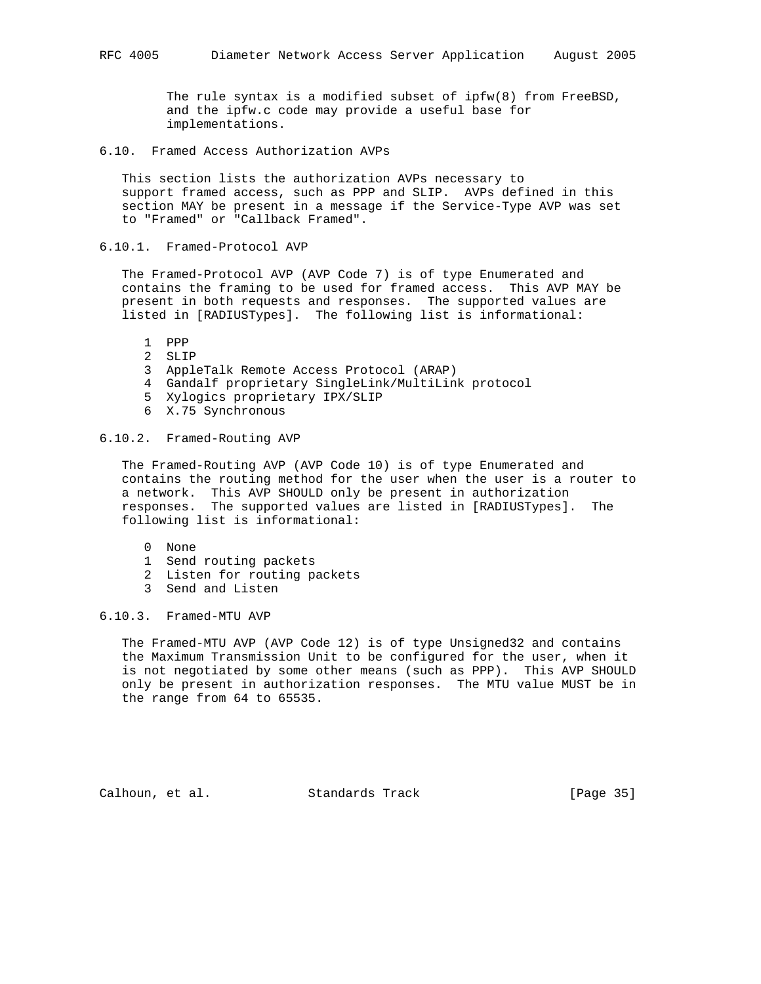The rule syntax is a modified subset of ipfw(8) from FreeBSD, and the ipfw.c code may provide a useful base for implementations.

6.10. Framed Access Authorization AVPs

 This section lists the authorization AVPs necessary to support framed access, such as PPP and SLIP. AVPs defined in this section MAY be present in a message if the Service-Type AVP was set to "Framed" or "Callback Framed".

## 6.10.1. Framed-Protocol AVP

 The Framed-Protocol AVP (AVP Code 7) is of type Enumerated and contains the framing to be used for framed access. This AVP MAY be present in both requests and responses. The supported values are listed in [RADIUSTypes]. The following list is informational:

- 1 PPP
- 2 SLIP
- 3 AppleTalk Remote Access Protocol (ARAP)
- 4 Gandalf proprietary SingleLink/MultiLink protocol
- 5 Xylogics proprietary IPX/SLIP
- 6 X.75 Synchronous

# 6.10.2. Framed-Routing AVP

 The Framed-Routing AVP (AVP Code 10) is of type Enumerated and contains the routing method for the user when the user is a router to a network. This AVP SHOULD only be present in authorization responses. The supported values are listed in [RADIUSTypes]. The following list is informational:

- 0 None
- 1 Send routing packets
- 2 Listen for routing packets
- 3 Send and Listen

# 6.10.3. Framed-MTU AVP

 The Framed-MTU AVP (AVP Code 12) is of type Unsigned32 and contains the Maximum Transmission Unit to be configured for the user, when it is not negotiated by some other means (such as PPP). This AVP SHOULD only be present in authorization responses. The MTU value MUST be in the range from 64 to 65535.

Calhoun, et al. Standards Track [Page 35]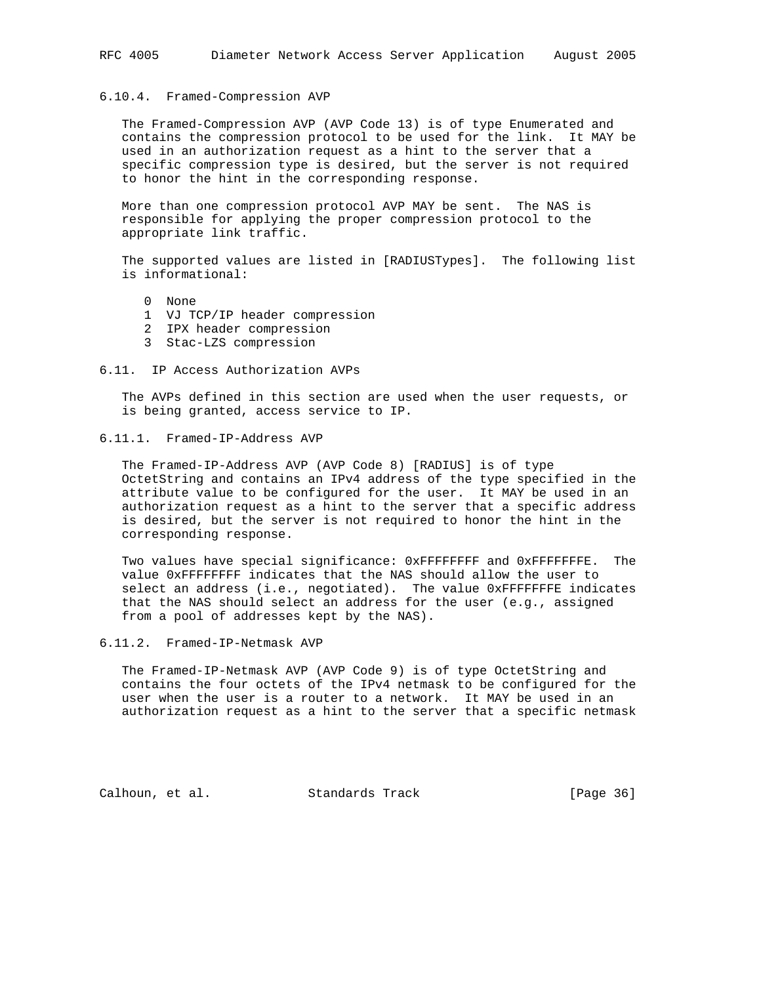## 6.10.4. Framed-Compression AVP

 The Framed-Compression AVP (AVP Code 13) is of type Enumerated and contains the compression protocol to be used for the link. It MAY be used in an authorization request as a hint to the server that a specific compression type is desired, but the server is not required to honor the hint in the corresponding response.

 More than one compression protocol AVP MAY be sent. The NAS is responsible for applying the proper compression protocol to the appropriate link traffic.

 The supported values are listed in [RADIUSTypes]. The following list is informational:

- 0 None
- 1 VJ TCP/IP header compression
- 2 IPX header compression
- 3 Stac-LZS compression
- 6.11. IP Access Authorization AVPs

 The AVPs defined in this section are used when the user requests, or is being granted, access service to IP.

### 6.11.1. Framed-IP-Address AVP

 The Framed-IP-Address AVP (AVP Code 8) [RADIUS] is of type OctetString and contains an IPv4 address of the type specified in the attribute value to be configured for the user. It MAY be used in an authorization request as a hint to the server that a specific address is desired, but the server is not required to honor the hint in the corresponding response.

Two values have special significance: 0xFFFFFFFF and 0xFFFFFFFFE. The value 0xFFFFFFFF indicates that the NAS should allow the user to select an address (i.e., negotiated). The value 0xFFFFFFFE indicates that the NAS should select an address for the user (e.g., assigned from a pool of addresses kept by the NAS).

6.11.2. Framed-IP-Netmask AVP

 The Framed-IP-Netmask AVP (AVP Code 9) is of type OctetString and contains the four octets of the IPv4 netmask to be configured for the user when the user is a router to a network. It MAY be used in an authorization request as a hint to the server that a specific netmask

Calhoun, et al. Standards Track [Page 36]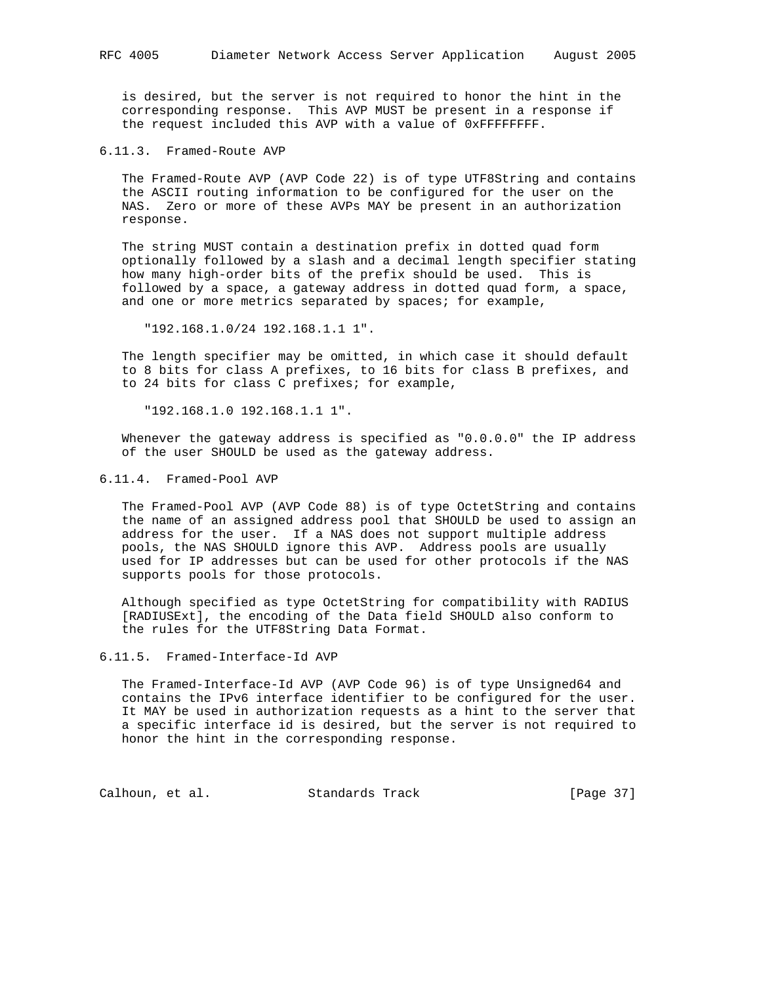is desired, but the server is not required to honor the hint in the corresponding response. This AVP MUST be present in a response if the request included this AVP with a value of 0xFFFFFFFF.

6.11.3. Framed-Route AVP

 The Framed-Route AVP (AVP Code 22) is of type UTF8String and contains the ASCII routing information to be configured for the user on the NAS. Zero or more of these AVPs MAY be present in an authorization response.

 The string MUST contain a destination prefix in dotted quad form optionally followed by a slash and a decimal length specifier stating how many high-order bits of the prefix should be used. This is followed by a space, a gateway address in dotted quad form, a space, and one or more metrics separated by spaces; for example,

"192.168.1.0/24 192.168.1.1 1".

 The length specifier may be omitted, in which case it should default to 8 bits for class A prefixes, to 16 bits for class B prefixes, and to 24 bits for class C prefixes; for example,

"192.168.1.0 192.168.1.1 1".

 Whenever the gateway address is specified as "0.0.0.0" the IP address of the user SHOULD be used as the gateway address.

6.11.4. Framed-Pool AVP

 The Framed-Pool AVP (AVP Code 88) is of type OctetString and contains the name of an assigned address pool that SHOULD be used to assign an address for the user. If a NAS does not support multiple address pools, the NAS SHOULD ignore this AVP. Address pools are usually used for IP addresses but can be used for other protocols if the NAS supports pools for those protocols.

 Although specified as type OctetString for compatibility with RADIUS [RADIUSExt], the encoding of the Data field SHOULD also conform to the rules for the UTF8String Data Format.

6.11.5. Framed-Interface-Id AVP

 The Framed-Interface-Id AVP (AVP Code 96) is of type Unsigned64 and contains the IPv6 interface identifier to be configured for the user. It MAY be used in authorization requests as a hint to the server that a specific interface id is desired, but the server is not required to honor the hint in the corresponding response.

Calhoun, et al. Standards Track [Page 37]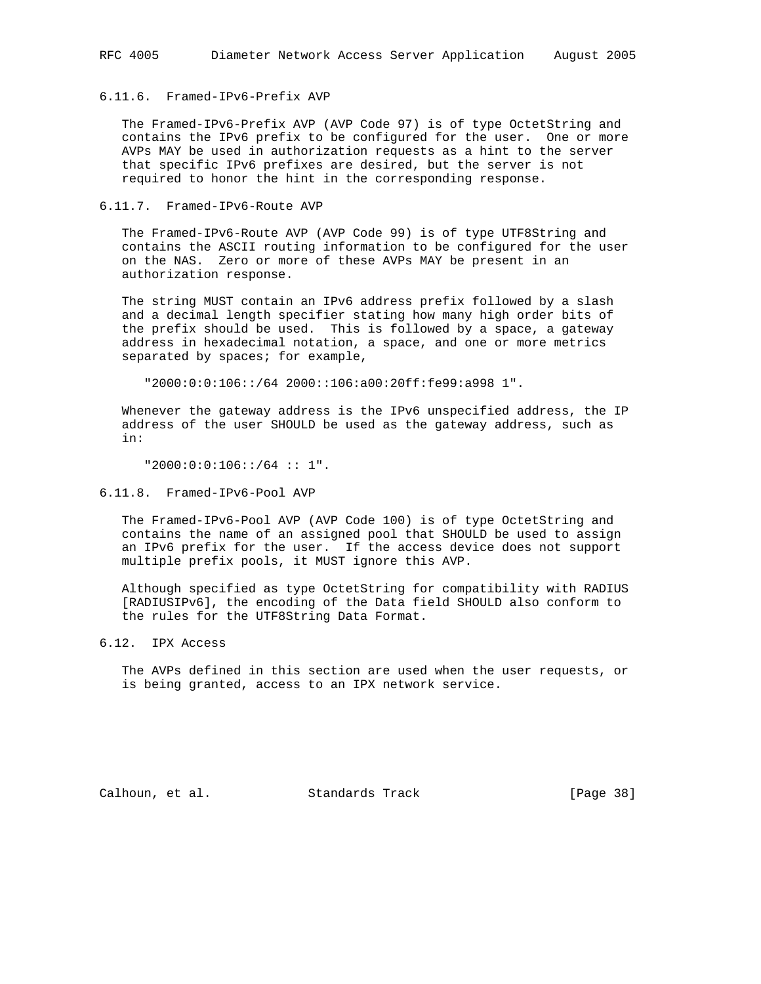## 6.11.6. Framed-IPv6-Prefix AVP

 The Framed-IPv6-Prefix AVP (AVP Code 97) is of type OctetString and contains the IPv6 prefix to be configured for the user. One or more AVPs MAY be used in authorization requests as a hint to the server that specific IPv6 prefixes are desired, but the server is not required to honor the hint in the corresponding response.

## 6.11.7. Framed-IPv6-Route AVP

 The Framed-IPv6-Route AVP (AVP Code 99) is of type UTF8String and contains the ASCII routing information to be configured for the user on the NAS. Zero or more of these AVPs MAY be present in an authorization response.

 The string MUST contain an IPv6 address prefix followed by a slash and a decimal length specifier stating how many high order bits of the prefix should be used. This is followed by a space, a gateway address in hexadecimal notation, a space, and one or more metrics separated by spaces; for example,

"2000:0:0:106::/64 2000::106:a00:20ff:fe99:a998 1".

 Whenever the gateway address is the IPv6 unspecified address, the IP address of the user SHOULD be used as the gateway address, such as in:

"2000:0:0:106::/64 :: 1".

6.11.8. Framed-IPv6-Pool AVP

 The Framed-IPv6-Pool AVP (AVP Code 100) is of type OctetString and contains the name of an assigned pool that SHOULD be used to assign an IPv6 prefix for the user. If the access device does not support multiple prefix pools, it MUST ignore this AVP.

 Although specified as type OctetString for compatibility with RADIUS [RADIUSIPv6], the encoding of the Data field SHOULD also conform to the rules for the UTF8String Data Format.

6.12. IPX Access

 The AVPs defined in this section are used when the user requests, or is being granted, access to an IPX network service.

Calhoun, et al. Standards Track [Page 38]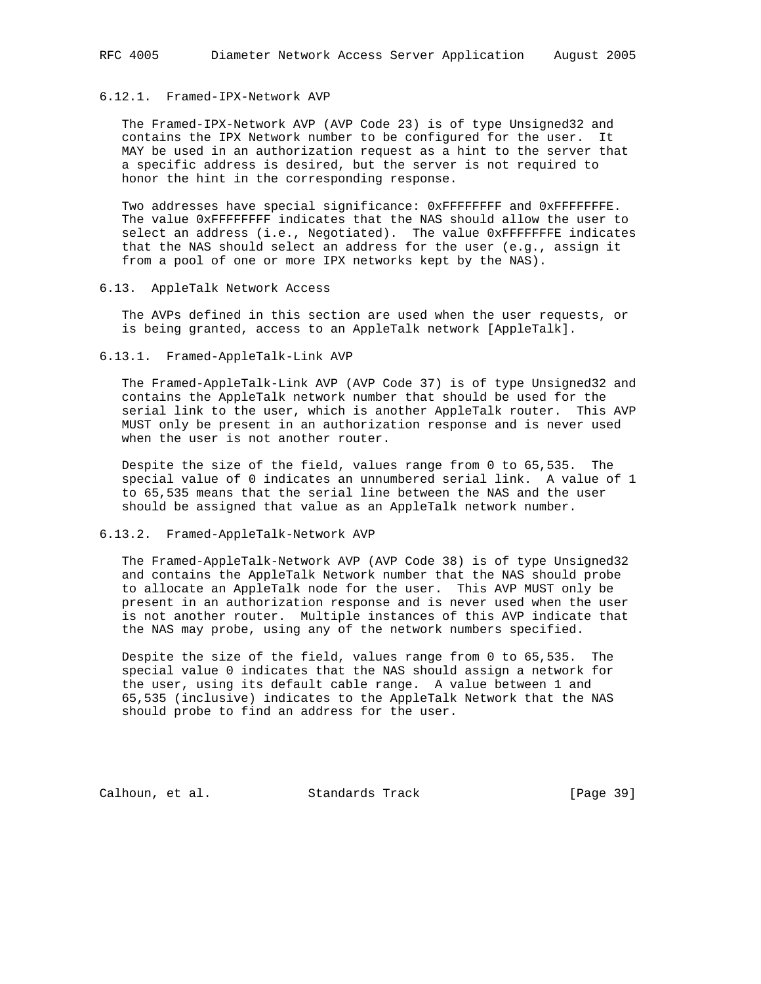## 6.12.1. Framed-IPX-Network AVP

 The Framed-IPX-Network AVP (AVP Code 23) is of type Unsigned32 and contains the IPX Network number to be configured for the user. It MAY be used in an authorization request as a hint to the server that a specific address is desired, but the server is not required to honor the hint in the corresponding response.

Two addresses have special significance: 0xFFFFFFFF and 0xFFFFFFFFE. The value 0xFFFFFFFF indicates that the NAS should allow the user to select an address (i.e., Negotiated). The value 0xFFFFFFFE indicates that the NAS should select an address for the user (e.g., assign it from a pool of one or more IPX networks kept by the NAS).

#### 6.13. AppleTalk Network Access

 The AVPs defined in this section are used when the user requests, or is being granted, access to an AppleTalk network [AppleTalk].

#### 6.13.1. Framed-AppleTalk-Link AVP

 The Framed-AppleTalk-Link AVP (AVP Code 37) is of type Unsigned32 and contains the AppleTalk network number that should be used for the serial link to the user, which is another AppleTalk router. This AVP MUST only be present in an authorization response and is never used when the user is not another router.

 Despite the size of the field, values range from 0 to 65,535. The special value of 0 indicates an unnumbered serial link. A value of 1 to 65,535 means that the serial line between the NAS and the user should be assigned that value as an AppleTalk network number.

## 6.13.2. Framed-AppleTalk-Network AVP

 The Framed-AppleTalk-Network AVP (AVP Code 38) is of type Unsigned32 and contains the AppleTalk Network number that the NAS should probe to allocate an AppleTalk node for the user. This AVP MUST only be present in an authorization response and is never used when the user is not another router. Multiple instances of this AVP indicate that the NAS may probe, using any of the network numbers specified.

 Despite the size of the field, values range from 0 to 65,535. The special value 0 indicates that the NAS should assign a network for the user, using its default cable range. A value between 1 and 65,535 (inclusive) indicates to the AppleTalk Network that the NAS should probe to find an address for the user.

Calhoun, et al. Standards Track [Page 39]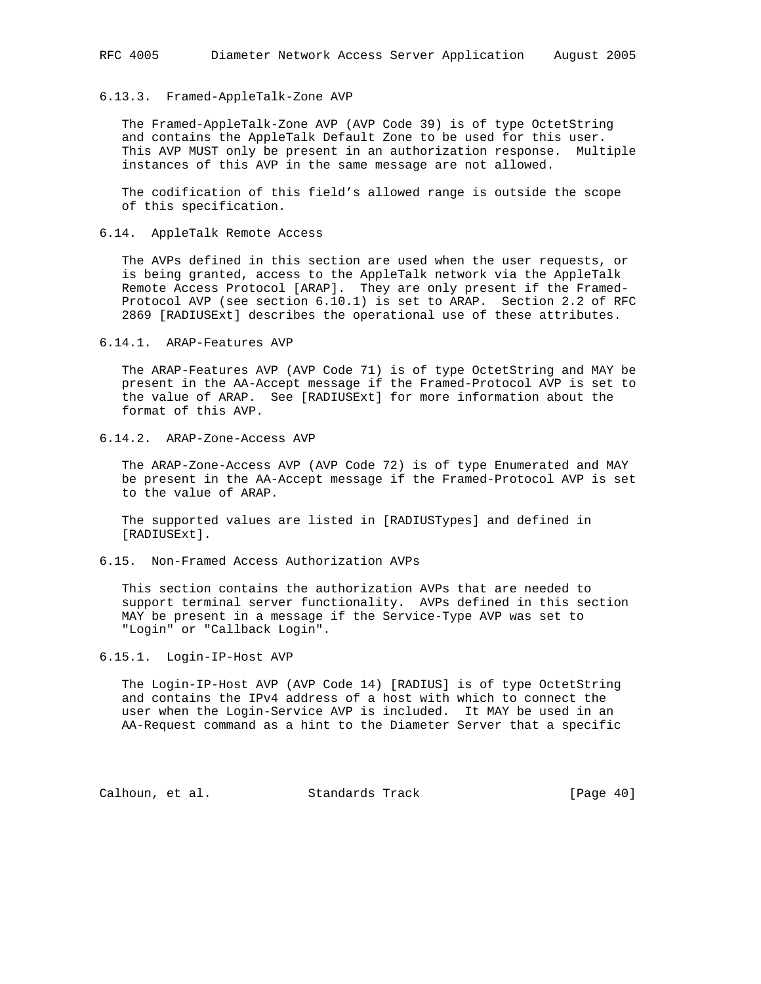#### 6.13.3. Framed-AppleTalk-Zone AVP

 The Framed-AppleTalk-Zone AVP (AVP Code 39) is of type OctetString and contains the AppleTalk Default Zone to be used for this user. This AVP MUST only be present in an authorization response. Multiple instances of this AVP in the same message are not allowed.

 The codification of this field's allowed range is outside the scope of this specification.

6.14. AppleTalk Remote Access

 The AVPs defined in this section are used when the user requests, or is being granted, access to the AppleTalk network via the AppleTalk Remote Access Protocol [ARAP]. They are only present if the Framed- Protocol AVP (see section 6.10.1) is set to ARAP. Section 2.2 of RFC 2869 [RADIUSExt] describes the operational use of these attributes.

6.14.1. ARAP-Features AVP

 The ARAP-Features AVP (AVP Code 71) is of type OctetString and MAY be present in the AA-Accept message if the Framed-Protocol AVP is set to the value of ARAP. See [RADIUSExt] for more information about the format of this AVP.

6.14.2. ARAP-Zone-Access AVP

 The ARAP-Zone-Access AVP (AVP Code 72) is of type Enumerated and MAY be present in the AA-Accept message if the Framed-Protocol AVP is set to the value of ARAP.

 The supported values are listed in [RADIUSTypes] and defined in [RADIUSExt].

6.15. Non-Framed Access Authorization AVPs

 This section contains the authorization AVPs that are needed to support terminal server functionality. AVPs defined in this section MAY be present in a message if the Service-Type AVP was set to "Login" or "Callback Login".

## 6.15.1. Login-IP-Host AVP

 The Login-IP-Host AVP (AVP Code 14) [RADIUS] is of type OctetString and contains the IPv4 address of a host with which to connect the user when the Login-Service AVP is included. It MAY be used in an AA-Request command as a hint to the Diameter Server that a specific

Calhoun, et al. Standards Track [Page 40]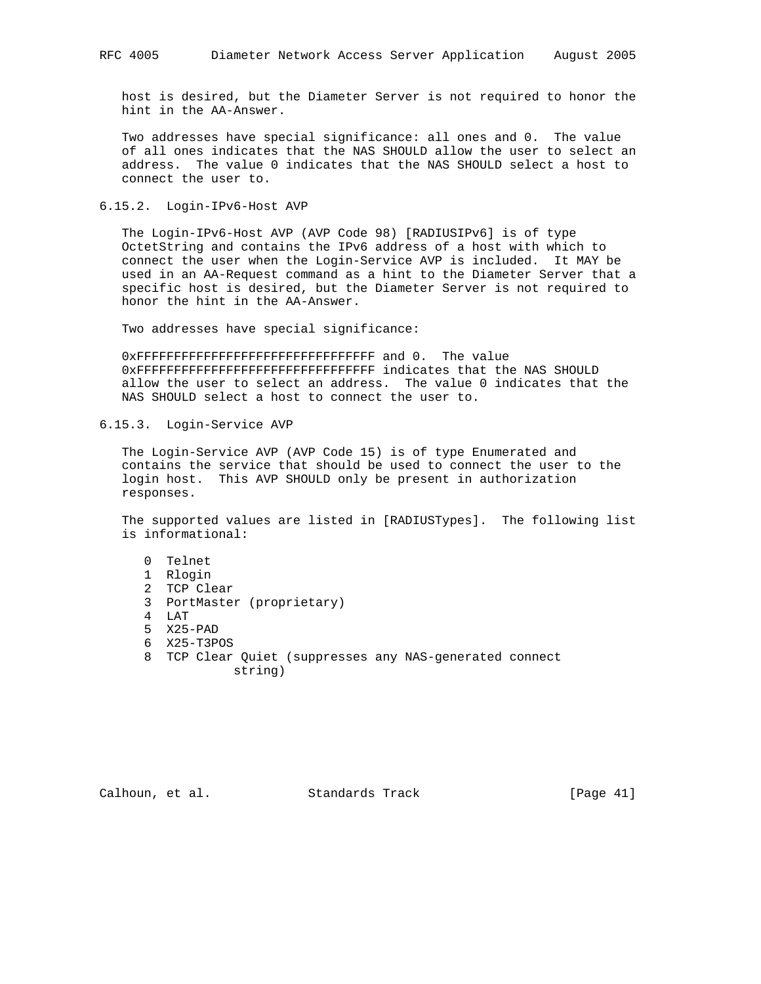host is desired, but the Diameter Server is not required to honor the hint in the AA-Answer.

 Two addresses have special significance: all ones and 0. The value of all ones indicates that the NAS SHOULD allow the user to select an address. The value 0 indicates that the NAS SHOULD select a host to connect the user to.

6.15.2. Login-IPv6-Host AVP

 The Login-IPv6-Host AVP (AVP Code 98) [RADIUSIPv6] is of type OctetString and contains the IPv6 address of a host with which to connect the user when the Login-Service AVP is included. It MAY be used in an AA-Request command as a hint to the Diameter Server that a specific host is desired, but the Diameter Server is not required to honor the hint in the AA-Answer.

Two addresses have special significance:

 0xFFFFFFFFFFFFFFFFFFFFFFFFFFFFFFFF and 0. The value 0xFFFFFFFFFFFFFFFFFFFFFFFFFFFFFFFF indicates that the NAS SHOULD allow the user to select an address. The value 0 indicates that the NAS SHOULD select a host to connect the user to.

6.15.3. Login-Service AVP

 The Login-Service AVP (AVP Code 15) is of type Enumerated and contains the service that should be used to connect the user to the login host. This AVP SHOULD only be present in authorization responses.

 The supported values are listed in [RADIUSTypes]. The following list is informational:

- 0 Telnet
- 1 Rlogin
- 2 TCP Clear
- 3 PortMaster (proprietary)
- 4 LAT
- 5 X25-PAD
- 6 X25-T3POS
- 8 TCP Clear Quiet (suppresses any NAS-generated connect string)

Calhoun, et al. Standards Track [Page 41]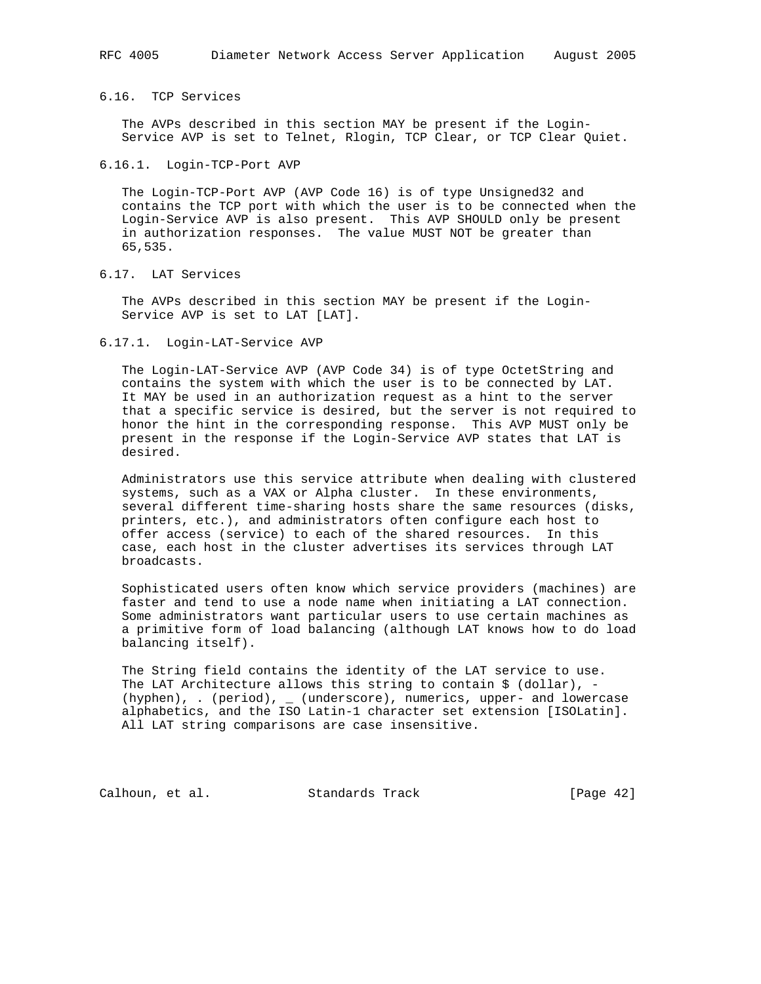## 6.16. TCP Services

 The AVPs described in this section MAY be present if the Login- Service AVP is set to Telnet, Rlogin, TCP Clear, or TCP Clear Quiet.

#### 6.16.1. Login-TCP-Port AVP

 The Login-TCP-Port AVP (AVP Code 16) is of type Unsigned32 and contains the TCP port with which the user is to be connected when the Login-Service AVP is also present. This AVP SHOULD only be present in authorization responses. The value MUST NOT be greater than 65,535.

6.17. LAT Services

 The AVPs described in this section MAY be present if the Login- Service AVP is set to LAT [LAT].

#### 6.17.1. Login-LAT-Service AVP

 The Login-LAT-Service AVP (AVP Code 34) is of type OctetString and contains the system with which the user is to be connected by LAT. It MAY be used in an authorization request as a hint to the server that a specific service is desired, but the server is not required to honor the hint in the corresponding response. This AVP MUST only be present in the response if the Login-Service AVP states that LAT is desired.

 Administrators use this service attribute when dealing with clustered systems, such as a VAX or Alpha cluster. In these environments, several different time-sharing hosts share the same resources (disks, printers, etc.), and administrators often configure each host to offer access (service) to each of the shared resources. In this case, each host in the cluster advertises its services through LAT broadcasts.

 Sophisticated users often know which service providers (machines) are faster and tend to use a node name when initiating a LAT connection. Some administrators want particular users to use certain machines as a primitive form of load balancing (although LAT knows how to do load balancing itself).

 The String field contains the identity of the LAT service to use. The LAT Architecture allows this string to contain  $\zeta$  (dollar), - (hyphen), . (period), \_ (underscore), numerics, upper- and lowercase alphabetics, and the ISO Latin-1 character set extension [ISOLatin]. All LAT string comparisons are case insensitive.

Calhoun, et al. Standards Track [Page 42]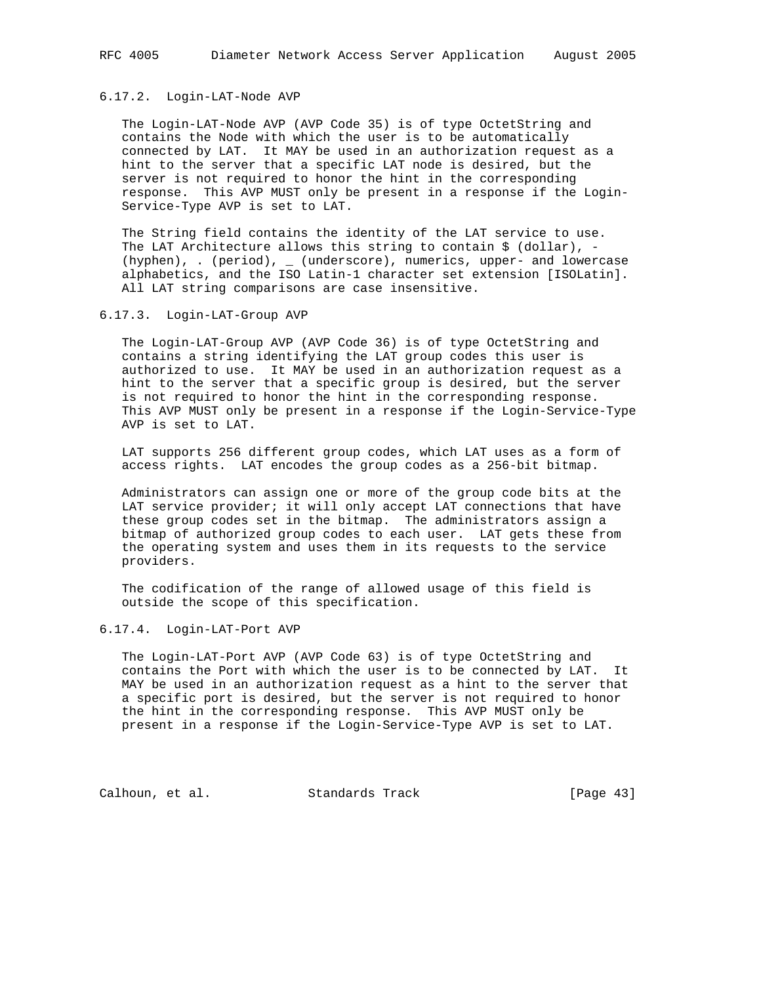# 6.17.2. Login-LAT-Node AVP

 The Login-LAT-Node AVP (AVP Code 35) is of type OctetString and contains the Node with which the user is to be automatically connected by LAT. It MAY be used in an authorization request as a hint to the server that a specific LAT node is desired, but the server is not required to honor the hint in the corresponding response. This AVP MUST only be present in a response if the Login- Service-Type AVP is set to LAT.

 The String field contains the identity of the LAT service to use. The LAT Architecture allows this string to contain  $$$  (dollar), - (hyphen), . (period), \_ (underscore), numerics, upper- and lowercase alphabetics, and the ISO Latin-1 character set extension [ISOLatin]. All LAT string comparisons are case insensitive.

#### 6.17.3. Login-LAT-Group AVP

 The Login-LAT-Group AVP (AVP Code 36) is of type OctetString and contains a string identifying the LAT group codes this user is authorized to use. It MAY be used in an authorization request as a hint to the server that a specific group is desired, but the server is not required to honor the hint in the corresponding response. This AVP MUST only be present in a response if the Login-Service-Type AVP is set to LAT.

 LAT supports 256 different group codes, which LAT uses as a form of access rights. LAT encodes the group codes as a 256-bit bitmap.

 Administrators can assign one or more of the group code bits at the LAT service provider; it will only accept LAT connections that have these group codes set in the bitmap. The administrators assign a bitmap of authorized group codes to each user. LAT gets these from the operating system and uses them in its requests to the service providers.

 The codification of the range of allowed usage of this field is outside the scope of this specification.

## 6.17.4. Login-LAT-Port AVP

 The Login-LAT-Port AVP (AVP Code 63) is of type OctetString and contains the Port with which the user is to be connected by LAT. It MAY be used in an authorization request as a hint to the server that a specific port is desired, but the server is not required to honor the hint in the corresponding response. This AVP MUST only be present in a response if the Login-Service-Type AVP is set to LAT.

Calhoun, et al. Standards Track [Page 43]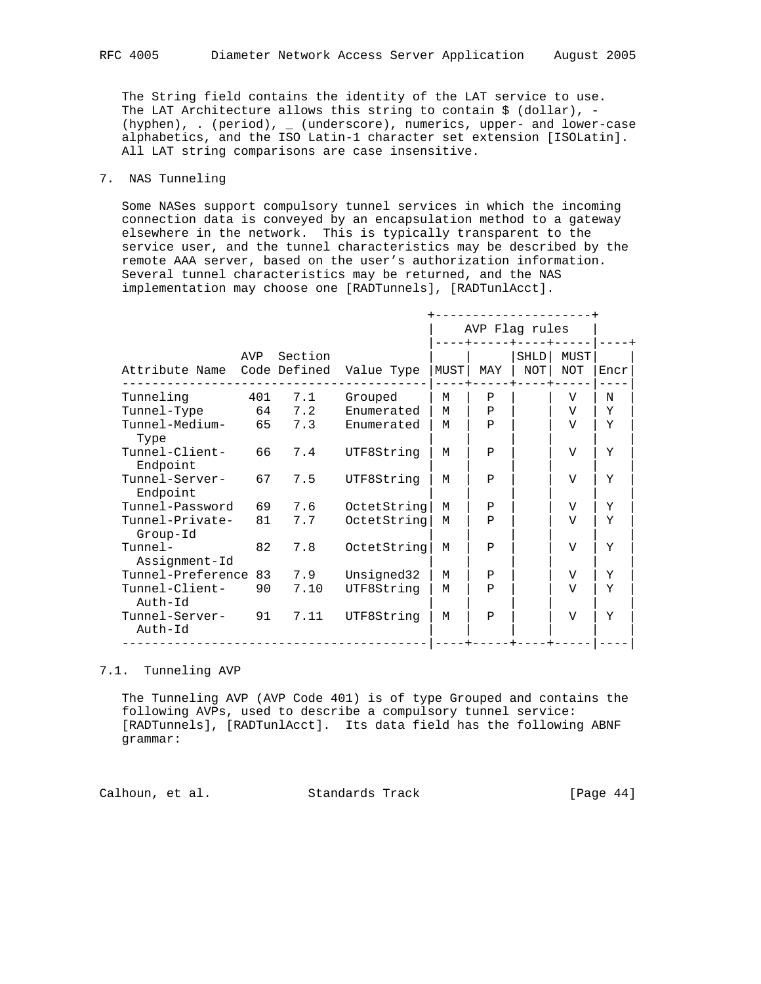The String field contains the identity of the LAT service to use. The LAT Architecture allows this string to contain  $\zeta$  (dollar), -(hyphen), . (period), \_ (underscore), numerics, upper- and lower-case alphabetics, and the ISO Latin-1 character set extension [ISOLatin]. All LAT string comparisons are case insensitive.

## 7. NAS Tunneling

 Some NASes support compulsory tunnel services in which the incoming connection data is conveyed by an encapsulation method to a gateway elsewhere in the network. This is typically transparent to the service user, and the tunnel characteristics may be described by the remote AAA server, based on the user's authorization information. Several tunnel characteristics may be returned, and the NAS implementation may choose one [RADTunnels], [RADTunlAcct].

|                                   |     |         |             |      | AVP Flag rules |                    |                |      |
|-----------------------------------|-----|---------|-------------|------|----------------|--------------------|----------------|------|
| Attribute Name Code Defined       | AVP | Section | Value Type  | MUST | MAY            | SHLD<br><b>NOT</b> | MUST<br>NOT    | Encr |
| Tunneling                         | 401 | 7.1     | Grouped     | М    | $\mathbf{P}$   |                    | V              | N    |
| Tunnel-Type                       |     | 64 7.2  | Enumerated  | М    | Ρ              |                    | V              | Y    |
| Tunnel-Medium-<br>Type            | 65  | 7.3     | Enumerated  | M    | $\mathbf{P}$   |                    | V              | Y    |
| Tunnel-Client-<br>Endpoint        | 66  | 7.4     | UTF8String  | M    | Ρ              |                    | V              | Y    |
| Tunnel-Server-<br>Endpoint        | 67  | 7.5     | UTF8String  | М    | P              |                    | V              | Y    |
| Tunnel-Password                   | 69  | 7.6     | OctetString | M    | Ρ              |                    | V              | Y    |
| Tunnel-Private-<br>Group-Id       | 81  | 7.7     | OctetString | M    | Ρ              |                    | V              | Y    |
| $T$ unne $1-$<br>Assignment-Id    | 82  | 7.8     | OctetString | м    | P              |                    | V              | Y    |
| Tunnel-Preference                 |     | 83 7.9  | Unsigned32  | M    | Ρ              |                    | V              | Y    |
| Tunnel-Client-<br>Auth-Id         | 90  | 7.10    | UTF8String  | M    | $\mathbf{P}$   |                    | $\overline{V}$ | Y    |
| Tunnel-Server- 91 7.11<br>Auth-Id |     |         | UTF8String  | М    | Ρ              |                    | $\overline{V}$ | Y    |

# 7.1. Tunneling AVP

 The Tunneling AVP (AVP Code 401) is of type Grouped and contains the following AVPs, used to describe a compulsory tunnel service: [RADTunnels], [RADTunlAcct]. Its data field has the following ABNF grammar:

Calhoun, et al. Standards Track [Page 44]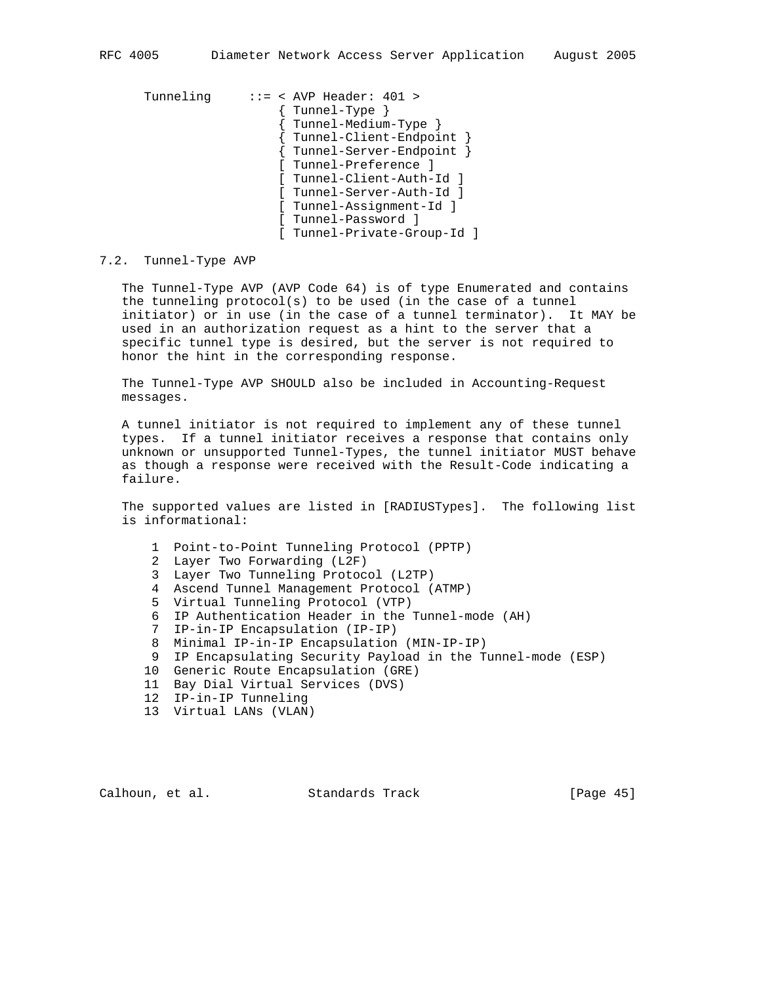Tunneling ::= < AVP Header: 401 > { Tunnel-Type } { Tunnel-Medium-Type } { Tunnel-Client-Endpoint } { Tunnel-Server-Endpoint } [ Tunnel-Preference ] [ Tunnel-Client-Auth-Id ] [ Tunnel-Server-Auth-Id ] [ Tunnel-Assignment-Id ] [ Tunnel-Password ] [ Tunnel-Private-Group-Id ]

#### 7.2. Tunnel-Type AVP

 The Tunnel-Type AVP (AVP Code 64) is of type Enumerated and contains the tunneling protocol(s) to be used (in the case of a tunnel initiator) or in use (in the case of a tunnel terminator). It MAY be used in an authorization request as a hint to the server that a specific tunnel type is desired, but the server is not required to honor the hint in the corresponding response.

 The Tunnel-Type AVP SHOULD also be included in Accounting-Request messages.

 A tunnel initiator is not required to implement any of these tunnel types. If a tunnel initiator receives a response that contains only unknown or unsupported Tunnel-Types, the tunnel initiator MUST behave as though a response were received with the Result-Code indicating a failure.

 The supported values are listed in [RADIUSTypes]. The following list is informational:

- 1 Point-to-Point Tunneling Protocol (PPTP)
- 2 Layer Two Forwarding (L2F)
- 3 Layer Two Tunneling Protocol (L2TP)
- 4 Ascend Tunnel Management Protocol (ATMP)
- 5 Virtual Tunneling Protocol (VTP)
- 6 IP Authentication Header in the Tunnel-mode (AH)
- 7 IP-in-IP Encapsulation (IP-IP)
- 8 Minimal IP-in-IP Encapsulation (MIN-IP-IP)
- 9 IP Encapsulating Security Payload in the Tunnel-mode (ESP)
- 10 Generic Route Encapsulation (GRE)
- 11 Bay Dial Virtual Services (DVS)
- 12 IP-in-IP Tunneling
- 13 Virtual LANs (VLAN)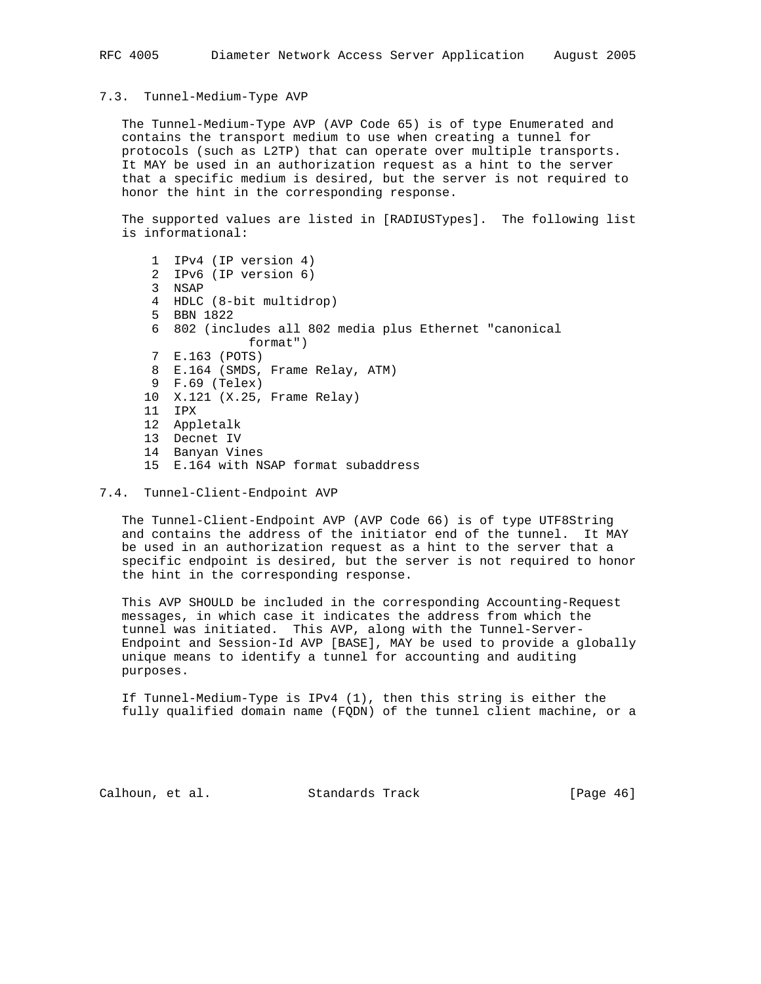#### 7.3. Tunnel-Medium-Type AVP

 The Tunnel-Medium-Type AVP (AVP Code 65) is of type Enumerated and contains the transport medium to use when creating a tunnel for protocols (such as L2TP) that can operate over multiple transports. It MAY be used in an authorization request as a hint to the server that a specific medium is desired, but the server is not required to honor the hint in the corresponding response.

 The supported values are listed in [RADIUSTypes]. The following list is informational:

- 1 IPv4 (IP version 4) 2 IPv6 (IP version 6) 3 NSAP 4 HDLC (8-bit multidrop) 5 BBN 1822 6 802 (includes all 802 media plus Ethernet "canonical format") 7 E.163 (POTS) 8 E.164 (SMDS, Frame Relay, ATM) 9 F.69 (Telex) 10 X.121 (X.25, Frame Relay) 11 IPX 12 Appletalk 13 Decnet IV 14 Banyan Vines 15 E.164 with NSAP format subaddress
- 7.4. Tunnel-Client-Endpoint AVP

 The Tunnel-Client-Endpoint AVP (AVP Code 66) is of type UTF8String and contains the address of the initiator end of the tunnel. It MAY be used in an authorization request as a hint to the server that a specific endpoint is desired, but the server is not required to honor the hint in the corresponding response.

 This AVP SHOULD be included in the corresponding Accounting-Request messages, in which case it indicates the address from which the tunnel was initiated. This AVP, along with the Tunnel-Server- Endpoint and Session-Id AVP [BASE], MAY be used to provide a globally unique means to identify a tunnel for accounting and auditing purposes.

 If Tunnel-Medium-Type is IPv4 (1), then this string is either the fully qualified domain name (FQDN) of the tunnel client machine, or a

Calhoun, et al. Standards Track [Page 46]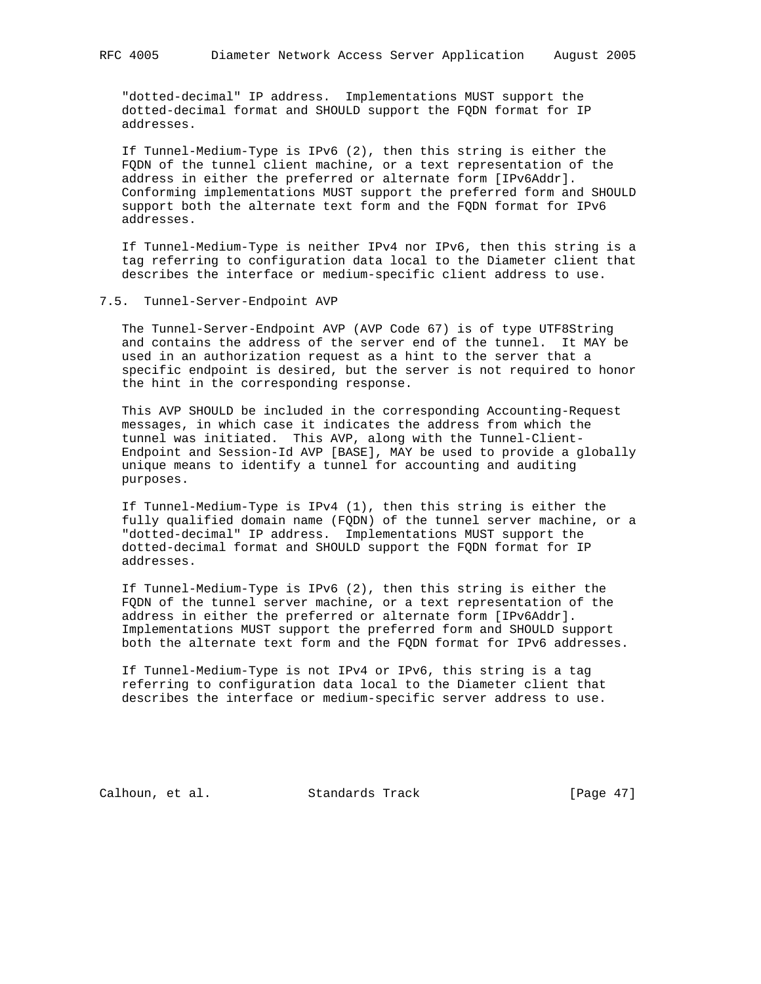"dotted-decimal" IP address. Implementations MUST support the dotted-decimal format and SHOULD support the FQDN format for IP addresses.

 If Tunnel-Medium-Type is IPv6 (2), then this string is either the FQDN of the tunnel client machine, or a text representation of the address in either the preferred or alternate form [IPv6Addr]. Conforming implementations MUST support the preferred form and SHOULD support both the alternate text form and the FQDN format for IPv6 addresses.

 If Tunnel-Medium-Type is neither IPv4 nor IPv6, then this string is a tag referring to configuration data local to the Diameter client that describes the interface or medium-specific client address to use.

#### 7.5. Tunnel-Server-Endpoint AVP

 The Tunnel-Server-Endpoint AVP (AVP Code 67) is of type UTF8String and contains the address of the server end of the tunnel. It MAY be used in an authorization request as a hint to the server that a specific endpoint is desired, but the server is not required to honor the hint in the corresponding response.

 This AVP SHOULD be included in the corresponding Accounting-Request messages, in which case it indicates the address from which the tunnel was initiated. This AVP, along with the Tunnel-Client- Endpoint and Session-Id AVP [BASE], MAY be used to provide a globally unique means to identify a tunnel for accounting and auditing purposes.

 If Tunnel-Medium-Type is IPv4 (1), then this string is either the fully qualified domain name (FQDN) of the tunnel server machine, or a "dotted-decimal" IP address. Implementations MUST support the dotted-decimal format and SHOULD support the FQDN format for IP addresses.

 If Tunnel-Medium-Type is IPv6 (2), then this string is either the FQDN of the tunnel server machine, or a text representation of the address in either the preferred or alternate form [IPv6Addr]. Implementations MUST support the preferred form and SHOULD support both the alternate text form and the FQDN format for IPv6 addresses.

 If Tunnel-Medium-Type is not IPv4 or IPv6, this string is a tag referring to configuration data local to the Diameter client that describes the interface or medium-specific server address to use.

Calhoun, et al. Standards Track [Page 47]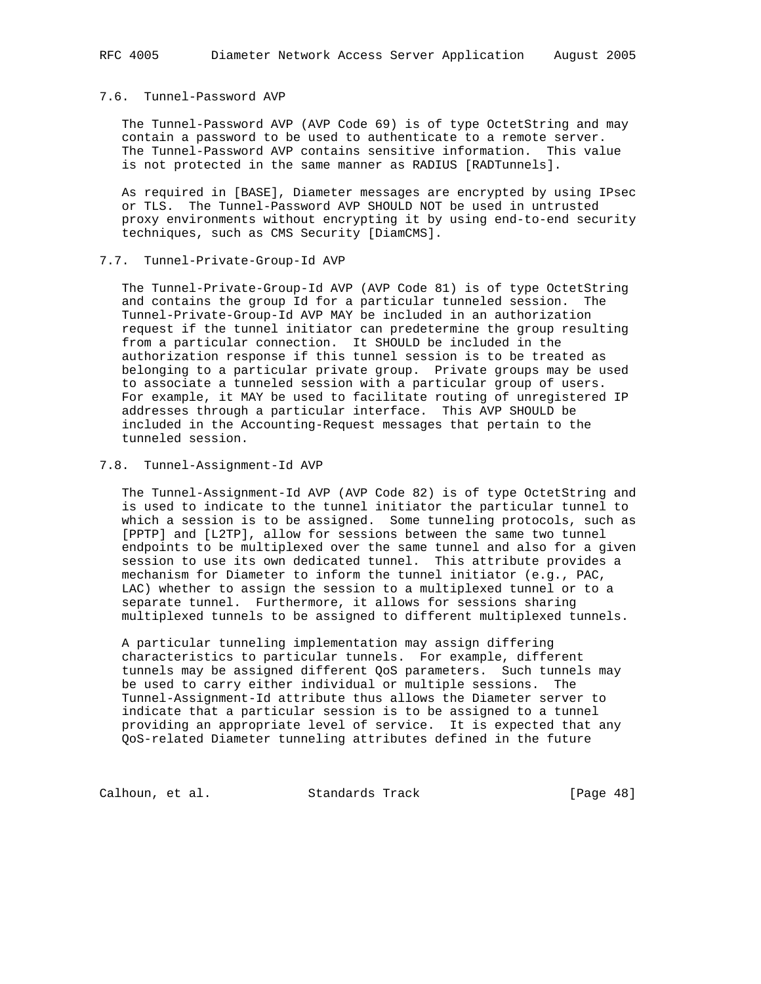## 7.6. Tunnel-Password AVP

 The Tunnel-Password AVP (AVP Code 69) is of type OctetString and may contain a password to be used to authenticate to a remote server. The Tunnel-Password AVP contains sensitive information. This value is not protected in the same manner as RADIUS [RADTunnels].

 As required in [BASE], Diameter messages are encrypted by using IPsec or TLS. The Tunnel-Password AVP SHOULD NOT be used in untrusted proxy environments without encrypting it by using end-to-end security techniques, such as CMS Security [DiamCMS].

#### 7.7. Tunnel-Private-Group-Id AVP

 The Tunnel-Private-Group-Id AVP (AVP Code 81) is of type OctetString and contains the group Id for a particular tunneled session. The Tunnel-Private-Group-Id AVP MAY be included in an authorization request if the tunnel initiator can predetermine the group resulting from a particular connection. It SHOULD be included in the authorization response if this tunnel session is to be treated as belonging to a particular private group. Private groups may be used to associate a tunneled session with a particular group of users. For example, it MAY be used to facilitate routing of unregistered IP addresses through a particular interface. This AVP SHOULD be included in the Accounting-Request messages that pertain to the tunneled session.

## 7.8. Tunnel-Assignment-Id AVP

 The Tunnel-Assignment-Id AVP (AVP Code 82) is of type OctetString and is used to indicate to the tunnel initiator the particular tunnel to which a session is to be assigned. Some tunneling protocols, such as [PPTP] and [L2TP], allow for sessions between the same two tunnel endpoints to be multiplexed over the same tunnel and also for a given session to use its own dedicated tunnel. This attribute provides a mechanism for Diameter to inform the tunnel initiator (e.g., PAC, LAC) whether to assign the session to a multiplexed tunnel or to a separate tunnel. Furthermore, it allows for sessions sharing multiplexed tunnels to be assigned to different multiplexed tunnels.

 A particular tunneling implementation may assign differing characteristics to particular tunnels. For example, different tunnels may be assigned different QoS parameters. Such tunnels may be used to carry either individual or multiple sessions. The Tunnel-Assignment-Id attribute thus allows the Diameter server to indicate that a particular session is to be assigned to a tunnel providing an appropriate level of service. It is expected that any QoS-related Diameter tunneling attributes defined in the future

Calhoun, et al. Standards Track [Page 48]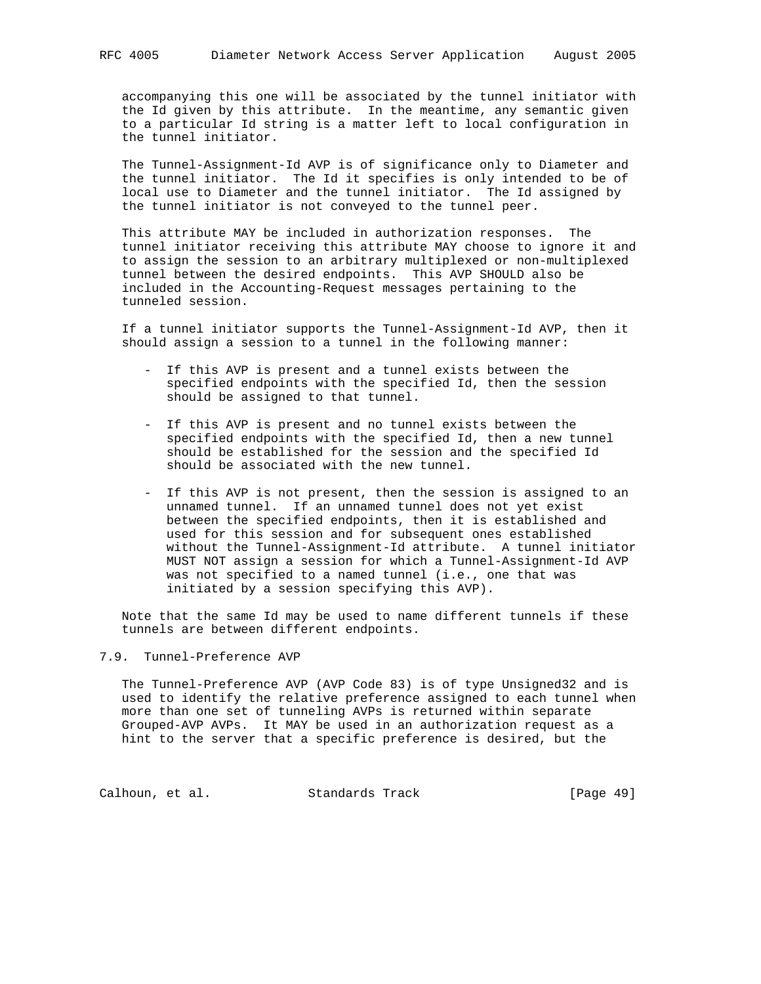accompanying this one will be associated by the tunnel initiator with the Id given by this attribute. In the meantime, any semantic given to a particular Id string is a matter left to local configuration in the tunnel initiator.

 The Tunnel-Assignment-Id AVP is of significance only to Diameter and the tunnel initiator. The Id it specifies is only intended to be of local use to Diameter and the tunnel initiator. The Id assigned by the tunnel initiator is not conveyed to the tunnel peer.

 This attribute MAY be included in authorization responses. The tunnel initiator receiving this attribute MAY choose to ignore it and to assign the session to an arbitrary multiplexed or non-multiplexed tunnel between the desired endpoints. This AVP SHOULD also be included in the Accounting-Request messages pertaining to the tunneled session.

 If a tunnel initiator supports the Tunnel-Assignment-Id AVP, then it should assign a session to a tunnel in the following manner:

- If this AVP is present and a tunnel exists between the specified endpoints with the specified Id, then the session should be assigned to that tunnel.
- If this AVP is present and no tunnel exists between the specified endpoints with the specified Id, then a new tunnel should be established for the session and the specified Id should be associated with the new tunnel.
- If this AVP is not present, then the session is assigned to an unnamed tunnel. If an unnamed tunnel does not yet exist between the specified endpoints, then it is established and used for this session and for subsequent ones established without the Tunnel-Assignment-Id attribute. A tunnel initiator MUST NOT assign a session for which a Tunnel-Assignment-Id AVP was not specified to a named tunnel (i.e., one that was initiated by a session specifying this AVP).

 Note that the same Id may be used to name different tunnels if these tunnels are between different endpoints.

# 7.9. Tunnel-Preference AVP

 The Tunnel-Preference AVP (AVP Code 83) is of type Unsigned32 and is used to identify the relative preference assigned to each tunnel when more than one set of tunneling AVPs is returned within separate Grouped-AVP AVPs. It MAY be used in an authorization request as a hint to the server that a specific preference is desired, but the

Calhoun, et al. Standards Track [Page 49]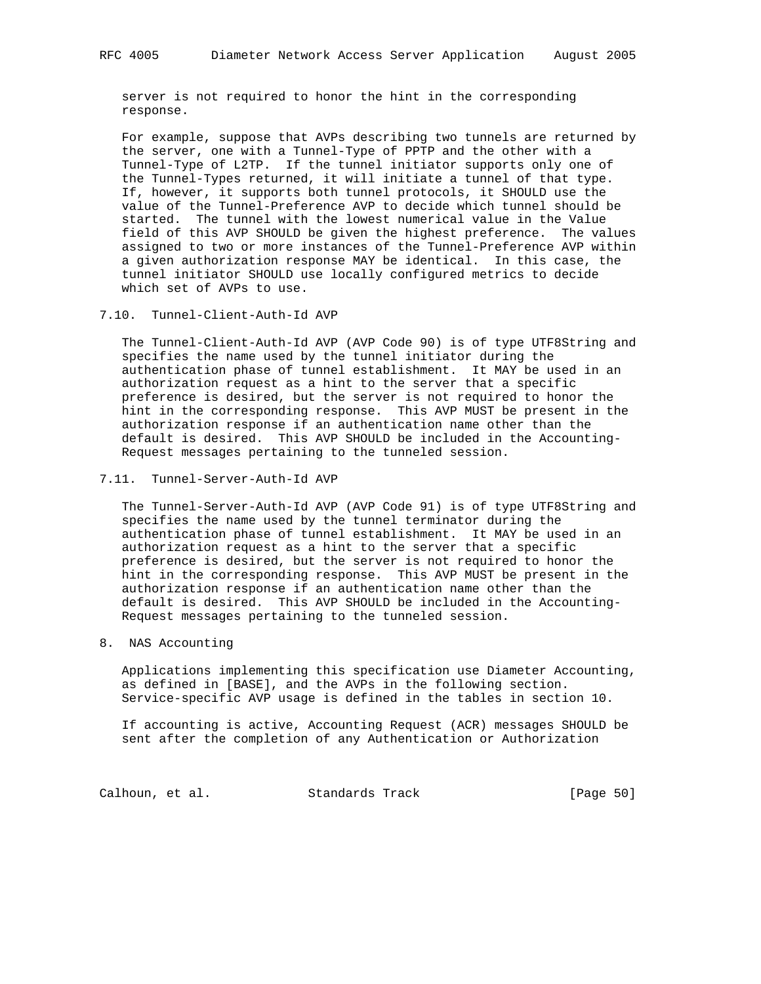server is not required to honor the hint in the corresponding response.

 For example, suppose that AVPs describing two tunnels are returned by the server, one with a Tunnel-Type of PPTP and the other with a Tunnel-Type of L2TP. If the tunnel initiator supports only one of the Tunnel-Types returned, it will initiate a tunnel of that type. If, however, it supports both tunnel protocols, it SHOULD use the value of the Tunnel-Preference AVP to decide which tunnel should be started. The tunnel with the lowest numerical value in the Value field of this AVP SHOULD be given the highest preference. The values assigned to two or more instances of the Tunnel-Preference AVP within a given authorization response MAY be identical. In this case, the tunnel initiator SHOULD use locally configured metrics to decide which set of AVPs to use.

7.10. Tunnel-Client-Auth-Id AVP

 The Tunnel-Client-Auth-Id AVP (AVP Code 90) is of type UTF8String and specifies the name used by the tunnel initiator during the authentication phase of tunnel establishment. It MAY be used in an authorization request as a hint to the server that a specific preference is desired, but the server is not required to honor the hint in the corresponding response. This AVP MUST be present in the authorization response if an authentication name other than the default is desired. This AVP SHOULD be included in the Accounting- Request messages pertaining to the tunneled session.

7.11. Tunnel-Server-Auth-Id AVP

 The Tunnel-Server-Auth-Id AVP (AVP Code 91) is of type UTF8String and specifies the name used by the tunnel terminator during the authentication phase of tunnel establishment. It MAY be used in an authorization request as a hint to the server that a specific preference is desired, but the server is not required to honor the hint in the corresponding response. This AVP MUST be present in the authorization response if an authentication name other than the default is desired. This AVP SHOULD be included in the Accounting- Request messages pertaining to the tunneled session.

8. NAS Accounting

 Applications implementing this specification use Diameter Accounting, as defined in [BASE], and the AVPs in the following section. Service-specific AVP usage is defined in the tables in section 10.

 If accounting is active, Accounting Request (ACR) messages SHOULD be sent after the completion of any Authentication or Authorization

Calhoun, et al. Standards Track [Page 50]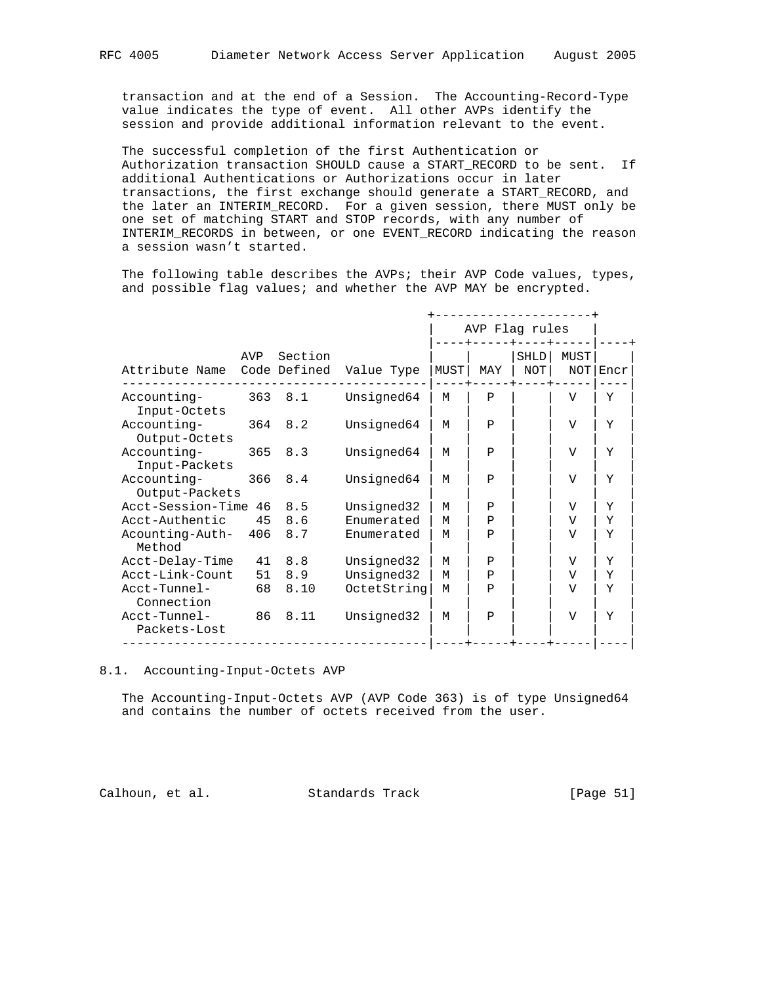transaction and at the end of a Session. The Accounting-Record-Type value indicates the type of event. All other AVPs identify the session and provide additional information relevant to the event.

 The successful completion of the first Authentication or Authorization transaction SHOULD cause a START\_RECORD to be sent. If additional Authentications or Authorizations occur in later transactions, the first exchange should generate a START\_RECORD, and the later an INTERIM\_RECORD. For a given session, there MUST only be one set of matching START and STOP records, with any number of INTERIM\_RECORDS in between, or one EVENT\_RECORD indicating the reason a session wasn't started.

The following table describes the AVPs; their AVP Code values, types, and possible flag values; and whether the AVP MAY be encrypted.

|                                      |         |         |             |      | AVP Flag rules |             |                |      |
|--------------------------------------|---------|---------|-------------|------|----------------|-------------|----------------|------|
| Attribute Name Code Defined          | AVP     | Section | Value Type  | MUST | MAY            | SHLD<br>NOT | MUST<br>NOT    | Encr |
| Accounting-<br>Input-Octets          | 363 8.1 |         | Unsigned64  | M    | $\mathbf{P}$   |             | V              | Y    |
| Accounting-<br>Output-Octets         | 364 8.2 |         | Unsigned64  | M    | $\mathbf{P}$   |             | V              | Y    |
| Accounting-<br>Input-Packets         |         | 365 8.3 | Unsigned64  | М    | Ρ              |             | $\overline{V}$ | Y    |
| Accounting-<br>Output-Packets        | 366 8.4 |         | Unsigned64  | м    | $\mathbf{P}$   |             | V              | Y    |
| Acct-Session-Time 46 8.5             |         |         | Unsigned32  | M    | Ρ              |             | V              | Y    |
| Acct-Authentic                       | 45      | 8.6     | Enumerated  | M    | $\mathbf{P}$   |             | V              | Y    |
| Acounting-Auth- 406<br>Method        |         | 8.7     | Enumerated  | M    | $\mathbf{P}$   |             | V              | Y    |
| Acct-Delay-Time                      |         | 41 8.8  | Unsigned32  | M    | Ρ              |             | V              | Y    |
| Acct-Link-Count                      |         | 51 8.9  | Unsigned32  | M    | Ρ              |             | V              | Y    |
| Acct-Tunnel-<br>Connection           | 68      | 8.10    | OctetString | M    | $\mathbf{P}$   |             | V              | Y    |
| Acct-Tunnel- 86 8.11<br>Packets-Lost |         |         | Unsigned32  | M    | $\mathbf{P}$   |             | $\overline{V}$ | Y    |

#### 8.1. Accounting-Input-Octets AVP

 The Accounting-Input-Octets AVP (AVP Code 363) is of type Unsigned64 and contains the number of octets received from the user.

Calhoun, et al. Standards Track [Page 51]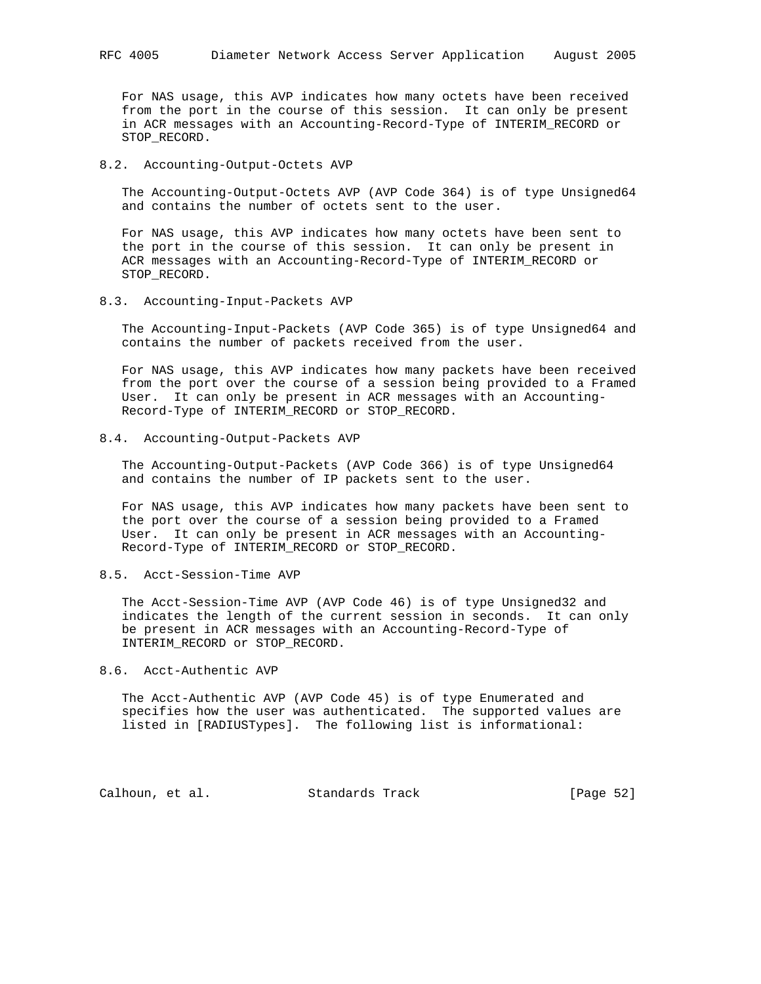For NAS usage, this AVP indicates how many octets have been received from the port in the course of this session. It can only be present in ACR messages with an Accounting-Record-Type of INTERIM\_RECORD or STOP\_RECORD.

## 8.2. Accounting-Output-Octets AVP

 The Accounting-Output-Octets AVP (AVP Code 364) is of type Unsigned64 and contains the number of octets sent to the user.

 For NAS usage, this AVP indicates how many octets have been sent to the port in the course of this session. It can only be present in ACR messages with an Accounting-Record-Type of INTERIM\_RECORD or STOP\_RECORD.

## 8.3. Accounting-Input-Packets AVP

 The Accounting-Input-Packets (AVP Code 365) is of type Unsigned64 and contains the number of packets received from the user.

 For NAS usage, this AVP indicates how many packets have been received from the port over the course of a session being provided to a Framed User. It can only be present in ACR messages with an Accounting- Record-Type of INTERIM\_RECORD or STOP\_RECORD.

## 8.4. Accounting-Output-Packets AVP

 The Accounting-Output-Packets (AVP Code 366) is of type Unsigned64 and contains the number of IP packets sent to the user.

 For NAS usage, this AVP indicates how many packets have been sent to the port over the course of a session being provided to a Framed User. It can only be present in ACR messages with an Accounting- Record-Type of INTERIM\_RECORD or STOP\_RECORD.

# 8.5. Acct-Session-Time AVP

 The Acct-Session-Time AVP (AVP Code 46) is of type Unsigned32 and indicates the length of the current session in seconds. It can only be present in ACR messages with an Accounting-Record-Type of INTERIM\_RECORD or STOP\_RECORD.

#### 8.6. Acct-Authentic AVP

 The Acct-Authentic AVP (AVP Code 45) is of type Enumerated and specifies how the user was authenticated. The supported values are listed in [RADIUSTypes]. The following list is informational:

Calhoun, et al. Standards Track [Page 52]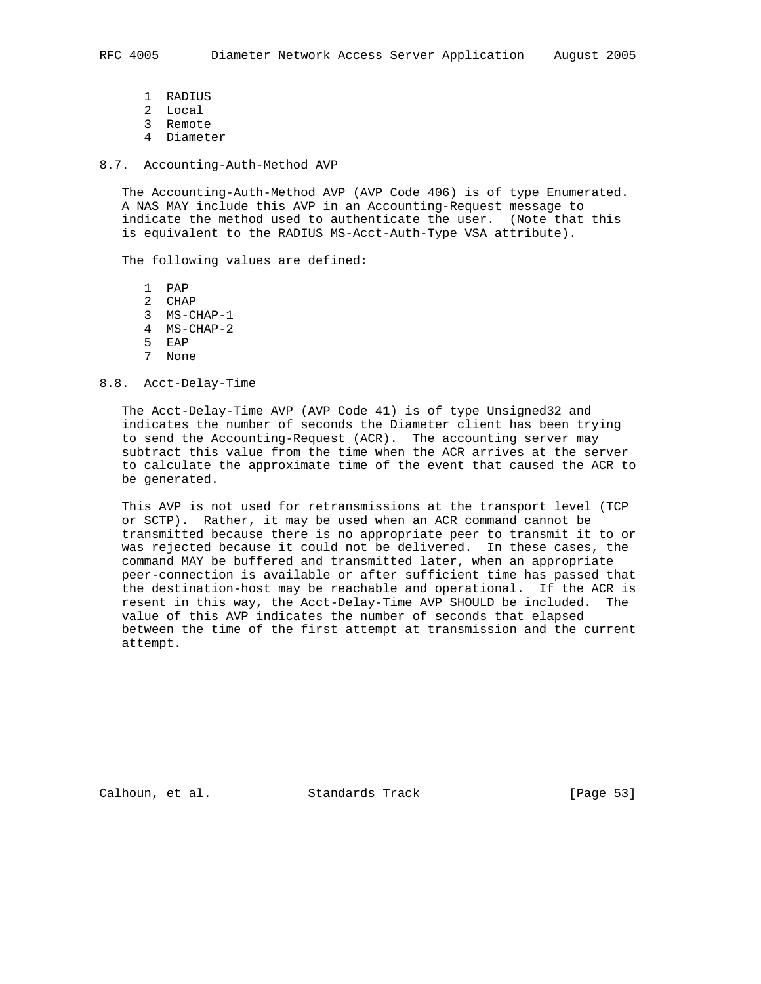- 1 RADIUS
- 2 Local
- 3 Remote
- 4 Diameter

#### 8.7. Accounting-Auth-Method AVP

 The Accounting-Auth-Method AVP (AVP Code 406) is of type Enumerated. A NAS MAY include this AVP in an Accounting-Request message to indicate the method used to authenticate the user. (Note that this is equivalent to the RADIUS MS-Acct-Auth-Type VSA attribute).

The following values are defined:

 1 PAP 2 CHAP 3 MS-CHAP-1 4 MS-CHAP-2 5 EAP 7 None

# 8.8. Acct-Delay-Time

 The Acct-Delay-Time AVP (AVP Code 41) is of type Unsigned32 and indicates the number of seconds the Diameter client has been trying to send the Accounting-Request (ACR). The accounting server may subtract this value from the time when the ACR arrives at the server to calculate the approximate time of the event that caused the ACR to be generated.

 This AVP is not used for retransmissions at the transport level (TCP or SCTP). Rather, it may be used when an ACR command cannot be transmitted because there is no appropriate peer to transmit it to or was rejected because it could not be delivered. In these cases, the command MAY be buffered and transmitted later, when an appropriate peer-connection is available or after sufficient time has passed that the destination-host may be reachable and operational. If the ACR is resent in this way, the Acct-Delay-Time AVP SHOULD be included. The value of this AVP indicates the number of seconds that elapsed between the time of the first attempt at transmission and the current attempt.

Calhoun, et al. Standards Track [Page 53]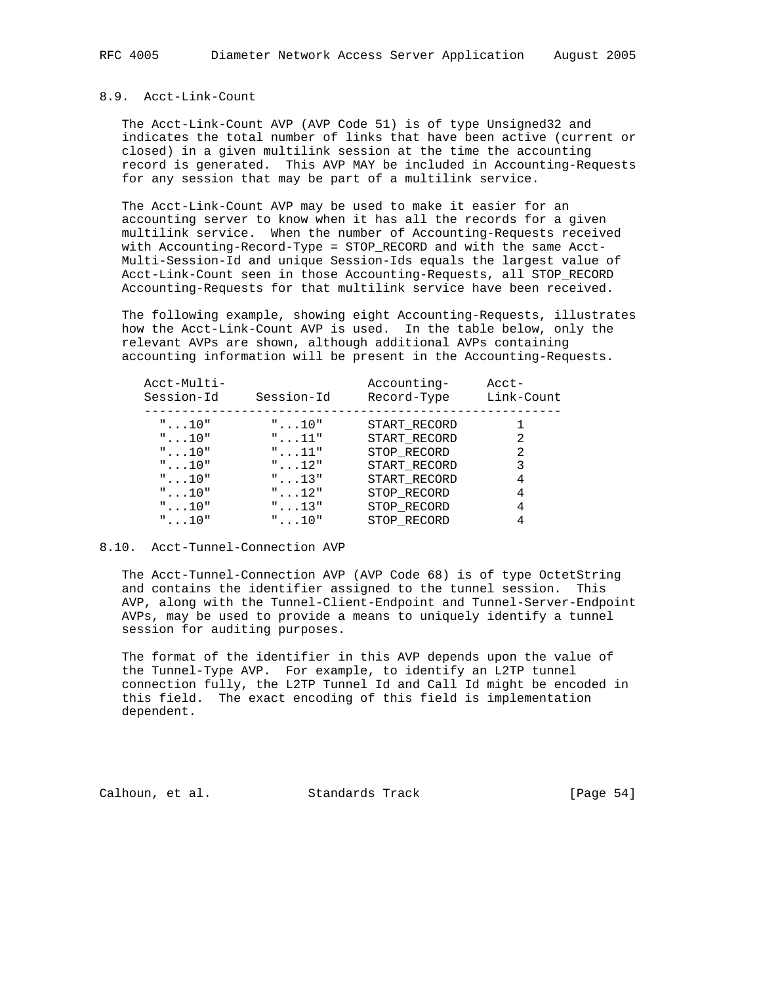## 8.9. Acct-Link-Count

 The Acct-Link-Count AVP (AVP Code 51) is of type Unsigned32 and indicates the total number of links that have been active (current or closed) in a given multilink session at the time the accounting record is generated. This AVP MAY be included in Accounting-Requests for any session that may be part of a multilink service.

 The Acct-Link-Count AVP may be used to make it easier for an accounting server to know when it has all the records for a given multilink service. When the number of Accounting-Requests received with Accounting-Record-Type = STOP\_RECORD and with the same Acct- Multi-Session-Id and unique Session-Ids equals the largest value of Acct-Link-Count seen in those Accounting-Requests, all STOP\_RECORD Accounting-Requests for that multilink service have been received.

 The following example, showing eight Accounting-Requests, illustrates how the Acct-Link-Count AVP is used. In the table below, only the relevant AVPs are shown, although additional AVPs containing accounting information will be present in the Accounting-Requests.

| Acct-Multi-<br>Session-Id | Session-Id     | Accounting-<br>Record-Type | Acct-<br>Link-Count |
|---------------------------|----------------|----------------------------|---------------------|
| $" \ldots 10"$            | $" \ldots 10"$ | START RECORD               |                     |
| $" \ldots 10"$            | $" \ldots 11"$ | START RECORD               | 2                   |
| $" \ldots 10"$            | $" \ldots 11"$ | STOP RECORD                | 2                   |
| $" \ldots 10"$            | $" \ldots 12"$ | START RECORD               | 3                   |
| $" \ldots 10"$            | $" \dots 13"$  | START RECORD               | 4                   |
| $" \dots 10"$             | $" \ldots 12"$ | STOP RECORD                | 4                   |
| $" \ldots 10"$            | $" \dots 13"$  | STOP RECORD                | 4                   |
| $" \ldots 10"$            | $" \ldots 10"$ | STOP RECORD                |                     |

## 8.10. Acct-Tunnel-Connection AVP

 The Acct-Tunnel-Connection AVP (AVP Code 68) is of type OctetString and contains the identifier assigned to the tunnel session. This AVP, along with the Tunnel-Client-Endpoint and Tunnel-Server-Endpoint AVPs, may be used to provide a means to uniquely identify a tunnel session for auditing purposes.

 The format of the identifier in this AVP depends upon the value of the Tunnel-Type AVP. For example, to identify an L2TP tunnel connection fully, the L2TP Tunnel Id and Call Id might be encoded in this field. The exact encoding of this field is implementation dependent.

Calhoun, et al. Standards Track [Page 54]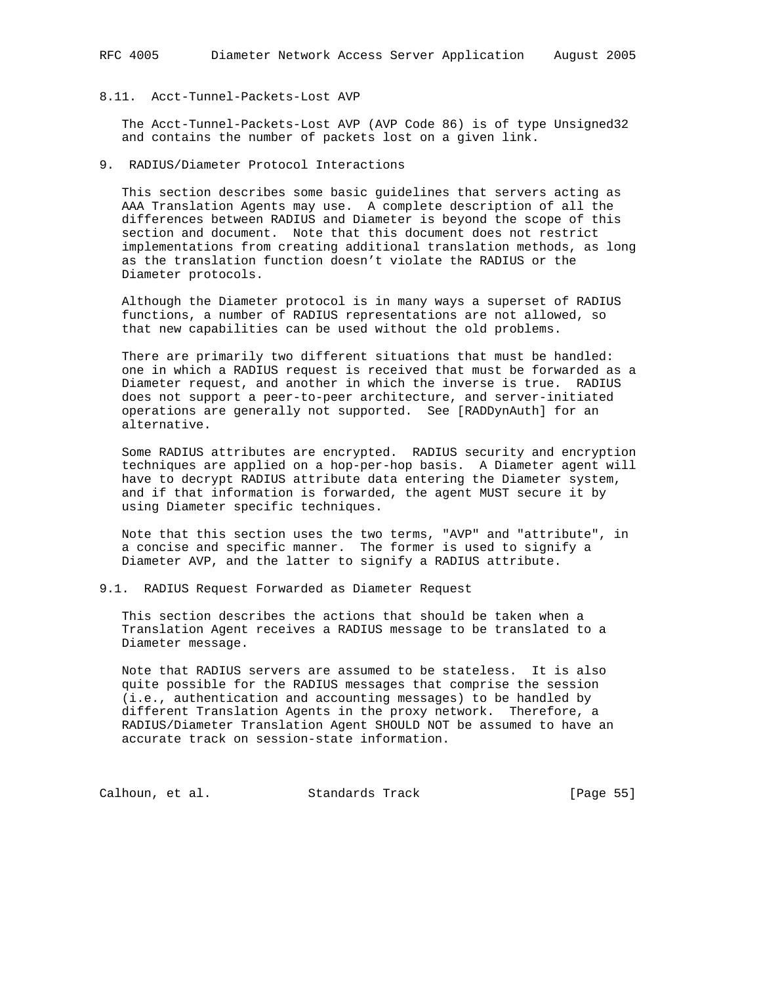# 8.11. Acct-Tunnel-Packets-Lost AVP

 The Acct-Tunnel-Packets-Lost AVP (AVP Code 86) is of type Unsigned32 and contains the number of packets lost on a given link.

## 9. RADIUS/Diameter Protocol Interactions

 This section describes some basic guidelines that servers acting as AAA Translation Agents may use. A complete description of all the differences between RADIUS and Diameter is beyond the scope of this section and document. Note that this document does not restrict implementations from creating additional translation methods, as long as the translation function doesn't violate the RADIUS or the Diameter protocols.

 Although the Diameter protocol is in many ways a superset of RADIUS functions, a number of RADIUS representations are not allowed, so that new capabilities can be used without the old problems.

 There are primarily two different situations that must be handled: one in which a RADIUS request is received that must be forwarded as a Diameter request, and another in which the inverse is true. RADIUS does not support a peer-to-peer architecture, and server-initiated operations are generally not supported. See [RADDynAuth] for an alternative.

 Some RADIUS attributes are encrypted. RADIUS security and encryption techniques are applied on a hop-per-hop basis. A Diameter agent will have to decrypt RADIUS attribute data entering the Diameter system, and if that information is forwarded, the agent MUST secure it by using Diameter specific techniques.

 Note that this section uses the two terms, "AVP" and "attribute", in a concise and specific manner. The former is used to signify a Diameter AVP, and the latter to signify a RADIUS attribute.

9.1. RADIUS Request Forwarded as Diameter Request

 This section describes the actions that should be taken when a Translation Agent receives a RADIUS message to be translated to a Diameter message.

 Note that RADIUS servers are assumed to be stateless. It is also quite possible for the RADIUS messages that comprise the session (i.e., authentication and accounting messages) to be handled by different Translation Agents in the proxy network. Therefore, a RADIUS/Diameter Translation Agent SHOULD NOT be assumed to have an accurate track on session-state information.

Calhoun, et al. Standards Track [Page 55]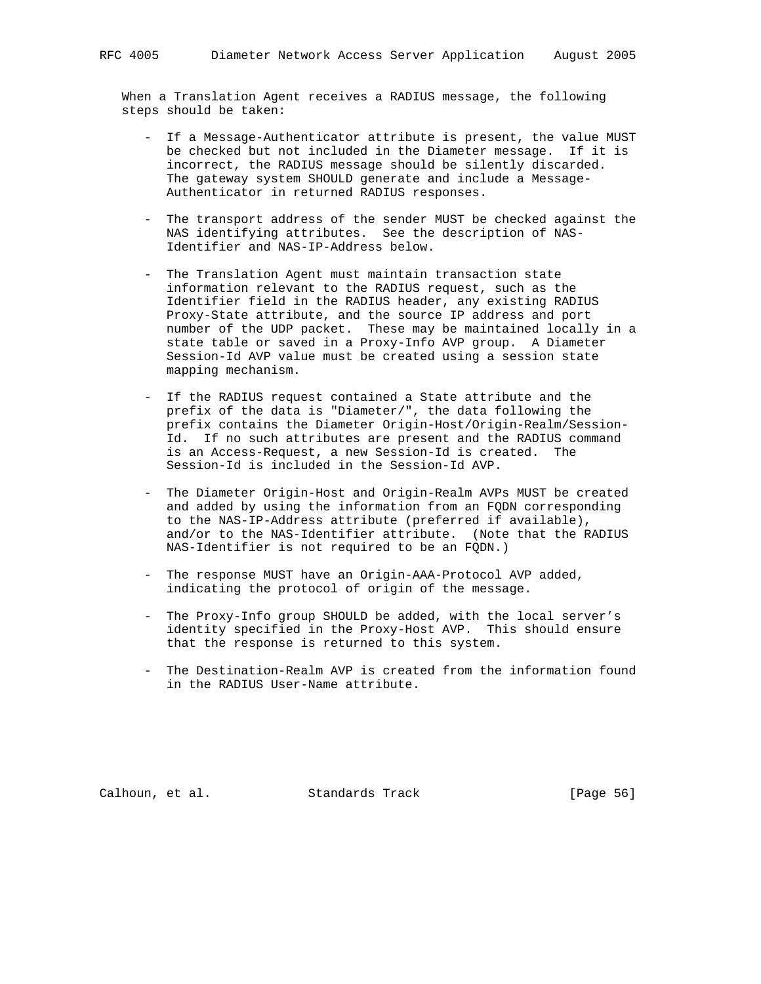When a Translation Agent receives a RADIUS message, the following steps should be taken:

- If a Message-Authenticator attribute is present, the value MUST be checked but not included in the Diameter message. If it is incorrect, the RADIUS message should be silently discarded. The gateway system SHOULD generate and include a Message- Authenticator in returned RADIUS responses.
- The transport address of the sender MUST be checked against the NAS identifying attributes. See the description of NAS- Identifier and NAS-IP-Address below.
- The Translation Agent must maintain transaction state information relevant to the RADIUS request, such as the Identifier field in the RADIUS header, any existing RADIUS Proxy-State attribute, and the source IP address and port number of the UDP packet. These may be maintained locally in a state table or saved in a Proxy-Info AVP group. A Diameter Session-Id AVP value must be created using a session state mapping mechanism.
- If the RADIUS request contained a State attribute and the prefix of the data is "Diameter/", the data following the prefix contains the Diameter Origin-Host/Origin-Realm/Session- Id. If no such attributes are present and the RADIUS command is an Access-Request, a new Session-Id is created. The Session-Id is included in the Session-Id AVP.
- The Diameter Origin-Host and Origin-Realm AVPs MUST be created and added by using the information from an FQDN corresponding to the NAS-IP-Address attribute (preferred if available), and/or to the NAS-Identifier attribute. (Note that the RADIUS NAS-Identifier is not required to be an FQDN.)
- The response MUST have an Origin-AAA-Protocol AVP added, indicating the protocol of origin of the message.
- The Proxy-Info group SHOULD be added, with the local server's identity specified in the Proxy-Host AVP. This should ensure that the response is returned to this system.
- The Destination-Realm AVP is created from the information found in the RADIUS User-Name attribute.

Calhoun, et al. Standards Track [Page 56]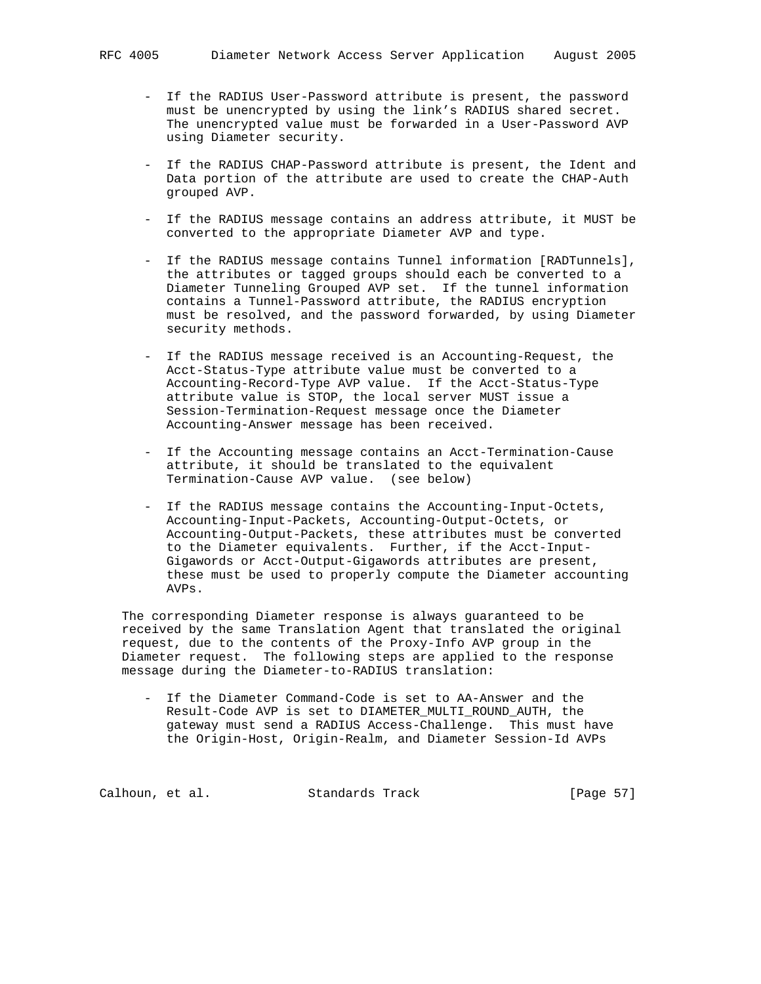- If the RADIUS User-Password attribute is present, the password must be unencrypted by using the link's RADIUS shared secret. The unencrypted value must be forwarded in a User-Password AVP using Diameter security.
- If the RADIUS CHAP-Password attribute is present, the Ident and Data portion of the attribute are used to create the CHAP-Auth grouped AVP.
- If the RADIUS message contains an address attribute, it MUST be converted to the appropriate Diameter AVP and type.
- If the RADIUS message contains Tunnel information [RADTunnels], the attributes or tagged groups should each be converted to a Diameter Tunneling Grouped AVP set. If the tunnel information contains a Tunnel-Password attribute, the RADIUS encryption must be resolved, and the password forwarded, by using Diameter security methods.
- If the RADIUS message received is an Accounting-Request, the Acct-Status-Type attribute value must be converted to a Accounting-Record-Type AVP value. If the Acct-Status-Type attribute value is STOP, the local server MUST issue a Session-Termination-Request message once the Diameter Accounting-Answer message has been received.
- If the Accounting message contains an Acct-Termination-Cause attribute, it should be translated to the equivalent Termination-Cause AVP value. (see below)
- If the RADIUS message contains the Accounting-Input-Octets, Accounting-Input-Packets, Accounting-Output-Octets, or Accounting-Output-Packets, these attributes must be converted to the Diameter equivalents. Further, if the Acct-Input- Gigawords or Acct-Output-Gigawords attributes are present, these must be used to properly compute the Diameter accounting AVPs.

 The corresponding Diameter response is always guaranteed to be received by the same Translation Agent that translated the original request, due to the contents of the Proxy-Info AVP group in the Diameter request. The following steps are applied to the response message during the Diameter-to-RADIUS translation:

 - If the Diameter Command-Code is set to AA-Answer and the Result-Code AVP is set to DIAMETER\_MULTI\_ROUND\_AUTH, the gateway must send a RADIUS Access-Challenge. This must have the Origin-Host, Origin-Realm, and Diameter Session-Id AVPs

Calhoun, et al. Standards Track [Page 57]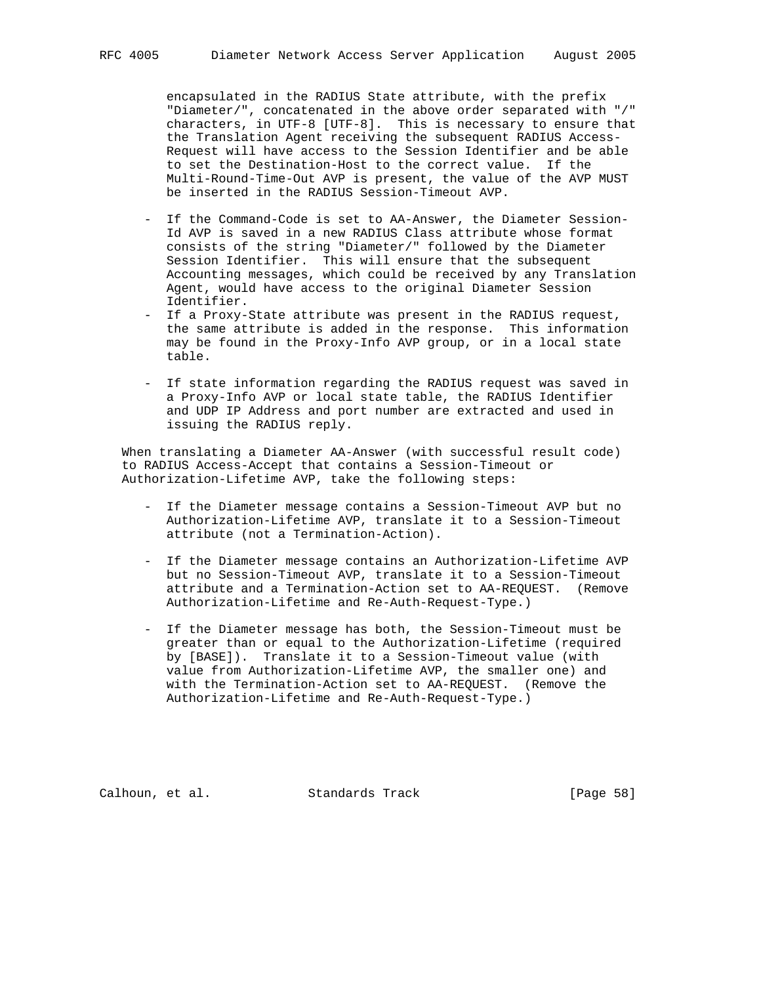encapsulated in the RADIUS State attribute, with the prefix "Diameter/", concatenated in the above order separated with "/" characters, in UTF-8 [UTF-8]. This is necessary to ensure that the Translation Agent receiving the subsequent RADIUS Access- Request will have access to the Session Identifier and be able to set the Destination-Host to the correct value. If the Multi-Round-Time-Out AVP is present, the value of the AVP MUST be inserted in the RADIUS Session-Timeout AVP.

- If the Command-Code is set to AA-Answer, the Diameter Session- Id AVP is saved in a new RADIUS Class attribute whose format consists of the string "Diameter/" followed by the Diameter Session Identifier. This will ensure that the subsequent Accounting messages, which could be received by any Translation Agent, would have access to the original Diameter Session Identifier.
- If a Proxy-State attribute was present in the RADIUS request, the same attribute is added in the response. This information may be found in the Proxy-Info AVP group, or in a local state table.
- If state information regarding the RADIUS request was saved in a Proxy-Info AVP or local state table, the RADIUS Identifier and UDP IP Address and port number are extracted and used in issuing the RADIUS reply.

 When translating a Diameter AA-Answer (with successful result code) to RADIUS Access-Accept that contains a Session-Timeout or Authorization-Lifetime AVP, take the following steps:

- If the Diameter message contains a Session-Timeout AVP but no Authorization-Lifetime AVP, translate it to a Session-Timeout attribute (not a Termination-Action).
- If the Diameter message contains an Authorization-Lifetime AVP but no Session-Timeout AVP, translate it to a Session-Timeout attribute and a Termination-Action set to AA-REQUEST. (Remove Authorization-Lifetime and Re-Auth-Request-Type.)
- If the Diameter message has both, the Session-Timeout must be greater than or equal to the Authorization-Lifetime (required by [BASE]). Translate it to a Session-Timeout value (with value from Authorization-Lifetime AVP, the smaller one) and with the Termination-Action set to AA-REQUEST. (Remove the Authorization-Lifetime and Re-Auth-Request-Type.)

Calhoun, et al. Standards Track [Page 58]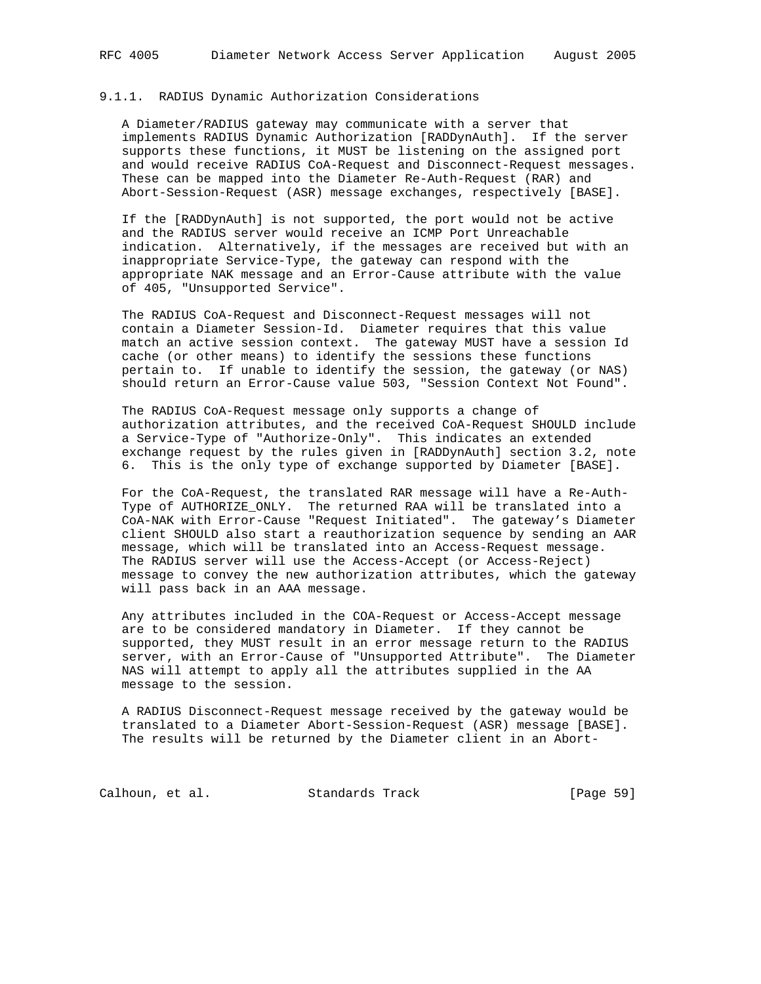## 9.1.1. RADIUS Dynamic Authorization Considerations

 A Diameter/RADIUS gateway may communicate with a server that implements RADIUS Dynamic Authorization [RADDynAuth]. If the server supports these functions, it MUST be listening on the assigned port and would receive RADIUS CoA-Request and Disconnect-Request messages. These can be mapped into the Diameter Re-Auth-Request (RAR) and Abort-Session-Request (ASR) message exchanges, respectively [BASE].

 If the [RADDynAuth] is not supported, the port would not be active and the RADIUS server would receive an ICMP Port Unreachable indication. Alternatively, if the messages are received but with an inappropriate Service-Type, the gateway can respond with the appropriate NAK message and an Error-Cause attribute with the value of 405, "Unsupported Service".

 The RADIUS CoA-Request and Disconnect-Request messages will not contain a Diameter Session-Id. Diameter requires that this value match an active session context. The gateway MUST have a session Id cache (or other means) to identify the sessions these functions pertain to. If unable to identify the session, the gateway (or NAS) should return an Error-Cause value 503, "Session Context Not Found".

 The RADIUS CoA-Request message only supports a change of authorization attributes, and the received CoA-Request SHOULD include a Service-Type of "Authorize-Only". This indicates an extended exchange request by the rules given in [RADDynAuth] section 3.2, note 6. This is the only type of exchange supported by Diameter [BASE].

 For the CoA-Request, the translated RAR message will have a Re-Auth- Type of AUTHORIZE\_ONLY. The returned RAA will be translated into a CoA-NAK with Error-Cause "Request Initiated". The gateway's Diameter client SHOULD also start a reauthorization sequence by sending an AAR message, which will be translated into an Access-Request message. The RADIUS server will use the Access-Accept (or Access-Reject) message to convey the new authorization attributes, which the gateway will pass back in an AAA message.

 Any attributes included in the COA-Request or Access-Accept message are to be considered mandatory in Diameter. If they cannot be supported, they MUST result in an error message return to the RADIUS server, with an Error-Cause of "Unsupported Attribute". The Diameter NAS will attempt to apply all the attributes supplied in the AA message to the session.

 A RADIUS Disconnect-Request message received by the gateway would be translated to a Diameter Abort-Session-Request (ASR) message [BASE]. The results will be returned by the Diameter client in an Abort-

Calhoun, et al. Standards Track [Page 59]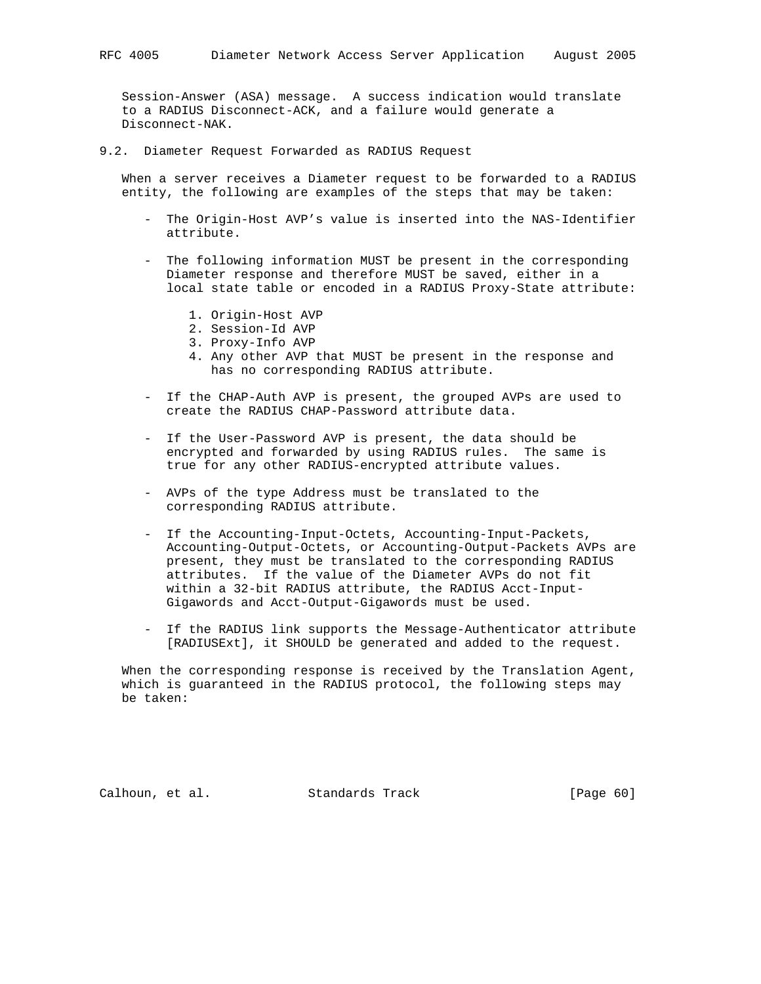Session-Answer (ASA) message. A success indication would translate to a RADIUS Disconnect-ACK, and a failure would generate a Disconnect-NAK.

9.2. Diameter Request Forwarded as RADIUS Request

 When a server receives a Diameter request to be forwarded to a RADIUS entity, the following are examples of the steps that may be taken:

- The Origin-Host AVP's value is inserted into the NAS-Identifier attribute.
- The following information MUST be present in the corresponding Diameter response and therefore MUST be saved, either in a local state table or encoded in a RADIUS Proxy-State attribute:
	- 1. Origin-Host AVP
	- 2. Session-Id AVP
	- 3. Proxy-Info AVP
	- 4. Any other AVP that MUST be present in the response and has no corresponding RADIUS attribute.
- If the CHAP-Auth AVP is present, the grouped AVPs are used to create the RADIUS CHAP-Password attribute data.
- If the User-Password AVP is present, the data should be encrypted and forwarded by using RADIUS rules. The same is true for any other RADIUS-encrypted attribute values.
- AVPs of the type Address must be translated to the corresponding RADIUS attribute.
- If the Accounting-Input-Octets, Accounting-Input-Packets, Accounting-Output-Octets, or Accounting-Output-Packets AVPs are present, they must be translated to the corresponding RADIUS attributes. If the value of the Diameter AVPs do not fit within a 32-bit RADIUS attribute, the RADIUS Acct-Input- Gigawords and Acct-Output-Gigawords must be used.
- If the RADIUS link supports the Message-Authenticator attribute [RADIUSExt], it SHOULD be generated and added to the request.

 When the corresponding response is received by the Translation Agent, which is guaranteed in the RADIUS protocol, the following steps may be taken:

Calhoun, et al. Standards Track [Page 60]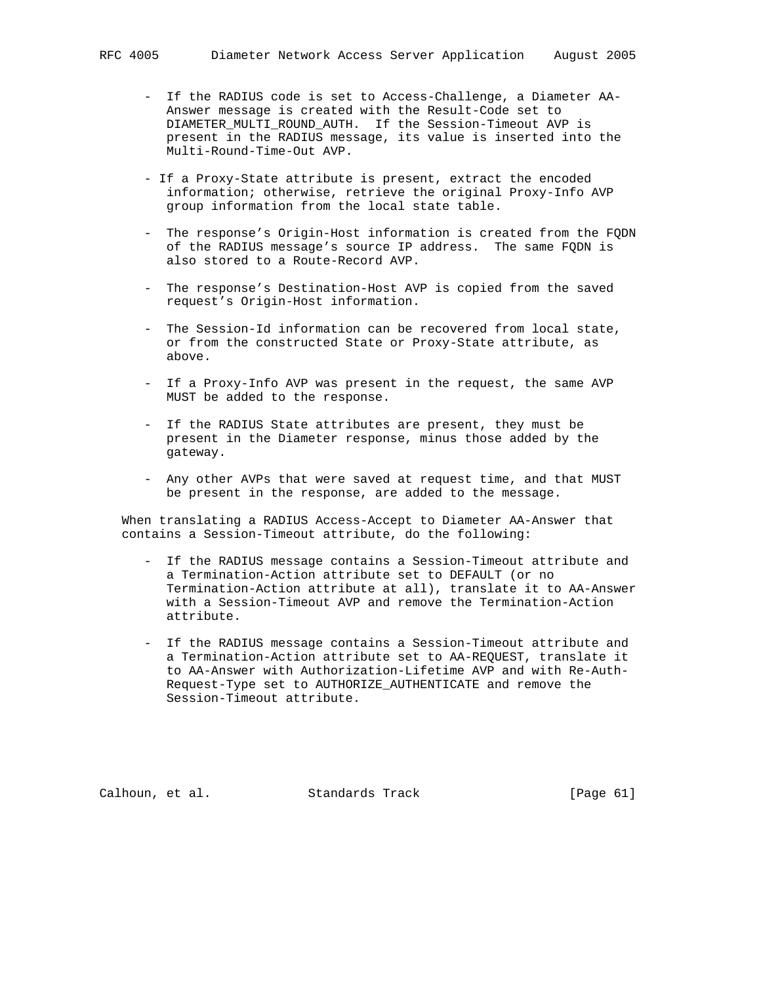- If the RADIUS code is set to Access-Challenge, a Diameter AA- Answer message is created with the Result-Code set to DIAMETER\_MULTI\_ROUND\_AUTH. If the Session-Timeout AVP is present in the RADIUS message, its value is inserted into the Multi-Round-Time-Out AVP.
- If a Proxy-State attribute is present, extract the encoded information; otherwise, retrieve the original Proxy-Info AVP group information from the local state table.
- The response's Origin-Host information is created from the FQDN of the RADIUS message's source IP address. The same FQDN is also stored to a Route-Record AVP.
- The response's Destination-Host AVP is copied from the saved request's Origin-Host information.
- The Session-Id information can be recovered from local state, or from the constructed State or Proxy-State attribute, as above.
- If a Proxy-Info AVP was present in the request, the same AVP MUST be added to the response.
- If the RADIUS State attributes are present, they must be present in the Diameter response, minus those added by the gateway.
- Any other AVPs that were saved at request time, and that MUST be present in the response, are added to the message.

 When translating a RADIUS Access-Accept to Diameter AA-Answer that contains a Session-Timeout attribute, do the following:

- If the RADIUS message contains a Session-Timeout attribute and a Termination-Action attribute set to DEFAULT (or no Termination-Action attribute at all), translate it to AA-Answer with a Session-Timeout AVP and remove the Termination-Action attribute.
- If the RADIUS message contains a Session-Timeout attribute and a Termination-Action attribute set to AA-REQUEST, translate it to AA-Answer with Authorization-Lifetime AVP and with Re-Auth- Request-Type set to AUTHORIZE\_AUTHENTICATE and remove the Session-Timeout attribute.

Calhoun, et al. Standards Track [Page 61]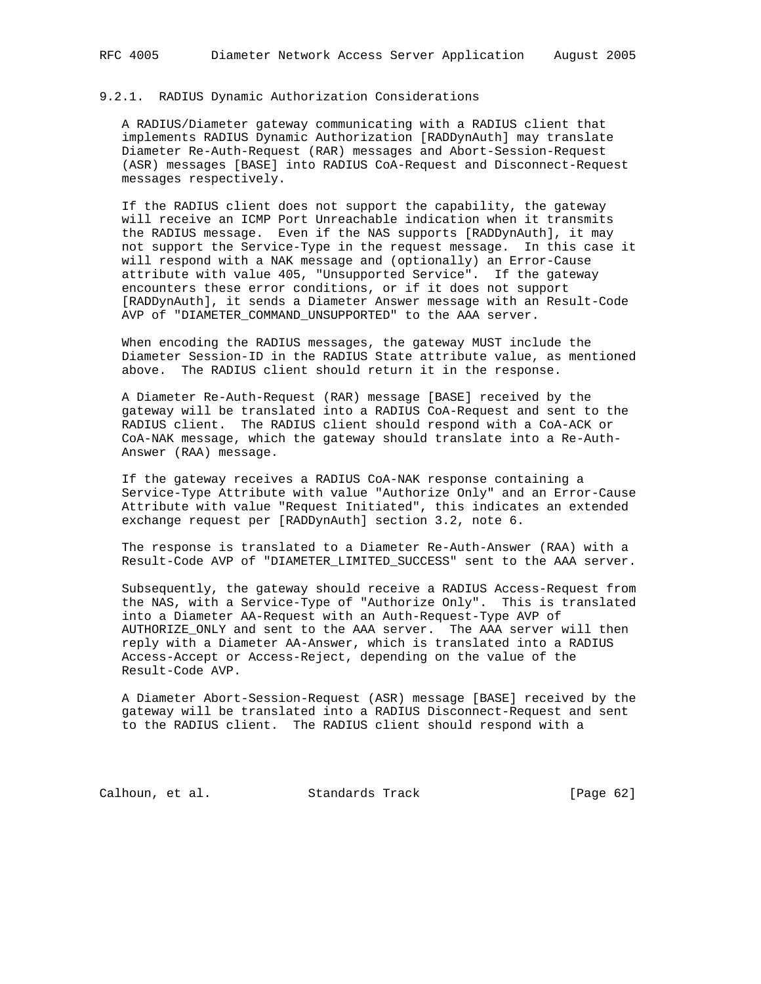#### 9.2.1. RADIUS Dynamic Authorization Considerations

 A RADIUS/Diameter gateway communicating with a RADIUS client that implements RADIUS Dynamic Authorization [RADDynAuth] may translate Diameter Re-Auth-Request (RAR) messages and Abort-Session-Request (ASR) messages [BASE] into RADIUS CoA-Request and Disconnect-Request messages respectively.

 If the RADIUS client does not support the capability, the gateway will receive an ICMP Port Unreachable indication when it transmits the RADIUS message. Even if the NAS supports [RADDynAuth], it may not support the Service-Type in the request message. In this case it will respond with a NAK message and (optionally) an Error-Cause attribute with value 405, "Unsupported Service". If the gateway encounters these error conditions, or if it does not support [RADDynAuth], it sends a Diameter Answer message with an Result-Code AVP of "DIAMETER\_COMMAND\_UNSUPPORTED" to the AAA server.

 When encoding the RADIUS messages, the gateway MUST include the Diameter Session-ID in the RADIUS State attribute value, as mentioned above. The RADIUS client should return it in the response.

 A Diameter Re-Auth-Request (RAR) message [BASE] received by the gateway will be translated into a RADIUS CoA-Request and sent to the RADIUS client. The RADIUS client should respond with a CoA-ACK or CoA-NAK message, which the gateway should translate into a Re-Auth- Answer (RAA) message.

 If the gateway receives a RADIUS CoA-NAK response containing a Service-Type Attribute with value "Authorize Only" and an Error-Cause Attribute with value "Request Initiated", this indicates an extended exchange request per [RADDynAuth] section 3.2, note 6.

 The response is translated to a Diameter Re-Auth-Answer (RAA) with a Result-Code AVP of "DIAMETER\_LIMITED\_SUCCESS" sent to the AAA server.

 Subsequently, the gateway should receive a RADIUS Access-Request from the NAS, with a Service-Type of "Authorize Only". This is translated into a Diameter AA-Request with an Auth-Request-Type AVP of AUTHORIZE\_ONLY and sent to the AAA server. The AAA server will then reply with a Diameter AA-Answer, which is translated into a RADIUS Access-Accept or Access-Reject, depending on the value of the Result-Code AVP.

 A Diameter Abort-Session-Request (ASR) message [BASE] received by the gateway will be translated into a RADIUS Disconnect-Request and sent to the RADIUS client. The RADIUS client should respond with a

Calhoun, et al. Standards Track [Page 62]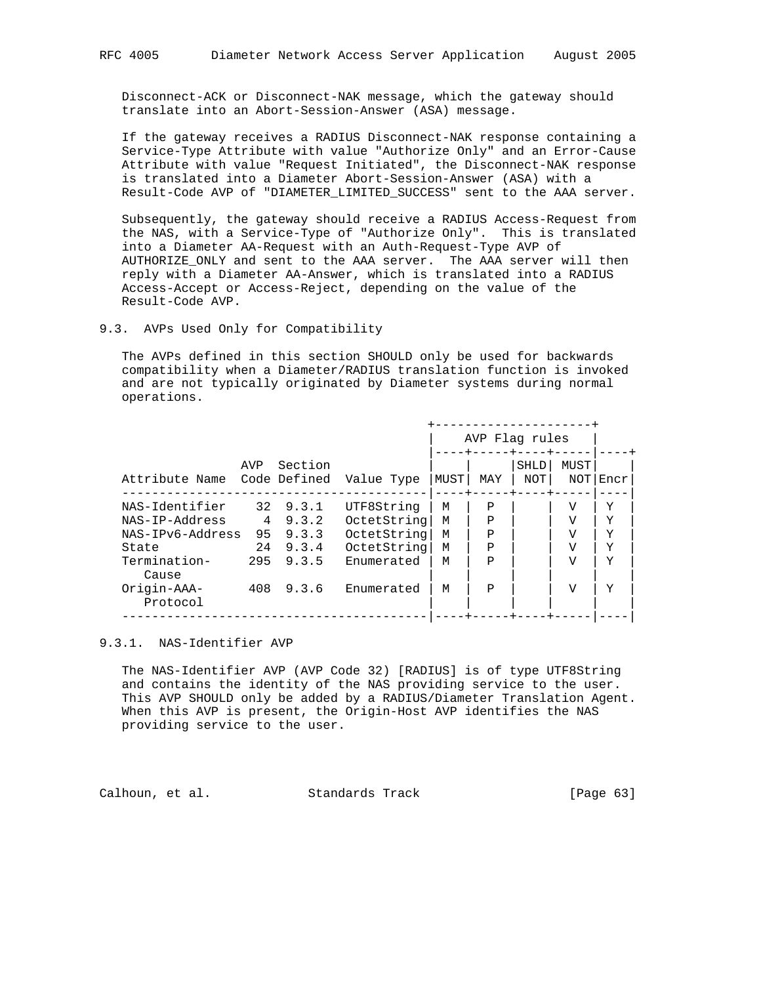Disconnect-ACK or Disconnect-NAK message, which the gateway should translate into an Abort-Session-Answer (ASA) message.

 If the gateway receives a RADIUS Disconnect-NAK response containing a Service-Type Attribute with value "Authorize Only" and an Error-Cause Attribute with value "Request Initiated", the Disconnect-NAK response is translated into a Diameter Abort-Session-Answer (ASA) with a Result-Code AVP of "DIAMETER\_LIMITED\_SUCCESS" sent to the AAA server.

 Subsequently, the gateway should receive a RADIUS Access-Request from the NAS, with a Service-Type of "Authorize Only". This is translated into a Diameter AA-Request with an Auth-Request-Type AVP of AUTHORIZE\_ONLY and sent to the AAA server. The AAA server will then reply with a Diameter AA-Answer, which is translated into a RADIUS Access-Accept or Access-Reject, depending on the value of the Result-Code AVP.

9.3. AVPs Used Only for Compatibility

 The AVPs defined in this section SHOULD only be used for backwards compatibility when a Diameter/RADIUS translation function is invoked and are not typically originated by Diameter systems during normal operations.

|                         |     |                         |             |      | AVP Flag rules |                    |                |      |  |
|-------------------------|-----|-------------------------|-------------|------|----------------|--------------------|----------------|------|--|
| Attribute Name          | AVP | Section<br>Code Defined | Value Type  | MUST | MAY            | <b>SHLD</b><br>NOT | MUST<br>NOT    | Encr |  |
| NAS-Identifier          | 32  | 9.3.1                   | UTF8String  | M    | Ρ              |                    | V              | Y    |  |
| NAS-IP-Address          | 4   | 9.3.2                   | OctetString | M    | P              |                    | V              | Y    |  |
| NAS-IPv6-Address        | 95  | 9.3.3                   | OctetString | M    | $\mathbf{P}$   |                    | V              | Y    |  |
| State                   | 24  | 9.3.4                   | OctetString | M    | $\mathbf{P}$   |                    | V              | Y    |  |
| Termination-<br>Cause   | 295 | 9.3.5                   | Enumerated  | М    | $\mathbf{P}$   |                    | $\overline{U}$ | Y    |  |
| Origin-AAA-<br>Protocol | 408 | 9.3.6                   | Enumerated  | M    | P              |                    | $\overline{V}$ | Y    |  |

#### 9.3.1. NAS-Identifier AVP

 The NAS-Identifier AVP (AVP Code 32) [RADIUS] is of type UTF8String and contains the identity of the NAS providing service to the user. This AVP SHOULD only be added by a RADIUS/Diameter Translation Agent. When this AVP is present, the Origin-Host AVP identifies the NAS providing service to the user.

Calhoun, et al. Standards Track [Page 63]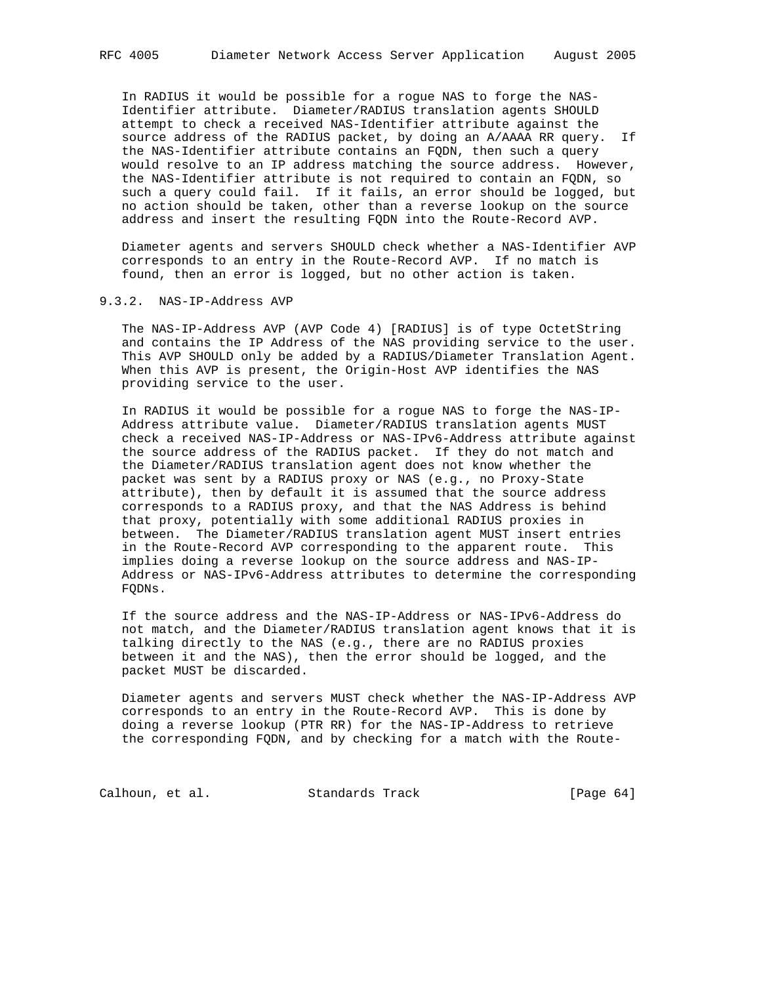In RADIUS it would be possible for a rogue NAS to forge the NAS- Identifier attribute. Diameter/RADIUS translation agents SHOULD attempt to check a received NAS-Identifier attribute against the source address of the RADIUS packet, by doing an A/AAAA RR query. If the NAS-Identifier attribute contains an FQDN, then such a query would resolve to an IP address matching the source address. However, the NAS-Identifier attribute is not required to contain an FQDN, so such a query could fail. If it fails, an error should be logged, but no action should be taken, other than a reverse lookup on the source address and insert the resulting FQDN into the Route-Record AVP.

 Diameter agents and servers SHOULD check whether a NAS-Identifier AVP corresponds to an entry in the Route-Record AVP. If no match is found, then an error is logged, but no other action is taken.

## 9.3.2. NAS-IP-Address AVP

 The NAS-IP-Address AVP (AVP Code 4) [RADIUS] is of type OctetString and contains the IP Address of the NAS providing service to the user. This AVP SHOULD only be added by a RADIUS/Diameter Translation Agent. When this AVP is present, the Origin-Host AVP identifies the NAS providing service to the user.

 In RADIUS it would be possible for a rogue NAS to forge the NAS-IP- Address attribute value. Diameter/RADIUS translation agents MUST check a received NAS-IP-Address or NAS-IPv6-Address attribute against the source address of the RADIUS packet. If they do not match and the Diameter/RADIUS translation agent does not know whether the packet was sent by a RADIUS proxy or NAS (e.g., no Proxy-State attribute), then by default it is assumed that the source address corresponds to a RADIUS proxy, and that the NAS Address is behind that proxy, potentially with some additional RADIUS proxies in between. The Diameter/RADIUS translation agent MUST insert entries in the Route-Record AVP corresponding to the apparent route. This implies doing a reverse lookup on the source address and NAS-IP- Address or NAS-IPv6-Address attributes to determine the corresponding FQDNs.

 If the source address and the NAS-IP-Address or NAS-IPv6-Address do not match, and the Diameter/RADIUS translation agent knows that it is talking directly to the NAS (e.g., there are no RADIUS proxies between it and the NAS), then the error should be logged, and the packet MUST be discarded.

 Diameter agents and servers MUST check whether the NAS-IP-Address AVP corresponds to an entry in the Route-Record AVP. This is done by doing a reverse lookup (PTR RR) for the NAS-IP-Address to retrieve the corresponding FQDN, and by checking for a match with the Route-

Calhoun, et al. Standards Track [Page 64]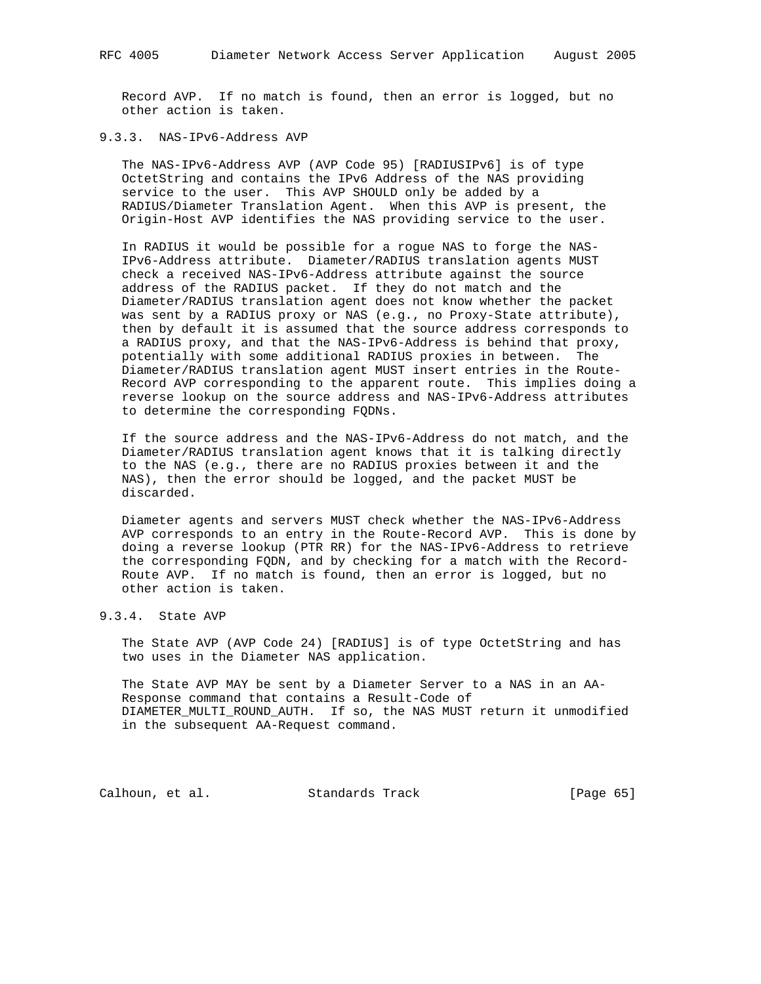Record AVP. If no match is found, then an error is logged, but no other action is taken.

# 9.3.3. NAS-IPv6-Address AVP

 The NAS-IPv6-Address AVP (AVP Code 95) [RADIUSIPv6] is of type OctetString and contains the IPv6 Address of the NAS providing service to the user. This AVP SHOULD only be added by a RADIUS/Diameter Translation Agent. When this AVP is present, the Origin-Host AVP identifies the NAS providing service to the user.

 In RADIUS it would be possible for a rogue NAS to forge the NAS- IPv6-Address attribute. Diameter/RADIUS translation agents MUST check a received NAS-IPv6-Address attribute against the source address of the RADIUS packet. If they do not match and the Diameter/RADIUS translation agent does not know whether the packet was sent by a RADIUS proxy or NAS (e.g., no Proxy-State attribute), then by default it is assumed that the source address corresponds to a RADIUS proxy, and that the NAS-IPv6-Address is behind that proxy, potentially with some additional RADIUS proxies in between. The Diameter/RADIUS translation agent MUST insert entries in the Route- Record AVP corresponding to the apparent route. This implies doing a reverse lookup on the source address and NAS-IPv6-Address attributes to determine the corresponding FQDNs.

 If the source address and the NAS-IPv6-Address do not match, and the Diameter/RADIUS translation agent knows that it is talking directly to the NAS (e.g., there are no RADIUS proxies between it and the NAS), then the error should be logged, and the packet MUST be discarded.

 Diameter agents and servers MUST check whether the NAS-IPv6-Address AVP corresponds to an entry in the Route-Record AVP. This is done by doing a reverse lookup (PTR RR) for the NAS-IPv6-Address to retrieve the corresponding FQDN, and by checking for a match with the Record- Route AVP. If no match is found, then an error is logged, but no other action is taken.

# 9.3.4. State AVP

 The State AVP (AVP Code 24) [RADIUS] is of type OctetString and has two uses in the Diameter NAS application.

 The State AVP MAY be sent by a Diameter Server to a NAS in an AA- Response command that contains a Result-Code of DIAMETER\_MULTI\_ROUND\_AUTH. If so, the NAS MUST return it unmodified in the subsequent AA-Request command.

Calhoun, et al. Standards Track [Page 65]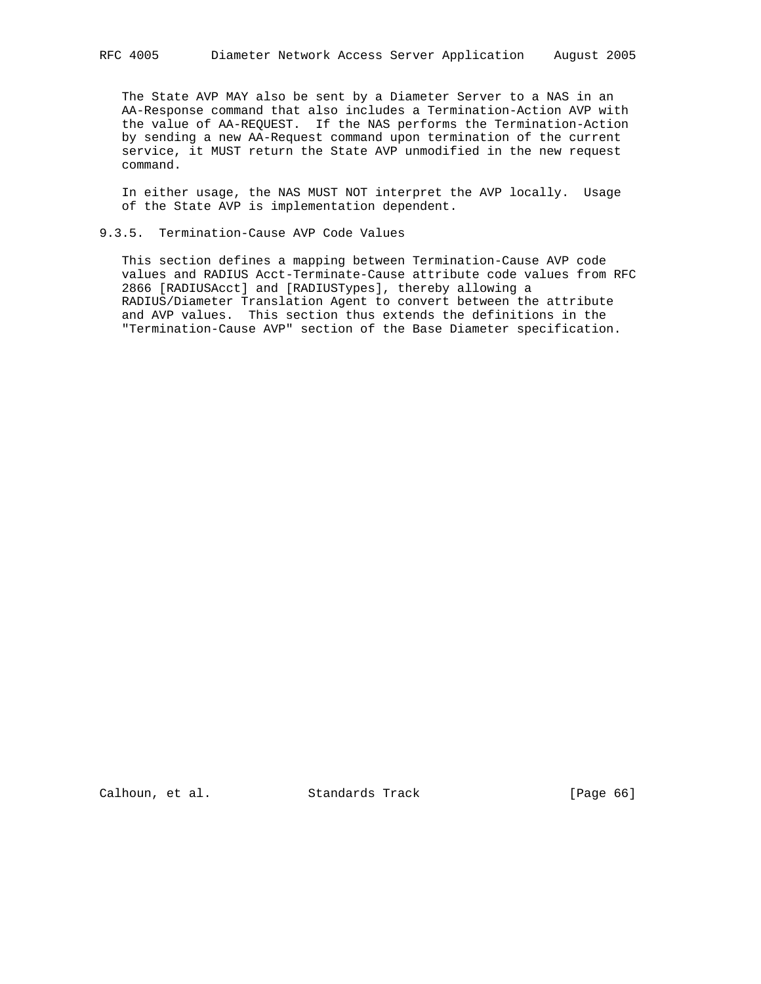The State AVP MAY also be sent by a Diameter Server to a NAS in an AA-Response command that also includes a Termination-Action AVP with the value of AA-REQUEST. If the NAS performs the Termination-Action by sending a new AA-Request command upon termination of the current service, it MUST return the State AVP unmodified in the new request command.

 In either usage, the NAS MUST NOT interpret the AVP locally. Usage of the State AVP is implementation dependent.

## 9.3.5. Termination-Cause AVP Code Values

 This section defines a mapping between Termination-Cause AVP code values and RADIUS Acct-Terminate-Cause attribute code values from RFC 2866 [RADIUSAcct] and [RADIUSTypes], thereby allowing a RADIUS/Diameter Translation Agent to convert between the attribute and AVP values. This section thus extends the definitions in the "Termination-Cause AVP" section of the Base Diameter specification.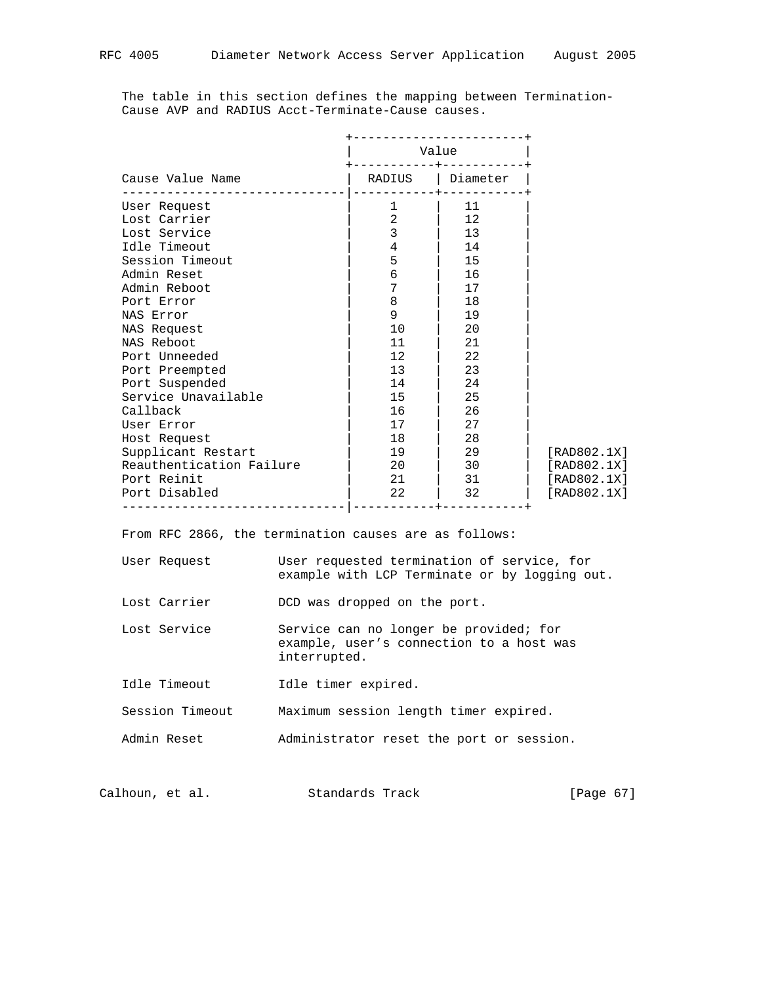The table in this section defines the mapping between Termination- Cause AVP and RADIUS Acct-Terminate-Cause causes.

|                          |                | Value    |             |
|--------------------------|----------------|----------|-------------|
| Cause Value Name         | RADIUS         | Diameter |             |
| User Request             | 1              | 11       |             |
| Lost Carrier             | $\overline{2}$ | 12       |             |
| Lost Service             | 3              | 13       |             |
| Idle Timeout             | 4              | 14       |             |
| Session Timeout          | 5              | 15       |             |
| Admin Reset              | 6              | 16       |             |
| Admin Reboot             | 7              | 17       |             |
| Port Error               | 8              | 18       |             |
| NAS Error                | 9              | 19       |             |
| NAS Request              | 10             | 20       |             |
| NAS Reboot               | 11             | 21       |             |
| Port Unneeded            | 12             | 22       |             |
| Port Preempted           | 13             | 23       |             |
| Port Suspended           | 14             | 24       |             |
| Service Unavailable      | 15             | 25       |             |
| Callback                 | 16             | 26       |             |
| User Error               | 17             | 27       |             |
| Host Request             | 18             | 28       |             |
| Supplicant Restart       | 19             | 29       | [RAD802.1X] |
| Reauthentication Failure | 20             | 30       | [RAD802.1X] |
| Port Reinit              | 2.1            | 31       | [RAD802.1X] |
| Port Disabled            | 22             | 32       | [RAD802.1X] |

From RFC 2866, the termination causes are as follows:

| User Request |  | User requested termination of service, for    |  |  |  |
|--------------|--|-----------------------------------------------|--|--|--|
|              |  | example with LCP Terminate or by logging out. |  |  |  |

- Lost Carrier **DCD** was dropped on the port.
- Lost Service Service can no longer be provided; for example, user's connection to a host was interrupted.
- Idle Timeout 1dle timer expired.

Session Timeout Maximum session length timer expired.

Admin Reset Administrator reset the port or session.

| Calhoun, et al. |  | Standards Track | [Page 67] |  |  |
|-----------------|--|-----------------|-----------|--|--|
|-----------------|--|-----------------|-----------|--|--|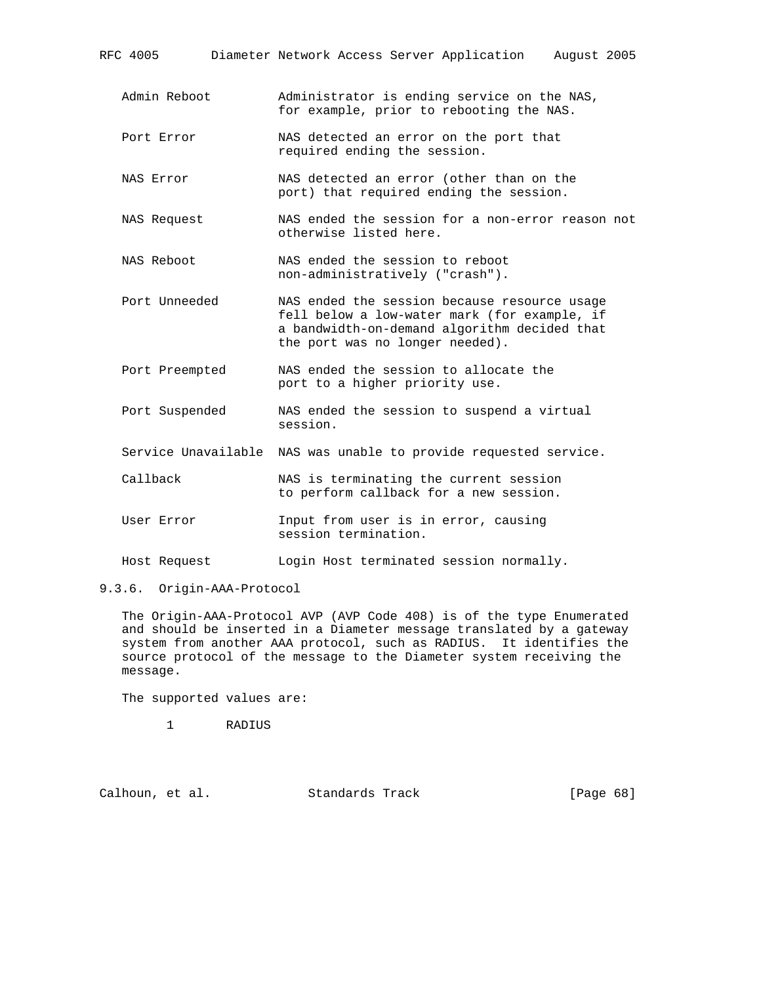| RFC 4005            |                              |  | Diameter Network Access Server Application                                                                                                                                      | August 2005 |  |
|---------------------|------------------------------|--|---------------------------------------------------------------------------------------------------------------------------------------------------------------------------------|-------------|--|
| Admin Reboot        |                              |  | Administrator is ending service on the NAS,<br>for example, prior to rebooting the NAS.                                                                                         |             |  |
| Port Error          | required ending the session. |  | NAS detected an error on the port that                                                                                                                                          |             |  |
| NAS Error           |                              |  | NAS detected an error (other than on the<br>port) that required ending the session.                                                                                             |             |  |
| NAS Request         | otherwise listed here.       |  | NAS ended the session for a non-error reason not                                                                                                                                |             |  |
| NAS Reboot          |                              |  | NAS ended the session to reboot<br>non-administratively ("crash").                                                                                                              |             |  |
| Port Unneeded       |                              |  | NAS ended the session because resource usage<br>fell below a low-water mark (for example, if<br>a bandwidth-on-demand algorithm decided that<br>the port was no longer needed). |             |  |
| Port Preempted      |                              |  | NAS ended the session to allocate the<br>port to a higher priority use.                                                                                                         |             |  |
| Port Suspended      | session.                     |  | NAS ended the session to suspend a virtual                                                                                                                                      |             |  |
| Service Unavailable |                              |  | NAS was unable to provide requested service.                                                                                                                                    |             |  |
| Callback            |                              |  | NAS is terminating the current session<br>to perform callback for a new session.                                                                                                |             |  |
| User Error          | session termination.         |  | Input from user is in error, causing                                                                                                                                            |             |  |
| Host Request        |                              |  | Login Host terminated session normally.                                                                                                                                         |             |  |

9.3.6. Origin-AAA-Protocol

 The Origin-AAA-Protocol AVP (AVP Code 408) is of the type Enumerated and should be inserted in a Diameter message translated by a gateway system from another AAA protocol, such as RADIUS. It identifies the source protocol of the message to the Diameter system receiving the message.

The supported values are:

1 RADIUS

Calhoun, et al. Standards Track [Page 68]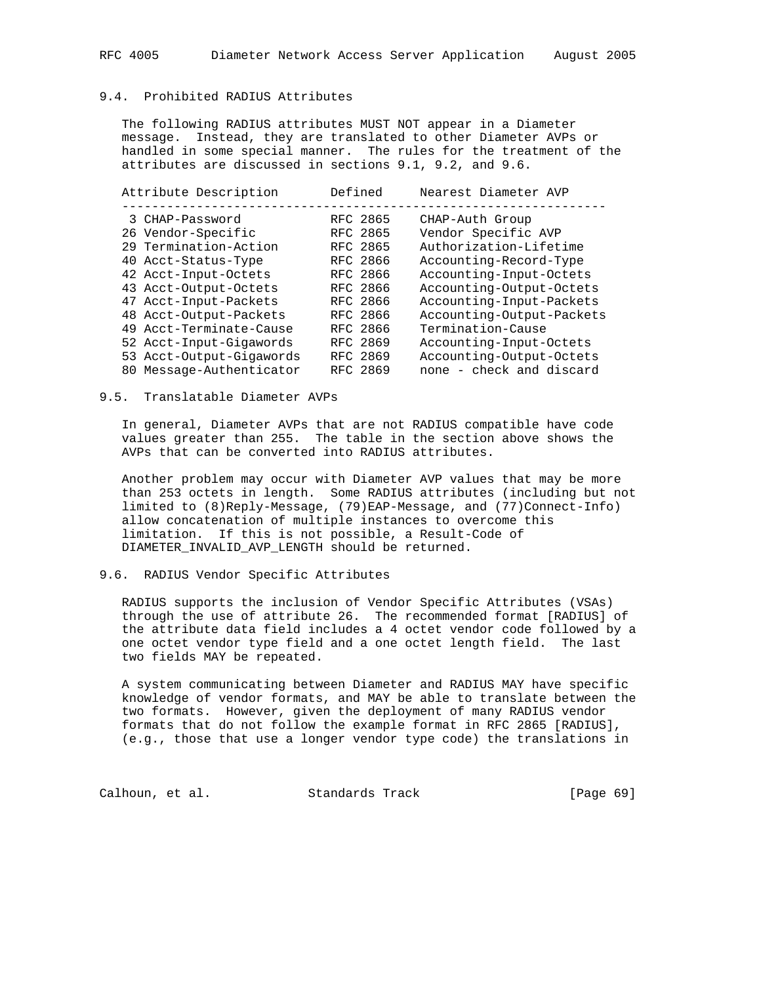# 9.4. Prohibited RADIUS Attributes

 The following RADIUS attributes MUST NOT appear in a Diameter message. Instead, they are translated to other Diameter AVPs or handled in some special manner. The rules for the treatment of the attributes are discussed in sections 9.1, 9.2, and 9.6.

| Attribute Description    | Defined  | Nearest Diameter AVP      |
|--------------------------|----------|---------------------------|
| 3 CHAP-Password          | RFC 2865 | CHAP-Auth Group           |
| 26 Vendor-Specific       | RFC 2865 | Vendor Specific AVP       |
| 29 Termination-Action    | RFC 2865 | Authorization-Lifetime    |
| 40 Acct-Status-Type      | RFC 2866 | Accounting-Record-Type    |
| 42 Acct-Input-Octets     | RFC 2866 | Accounting-Input-Octets   |
| 43 Acct-Output-Octets    | RFC 2866 | Accounting-Output-Octets  |
| 47 Acct-Input-Packets    | RFC 2866 | Accounting-Input-Packets  |
| 48 Acct-Output-Packets   | RFC 2866 | Accounting-Output-Packets |
| 49 Acct-Terminate-Cause  | RFC 2866 | Termination-Cause         |
| 52 Acct-Input-Gigawords  | RFC 2869 | Accounting-Input-Octets   |
| 53 Acct-Output-Gigawords | RFC 2869 | Accounting-Output-Octets  |
| 80 Message-Authenticator | RFC 2869 | none - check and discard  |

#### 9.5. Translatable Diameter AVPs

 In general, Diameter AVPs that are not RADIUS compatible have code values greater than 255. The table in the section above shows the AVPs that can be converted into RADIUS attributes.

 Another problem may occur with Diameter AVP values that may be more than 253 octets in length. Some RADIUS attributes (including but not limited to (8)Reply-Message, (79)EAP-Message, and (77)Connect-Info) allow concatenation of multiple instances to overcome this limitation. If this is not possible, a Result-Code of DIAMETER\_INVALID\_AVP\_LENGTH should be returned.

## 9.6. RADIUS Vendor Specific Attributes

 RADIUS supports the inclusion of Vendor Specific Attributes (VSAs) through the use of attribute 26. The recommended format [RADIUS] of the attribute data field includes a 4 octet vendor code followed by a one octet vendor type field and a one octet length field. The last two fields MAY be repeated.

 A system communicating between Diameter and RADIUS MAY have specific knowledge of vendor formats, and MAY be able to translate between the two formats. However, given the deployment of many RADIUS vendor formats that do not follow the example format in RFC 2865 [RADIUS], (e.g., those that use a longer vendor type code) the translations in

Calhoun, et al. Standards Track [Page 69]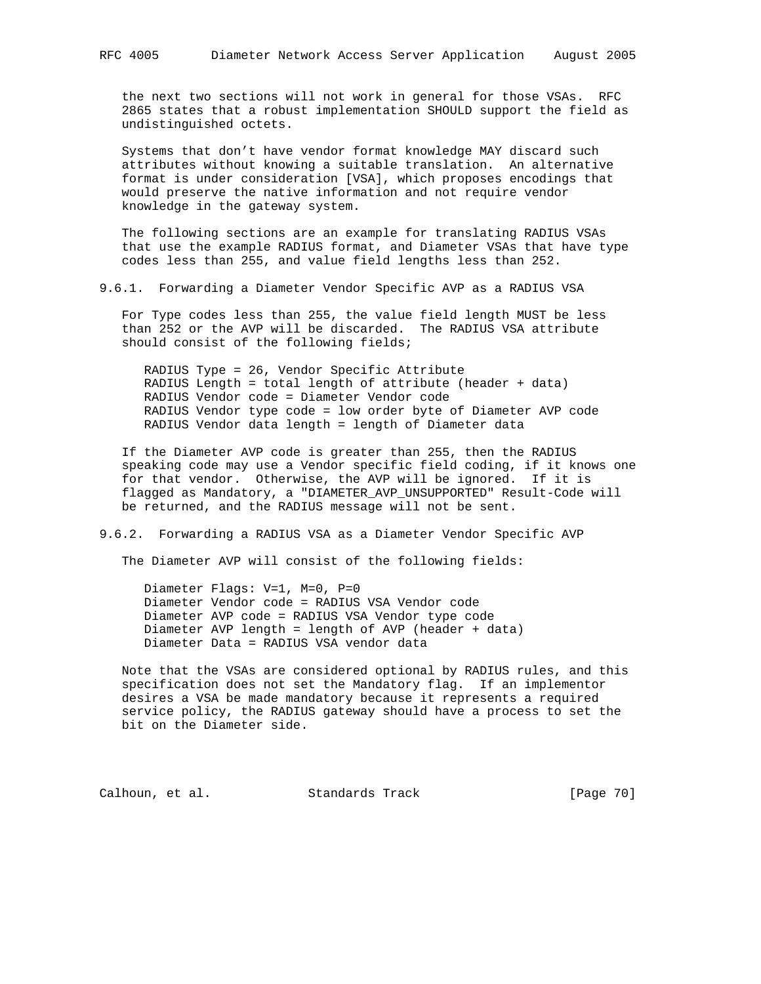the next two sections will not work in general for those VSAs. RFC 2865 states that a robust implementation SHOULD support the field as undistinguished octets.

 Systems that don't have vendor format knowledge MAY discard such attributes without knowing a suitable translation. An alternative format is under consideration [VSA], which proposes encodings that would preserve the native information and not require vendor knowledge in the gateway system.

 The following sections are an example for translating RADIUS VSAs that use the example RADIUS format, and Diameter VSAs that have type codes less than 255, and value field lengths less than 252.

9.6.1. Forwarding a Diameter Vendor Specific AVP as a RADIUS VSA

 For Type codes less than 255, the value field length MUST be less than 252 or the AVP will be discarded. The RADIUS VSA attribute should consist of the following fields;

 RADIUS Type = 26, Vendor Specific Attribute RADIUS Length = total length of attribute (header + data) RADIUS Vendor code = Diameter Vendor code RADIUS Vendor type code = low order byte of Diameter AVP code RADIUS Vendor data length = length of Diameter data

 If the Diameter AVP code is greater than 255, then the RADIUS speaking code may use a Vendor specific field coding, if it knows one for that vendor. Otherwise, the AVP will be ignored. If it is flagged as Mandatory, a "DIAMETER\_AVP\_UNSUPPORTED" Result-Code will be returned, and the RADIUS message will not be sent.

#### 9.6.2. Forwarding a RADIUS VSA as a Diameter Vendor Specific AVP

The Diameter AVP will consist of the following fields:

 Diameter Flags: V=1, M=0, P=0 Diameter Vendor code = RADIUS VSA Vendor code Diameter AVP code = RADIUS VSA Vendor type code Diameter AVP length = length of AVP (header + data) Diameter Data = RADIUS VSA vendor data

 Note that the VSAs are considered optional by RADIUS rules, and this specification does not set the Mandatory flag. If an implementor desires a VSA be made mandatory because it represents a required service policy, the RADIUS gateway should have a process to set the bit on the Diameter side.

Calhoun, et al. Standards Track [Page 70]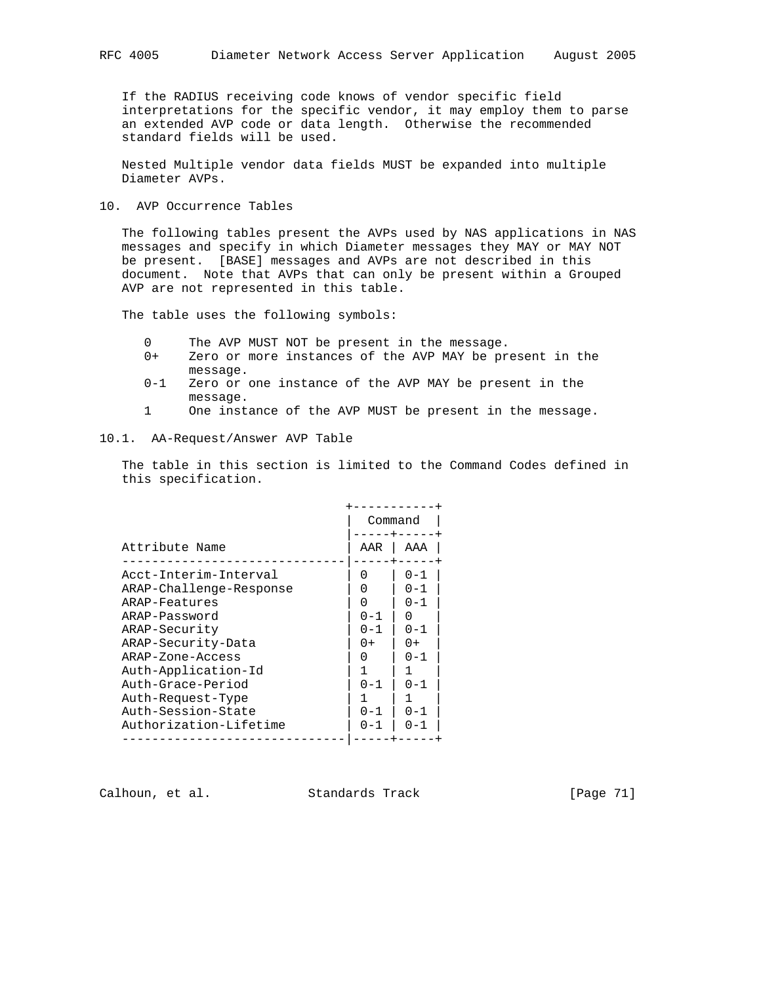If the RADIUS receiving code knows of vendor specific field interpretations for the specific vendor, it may employ them to parse an extended AVP code or data length. Otherwise the recommended standard fields will be used.

 Nested Multiple vendor data fields MUST be expanded into multiple Diameter AVPs.

## 10. AVP Occurrence Tables

 The following tables present the AVPs used by NAS applications in NAS messages and specify in which Diameter messages they MAY or MAY NOT be present. [BASE] messages and AVPs are not described in this document. Note that AVPs that can only be present within a Grouped AVP are not represented in this table.

The table uses the following symbols:

- 0 The AVP MUST NOT be present in the message.
- 0+ Zero or more instances of the AVP MAY be present in the message.
- 0-1 Zero or one instance of the AVP MAY be present in the message.
- 1 One instance of the AVP MUST be present in the message.

#### 10.1. AA-Request/Answer AVP Table

 The table in this section is limited to the Command Codes defined in this specification.

|                         |                  | Command   |
|-------------------------|------------------|-----------|
| Attribute Name          | AAR              | AAA       |
| Acct-Interim-Interval   | $\left( \right)$ | $0 - 1$   |
| ARAP-Challenge-Response |                  | $0 - 1$   |
| ARAP-Features           | O                | $0 - 1$   |
| ARAP-Password           | $0 - 1$          |           |
| ARAP-Security           | $0 - 1$          | $0 - 1$   |
| ARAP-Security-Data      | $0+$             | $0+$      |
| ARAP-Zone-Access        |                  | $0 - 1$   |
| Auth-Application-Id     |                  |           |
| Auth-Grace-Period       | $0 - 1$          | $0 - 1$   |
| Auth-Request-Type       |                  |           |
| Auth-Session-State      | $0 - 1$          | $0 - 1$   |
| Authorization-Lifetime  | 0 – 1            | $(1 - 1)$ |
|                         |                  |           |

Calhoun, et al. Standards Track [Page 71]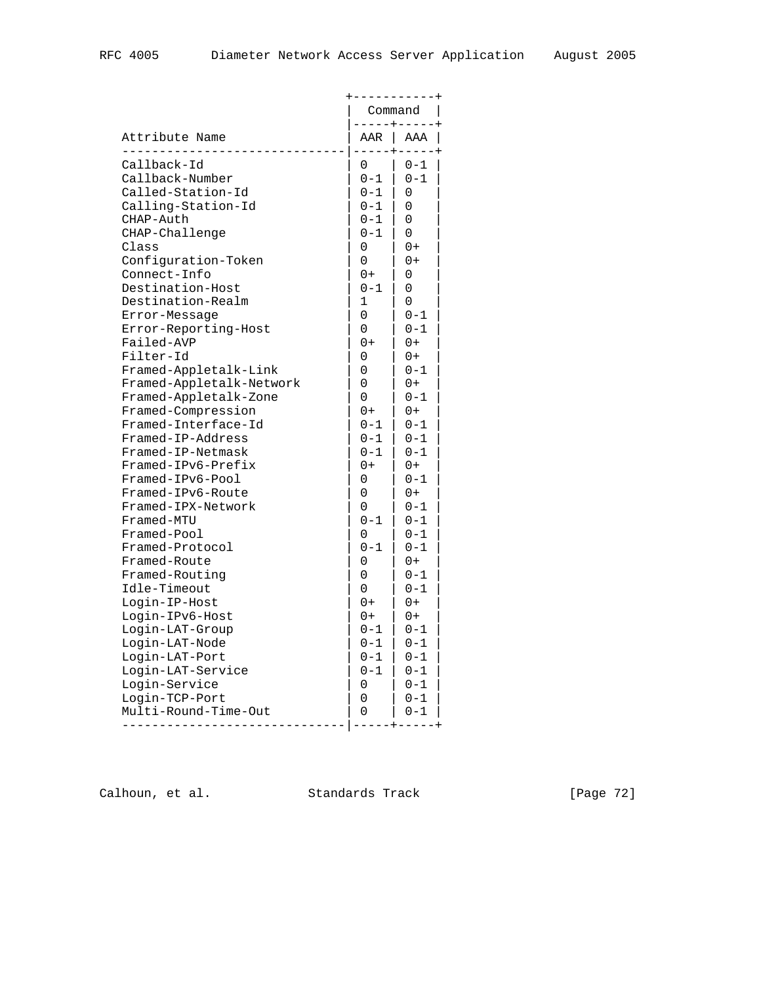|                                        |                  | Command            |
|----------------------------------------|------------------|--------------------|
| Attribute Name                         | $----+--$<br>AAR | AAA                |
| Callback-Id<br>Callback-Number         | 0<br>$0 - 1$     | $0 - 1$<br>$0 - 1$ |
| Called-Station-Id                      | $0 - 1$          | 0                  |
| Calling-Station-Id                     | $0 - 1$          | 0                  |
| CHAP-Auth                              | $0 - 1$          | 0                  |
| CHAP-Challenge                         | $0 - 1$          | 0                  |
| Class                                  | 0                | $0+$               |
| Configuration-Token                    | $\Omega$         | $0+$               |
| Connect-Info                           | $0+$             | 0                  |
| Destination-Host                       | $0 - 1$          | 0                  |
| Destination-Realm                      | 1                | 0                  |
| Error-Message                          | 0                | $0 - 1$            |
| Error-Reporting-Host                   | 0                | 0-1                |
| Failed-AVP                             | $0+$             | 0+                 |
| Filter-Id                              | 0                | 0+                 |
| Framed-Appletalk-Link                  | 0                | $0 - 1$            |
| Framed-Appletalk-Network               | 0                | $0+$               |
| Framed-Appletalk-Zone                  | 0                | $0 - 1$            |
| Framed-Compression                     | $0+$             | $0+$               |
| Framed-Interface-Id                    | $0 - 1$          | 0-1                |
| Framed-IP-Address                      | $0 - 1$          | 0-1                |
| Framed-IP-Netmask                      | $0 - 1$          | $0 - 1$            |
| Framed-IPv6-Prefix                     | $0+$             | $0+$               |
| Framed-IPv6-Pool                       | 0                | $0 - 1$            |
| Framed-IPv6-Route                      | 0                | $0+$               |
| Framed-IPX-Network                     | 0                | $0 - 1$            |
| Framed-MTU                             | $0 - 1$          | $0 - 1$            |
| Framed-Pool                            | 0                | $0 - 1$            |
| Framed-Protocol                        | $0 - 1$          | $0 - 1$            |
| Framed-Route                           | 0                | $0+$               |
| Framed-Routing                         | 0                | $0 - 1$            |
| Idle-Timeout                           | 0                | $0 - 1$            |
| Login-IP-Host                          | 0+               | 0+                 |
| Login-IPv6-Host                        | $0+$             | $0+$               |
| Login-LAT-Group                        | $0 - 1$          | 0-1                |
| Login-LAT-Node                         | $0 - 1$          | 0-1                |
| Login-LAT-Port                         | $0 - 1$          | $0 - 1$            |
| Login-LAT-Service                      | $0 - 1$          | $0 - 1$            |
| Login-Service                          | 0                | $0 - 1$            |
| Login-TCP-Port<br>Multi-Round-Time-Out | 0                | $0 - 1$            |
|                                        | 0                | $0 - 1$            |

Calhoun, et al. Standards Track [Page 72]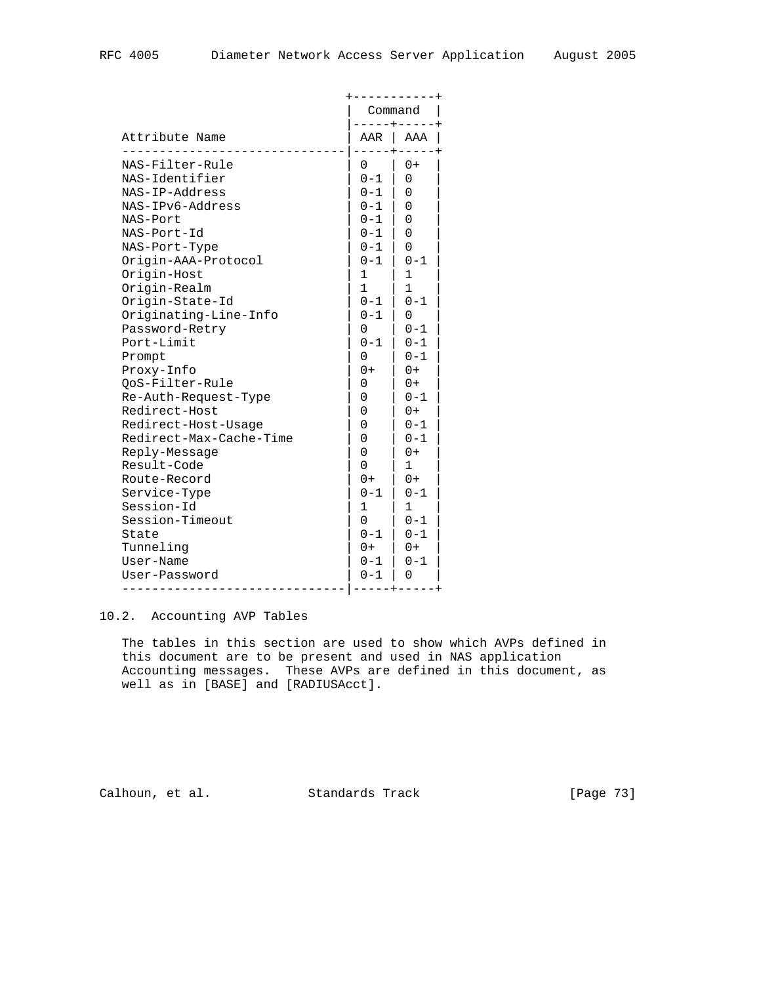|                         |              | Command      |  |
|-------------------------|--------------|--------------|--|
| Attribute Name          |              | AAR   AAA    |  |
| NAS-Filter-Rule         | 0            | $0+$         |  |
| NAS-Identifier          | $0 - 1$      | 0            |  |
| NAS-IP-Address          | $0 - 1$      | 0            |  |
| NAS-IPv6-Address        | $0 - 1$      | 0            |  |
| NAS-Port                | $0 - 1$      | 0            |  |
| NAS-Port-Id             | $0 - 1$      | $\Omega$     |  |
| NAS-Port-Type           | $0 - 1$      | $\Omega$     |  |
| Origin-AAA-Protocol     | 0-1          | $0 - 1$      |  |
| Origin-Host             | 1            | 1            |  |
| Origin-Realm            | $\mathbf{1}$ | $\mathbf{1}$ |  |
| Origin-State-Id         | $0 - 1$      | $0 - 1$      |  |
| Originating-Line-Info   | $0 - 1$      | 0            |  |
| Password-Retry          | 0            | $0 - 1$      |  |
| Port-Limit              | $0 - 1$      | $0 - 1$      |  |
| Prompt                  | 0            | $0 - 1$      |  |
| Proxy-Info              | $0+$         | $0+$         |  |
| QoS-Filter-Rule         | 0            | $0+$         |  |
| Re-Auth-Request-Type    | 0            | $0 - 1$      |  |
| Redirect-Host           | 0            | $0+$         |  |
| Redirect-Host-Usage     | 0            | $0 - 1$      |  |
| Redirect-Max-Cache-Time | 0            | $0 - 1$      |  |
| Reply-Message           | $\Omega$     | $0+$         |  |
| Result-Code             | 0            | 1            |  |
| Route-Record            | $0+$         | $0+$         |  |
| Service-Type            | $0 - 1$      | $0 - 1$      |  |
| Session-Id              | 1            | $\mathbf{1}$ |  |
| Session-Timeout         | 0            | $0 - 1$      |  |
| State                   | $0 - 1$      | $0 - 1$      |  |
| Tunneling               | $0+$         | $0+$         |  |
| User-Name               | $0 - 1$      | $0 - 1$      |  |
| User-Password           | $0 - 1$      | 0            |  |
|                         |              |              |  |

# 10.2. Accounting AVP Tables

 The tables in this section are used to show which AVPs defined in this document are to be present and used in NAS application Accounting messages. These AVPs are defined in this document, as well as in [BASE] and [RADIUSAcct].

Calhoun, et al. Standards Track [Page 73]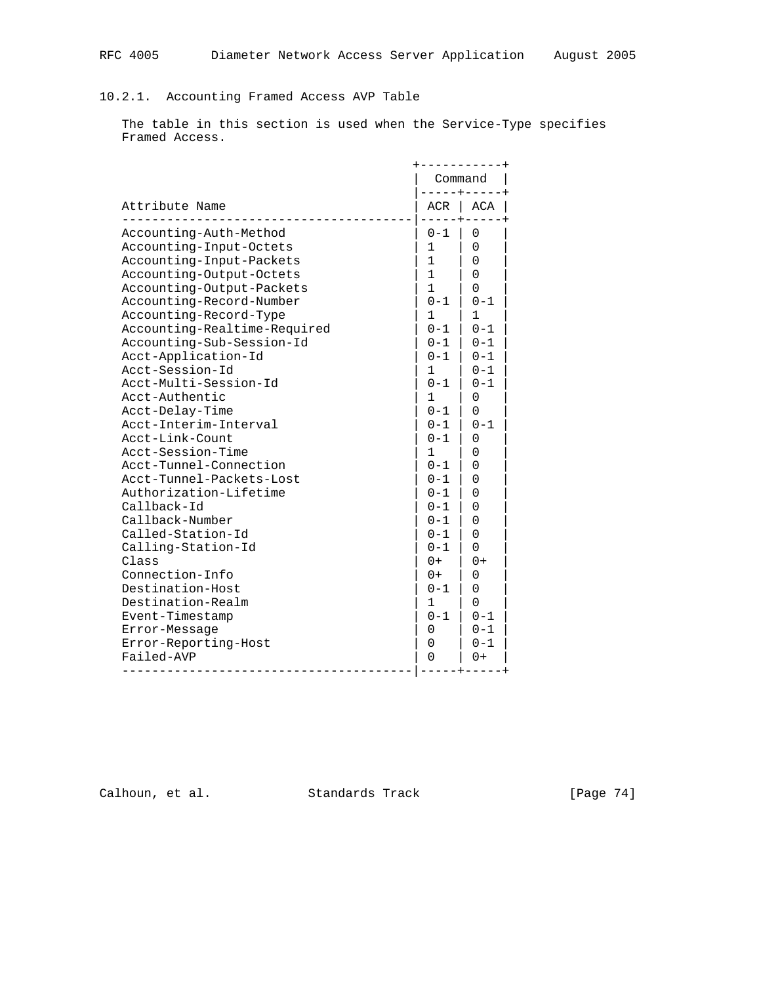## 10.2.1. Accounting Framed Access AVP Table

 The table in this section is used when the Service-Type specifies Framed Access.

| Attribute Name                                                                                                                                                                                                                                                                                                                                                                                                                                                                                                                                                                                                                                                                                                                                 | Command<br>-----+---                                                                                                                                                                                                                                                                                                       |                                                                                                                                                                                                                                                                                 |
|------------------------------------------------------------------------------------------------------------------------------------------------------------------------------------------------------------------------------------------------------------------------------------------------------------------------------------------------------------------------------------------------------------------------------------------------------------------------------------------------------------------------------------------------------------------------------------------------------------------------------------------------------------------------------------------------------------------------------------------------|----------------------------------------------------------------------------------------------------------------------------------------------------------------------------------------------------------------------------------------------------------------------------------------------------------------------------|---------------------------------------------------------------------------------------------------------------------------------------------------------------------------------------------------------------------------------------------------------------------------------|
|                                                                                                                                                                                                                                                                                                                                                                                                                                                                                                                                                                                                                                                                                                                                                | $ACR$                                                                                                                                                                                                                                                                                                                      | ACA                                                                                                                                                                                                                                                                             |
| Accounting-Auth-Method<br>Accounting-Input-Octets<br>Accounting-Input-Packets<br>Accounting-Output-Octets<br>Accounting-Output-Packets<br>Accounting-Record-Number<br>Accounting-Record-Type<br>Accounting-Realtime-Required<br>Accounting-Sub-Session-Id<br>Acct-Application-Id<br>Acct-Session-Id<br>Acct-Multi-Session-Id<br>Acct-Authentic<br>Acct-Delay-Time<br>Acct-Interim-Interval<br>Acct-Link-Count<br>Acct-Session-Time<br>Acct-Tunnel-Connection<br>Acct-Tunnel-Packets-Lost<br>Authorization-Lifetime<br>Callback-Id<br>Callback-Number<br>Called-Station-Id<br>Calling-Station-Id<br>Class<br>Connection-Info<br>Destination-Host<br>Destination-Realm<br>Event-Timestamp<br>Error-Message<br>Error-Reporting-Host<br>Failed-AVP | $0 - 1$<br>1<br>$\mathbf{1}$<br>$\mathbf{1}$<br>$\mathbf{1}$<br>$0 - 1$<br>1<br>$0 - 1$<br>$0 - 1$<br>$0 - 1$<br>$\mathbf 1$<br>$0 - 1$<br>1<br>$0 - 1$<br>$0 - 1$<br>$0 - 1$<br>1.<br>$0 - 1$<br>$0 - 1$<br>$0 - 1$<br>$0 - 1$<br>$0 - 1$<br>$0 - 1$<br>$0 - 1$<br>$0+$<br>$0+$<br>$0 - 1$<br>1<br>$0 - 1$<br>0<br>0<br>0 | 0<br>0<br>0<br>$\Omega$<br>0<br>$0 - 1$<br>1<br>$0 - 1$<br>$0 - 1$<br>$0 - 1$<br>$0 - 1$<br>$0 - 1$<br>0<br>0<br>$0 - 1$<br>0<br>0<br>0<br>$\Omega$<br>$\Omega$<br>$\Omega$<br>$\Omega$<br>$\Omega$<br>$\Omega$<br>$0+$<br>0<br>0<br>0<br>$0 - 1$<br>$0 - 1$<br>$0 - 1$<br>$0+$ |

Calhoun, et al. Standards Track [Page 74]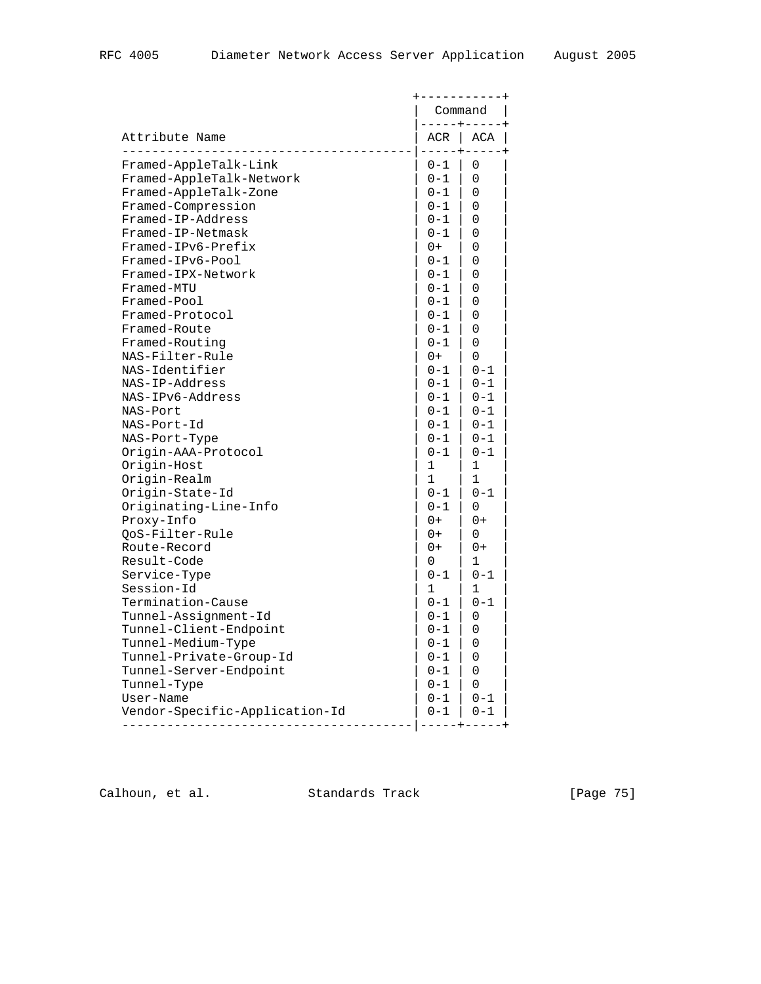| Attribute Name           |         | --------<br>Command       |  |
|--------------------------|---------|---------------------------|--|
|                          |         | -----+----<br>$ACR$ $ACA$ |  |
| Framed-AppleTalk-Link    | 0-1     | 0                         |  |
| Framed-AppleTalk-Network | $0 - 1$ | 0                         |  |
| Framed-AppleTalk-Zone    | $0 - 1$ | $\Omega$                  |  |
| Framed-Compression       | $0 - 1$ | $\Omega$                  |  |
| Framed-IP-Address        | $0 - 1$ | 0                         |  |
| Framed-IP-Netmask        | $0 - 1$ | 0                         |  |
| Framed-IPv6-Prefix       | $0+$    | 0                         |  |
| Framed-IPv6-Pool         | $0 - 1$ | 0                         |  |
| Framed-IPX-Network       | 0-1     | 0                         |  |
| Framed-MTU               | $0 - 1$ | 0                         |  |
| Framed-Pool              | $0 - 1$ | 0                         |  |
| Framed-Protocol          | $0 - 1$ | 0                         |  |
| Framed-Route             | $0 - 1$ | 0                         |  |
| Framed-Routing           | $0 - 1$ | $\Omega$                  |  |
| NAS-Filter-Rule          | $0+$    | $\Omega$                  |  |
| NAS-Identifier           | 0-1     | $0 - 1$                   |  |
| NAS-IP-Address           | $0 - 1$ | $0 - 1$                   |  |
| NAS-IPv6-Address         | $0 - 1$ | $0 - 1$                   |  |
| NAS-Port                 | $0-1$   | $0 - 1$                   |  |
| NAS-Port-Id              | $0 - 1$ | $0 - 1$                   |  |
| NAS-Port-Type            | $0 - 1$ | $0 - 1$                   |  |
| Origin-AAA-Protocol      | $0 - 1$ | $0 - 1$                   |  |
| Origin-Host              | 1       | 1                         |  |
| Origin-Realm             | 1       | $\mathbf{1}$              |  |
| Origin-State-Id          | $0 - 1$ | $0 - 1$                   |  |
| Originating-Line-Info    | 0-1     | 0                         |  |
| Proxy-Info               | $0+$    | $0+$                      |  |
| QoS-Filter-Rule          | $0+$    | $\Omega$                  |  |
| Route-Record             | 0+      | $0+$                      |  |
| Result-Code              | 0       | 1                         |  |
| Service-Type             | $0 - 1$ | $0 - 1$                   |  |
| Session-Id               | 1       | 1                         |  |
| Termination-Cause        | $0 - 1$ | $0 - 1$                   |  |
| Tunnel-Assignment-Id     | $0 - 1$ | 0                         |  |
| Tunnel-Client-Endpoint   | 0-1     | 0                         |  |
| Tunnel-Medium-Type       | $0 - 1$ | 0                         |  |
| Tunnel-Private-Group-Id  | $0 - 1$ | 0                         |  |
| Tunnel-Server-Endpoint   | $0 - 1$ | 0                         |  |
| Tunnel-Type              | $0-1$   | 0                         |  |
| User-Name                | $0 - 1$ | $0 - 1$                   |  |
|                          |         |                           |  |

Calhoun, et al. Standards Track [Page 75]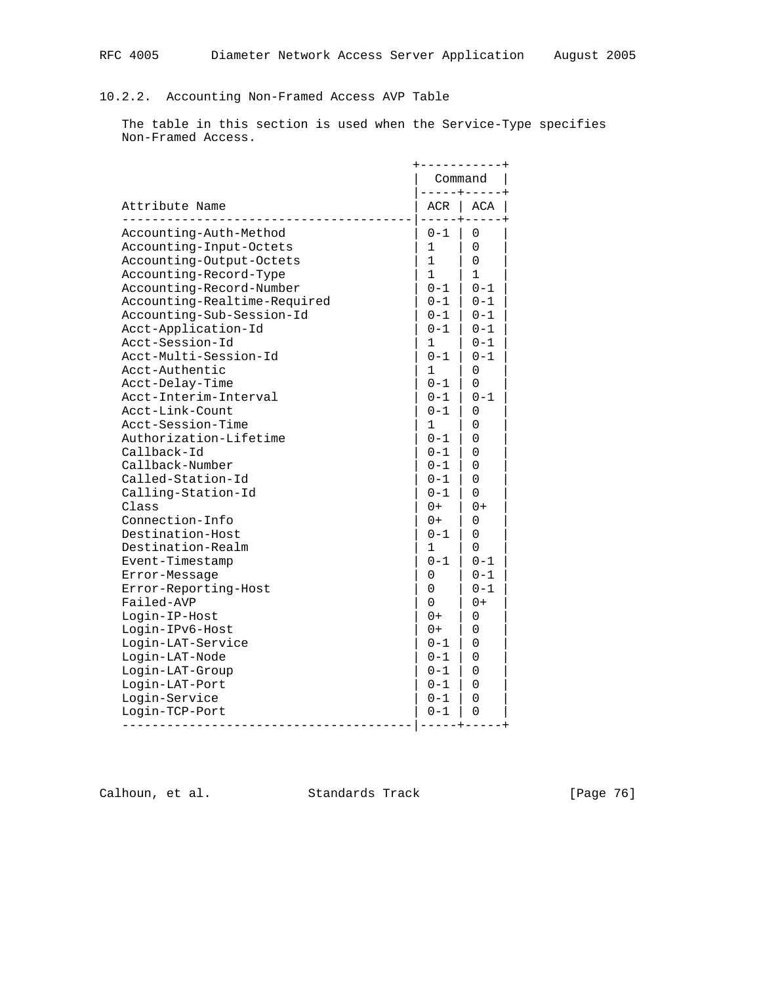## 10.2.2. Accounting Non-Framed Access AVP Table

 The table in this section is used when the Service-Type specifies Non-Framed Access.

| Attribute Name               | Command<br>$- - - - + - - - -$ |              |
|------------------------------|--------------------------------|--------------|
|                              | ACR                            | <b>ACA</b>   |
| Accounting-Auth-Method       | $0 - 1$                        | 0            |
| Accounting-Input-Octets      | 1                              | $\Omega$     |
| Accounting-Output-Octets     | 1                              | $\Omega$     |
| Accounting-Record-Type       | $\mathbf{1}$                   | $\mathbf{1}$ |
| Accounting-Record-Number     | $0 - 1$                        | $0 - 1$      |
| Accounting-Realtime-Required | $0 - 1$                        | $0 - 1$      |
| Accounting-Sub-Session-Id    | $0 - 1$                        | $0 - 1$      |
| Acct-Application-Id          | $0 - 1$                        | $0 - 1$      |
| Acct-Session-Id              | $1 \quad$                      | $0 - 1$      |
| Acct-Multi-Session-Id        | $0 - 1$                        | $0 - 1$      |
| Acct-Authentic               | 1                              | 0            |
| Acct-Delay-Time              | $0 - 1$                        | 0            |
| Acct-Interim-Interval        | $0 - 1$                        | $0 - 1$      |
| Acct-Link-Count              | $0 - 1$                        | 0            |
| Acct-Session-Time            | 1                              | $\Omega$     |
| Authorization-Lifetime       | $0 - 1$                        | 0            |
| Callback-Id                  | $0 - 1$                        | 0            |
| Callback-Number              | 0-1                            | 0            |
| Called-Station-Id            | $0 - 1$                        | $\Omega$     |
| Calling-Station-Id           | $0 - 1$                        | $\Omega$     |
| Class                        | $0+$                           | $0+$         |
| Connection-Info              | $0+$                           | 0            |
| Destination-Host             | $0 - 1$                        | $\Omega$     |
| Destination-Realm            | 1                              | 0            |
| Event-Timestamp              | $0 - 1$                        | $0 - 1$      |
| Error-Message                | 0                              | $0 - 1$      |
| Error-Reporting-Host         | 0                              | $0 - 1$      |
| Failed-AVP                   | $\Omega$                       | $0+$         |
| Login-IP-Host                | $0+$                           | 0            |
| Login-IPv6-Host              | $0+$                           | 0            |
| Login-LAT-Service            | $0 - 1$                        | 0            |
| Login-LAT-Node               | $0 - 1$                        | $\Omega$     |
| Login-LAT-Group              | $0 - 1$                        | $\Omega$     |
| Login-LAT-Port               | $0 - 1$                        | 0            |
| Login-Service                | $0 - 1$                        | 0            |
| Login-TCP-Port               | $0 - 1$                        | 0            |

Calhoun, et al. Standards Track [Page 76]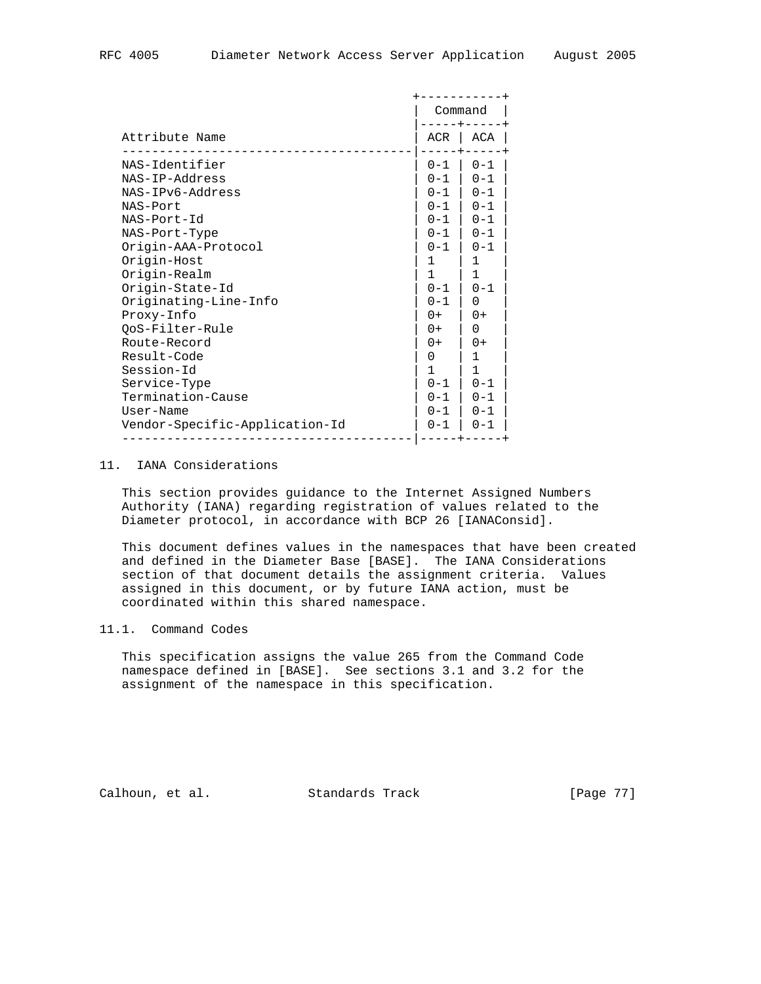|                                |         | Command |  |
|--------------------------------|---------|---------|--|
| Attribute Name                 | ACR     | ACA     |  |
| NAS-Identifier                 | $0 - 1$ | $0 - 1$ |  |
| NAS-IP-Address                 | $0 - 1$ | $0 - 1$ |  |
| NAS-IPv6-Address               | $0 - 1$ | $0 - 1$ |  |
| NAS-Port                       | $0 - 1$ | $0 - 1$ |  |
| NAS-Port-Id                    | $0 - 1$ | $0 - 1$ |  |
| NAS-Port-Type                  | $0 - 1$ | $0 - 1$ |  |
| Origin-AAA-Protocol            | $0 - 1$ | $0 - 1$ |  |
| Origin-Host                    | 1       | 1       |  |
| Origin-Realm                   | 1       | 1       |  |
| Origin-State-Id                | $0 - 1$ | $0 - 1$ |  |
| Originating-Line-Info          | $0 - 1$ | 0       |  |
| Proxy-Info                     | $0+$    | $0+$    |  |
| OoS-Filter-Rule                | $0+$    | 0       |  |
| Route-Record                   | $0+$    | $0+$    |  |
| Result-Code                    | 0       | 1       |  |
| Session-Id                     | 1       | 1       |  |
| Service-Type                   | $0 - 1$ | $0 - 1$ |  |
| Termination-Cause              | $0 - 1$ | $0 - 1$ |  |
| User-Name                      | $0 - 1$ | $0 - 1$ |  |
| Vendor-Specific-Application-Id | $0 - 1$ | $0 - 1$ |  |

### 11. IANA Considerations

 This section provides guidance to the Internet Assigned Numbers Authority (IANA) regarding registration of values related to the Diameter protocol, in accordance with BCP 26 [IANAConsid].

 This document defines values in the namespaces that have been created and defined in the Diameter Base [BASE]. The IANA Considerations section of that document details the assignment criteria. Values assigned in this document, or by future IANA action, must be coordinated within this shared namespace.

#### 11.1. Command Codes

 This specification assigns the value 265 from the Command Code namespace defined in [BASE]. See sections 3.1 and 3.2 for the assignment of the namespace in this specification.

Calhoun, et al. Standards Track [Page 77]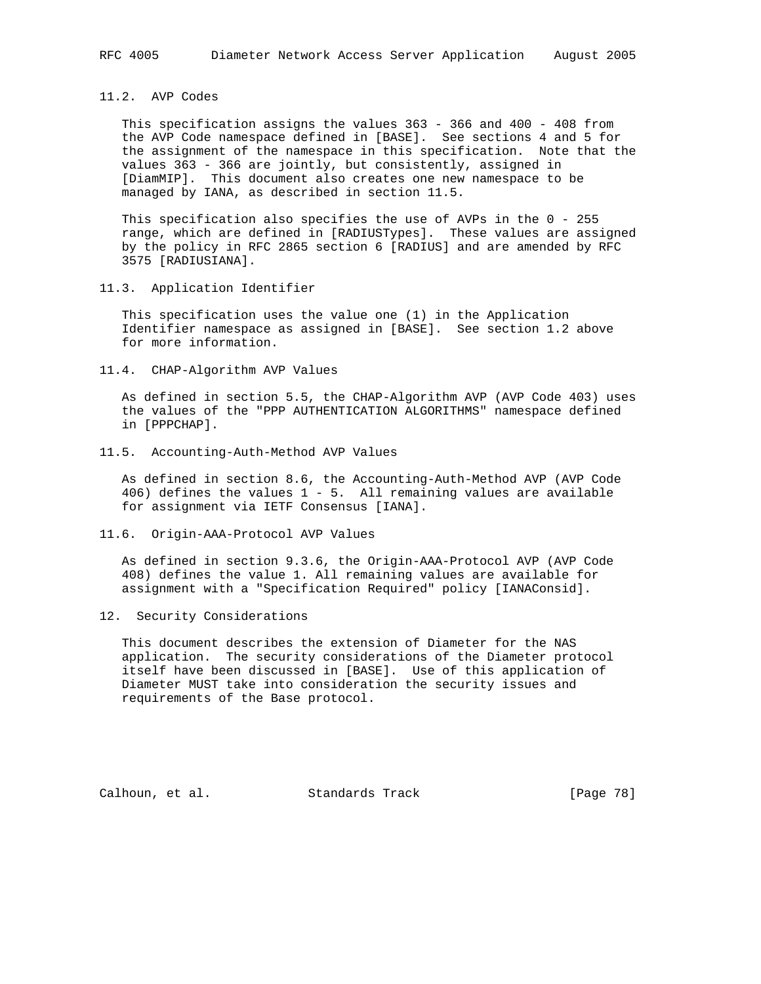### 11.2. AVP Codes

 This specification assigns the values 363 - 366 and 400 - 408 from the AVP Code namespace defined in [BASE]. See sections 4 and 5 for the assignment of the namespace in this specification. Note that the values 363 - 366 are jointly, but consistently, assigned in [DiamMIP]. This document also creates one new namespace to be managed by IANA, as described in section 11.5.

 This specification also specifies the use of AVPs in the 0 - 255 range, which are defined in [RADIUSTypes]. These values are assigned by the policy in RFC 2865 section 6 [RADIUS] and are amended by RFC 3575 [RADIUSIANA].

11.3. Application Identifier

 This specification uses the value one (1) in the Application Identifier namespace as assigned in [BASE]. See section 1.2 above for more information.

11.4. CHAP-Algorithm AVP Values

 As defined in section 5.5, the CHAP-Algorithm AVP (AVP Code 403) uses the values of the "PPP AUTHENTICATION ALGORITHMS" namespace defined in [PPPCHAP].

11.5. Accounting-Auth-Method AVP Values

 As defined in section 8.6, the Accounting-Auth-Method AVP (AVP Code 406) defines the values 1 - 5. All remaining values are available for assignment via IETF Consensus [IANA].

11.6. Origin-AAA-Protocol AVP Values

 As defined in section 9.3.6, the Origin-AAA-Protocol AVP (AVP Code 408) defines the value 1. All remaining values are available for assignment with a "Specification Required" policy [IANAConsid].

12. Security Considerations

 This document describes the extension of Diameter for the NAS application. The security considerations of the Diameter protocol itself have been discussed in [BASE]. Use of this application of Diameter MUST take into consideration the security issues and requirements of the Base protocol.

Calhoun, et al. Standards Track [Page 78]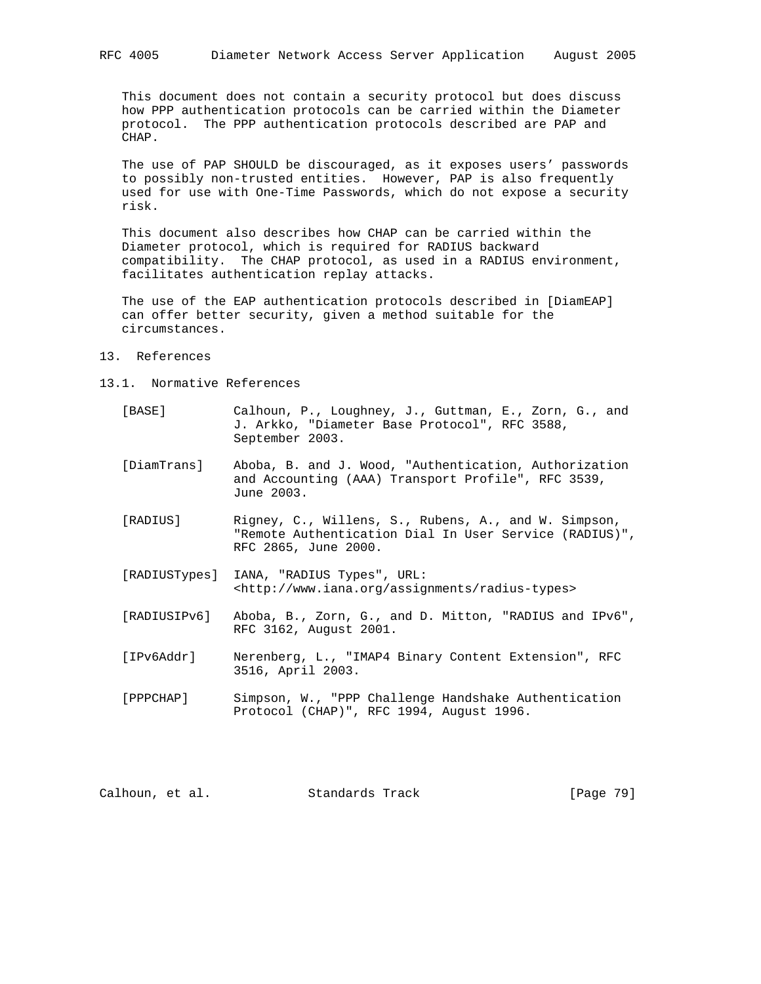This document does not contain a security protocol but does discuss how PPP authentication protocols can be carried within the Diameter protocol. The PPP authentication protocols described are PAP and CHAP.

 The use of PAP SHOULD be discouraged, as it exposes users' passwords to possibly non-trusted entities. However, PAP is also frequently used for use with One-Time Passwords, which do not expose a security risk.

 This document also describes how CHAP can be carried within the Diameter protocol, which is required for RADIUS backward compatibility. The CHAP protocol, as used in a RADIUS environment, facilitates authentication replay attacks.

 The use of the EAP authentication protocols described in [DiamEAP] can offer better security, given a method suitable for the circumstances.

- 13. References
- 13.1. Normative References
	- [BASE] Calhoun, P., Loughney, J., Guttman, E., Zorn, G., and J. Arkko, "Diameter Base Protocol", RFC 3588, September 2003.
	- [DiamTrans] Aboba, B. and J. Wood, "Authentication, Authorization and Accounting (AAA) Transport Profile", RFC 3539, June 2003.
	- [RADIUS] Rigney, C., Willens, S., Rubens, A., and W. Simpson, "Remote Authentication Dial In User Service (RADIUS)", RFC 2865, June 2000.
	- [RADIUSTypes] IANA, "RADIUS Types", URL: <http://www.iana.org/assignments/radius-types>
	- [RADIUSIPv6] Aboba, B., Zorn, G., and D. Mitton, "RADIUS and IPv6", RFC 3162, August 2001.
	- [IPv6Addr] Nerenberg, L., "IMAP4 Binary Content Extension", RFC 3516, April 2003.
	- [PPPCHAP] Simpson, W., "PPP Challenge Handshake Authentication Protocol (CHAP)", RFC 1994, August 1996.

| [Page 79]<br>Calhoun, et al.<br>Standards Track |  |
|-------------------------------------------------|--|
|-------------------------------------------------|--|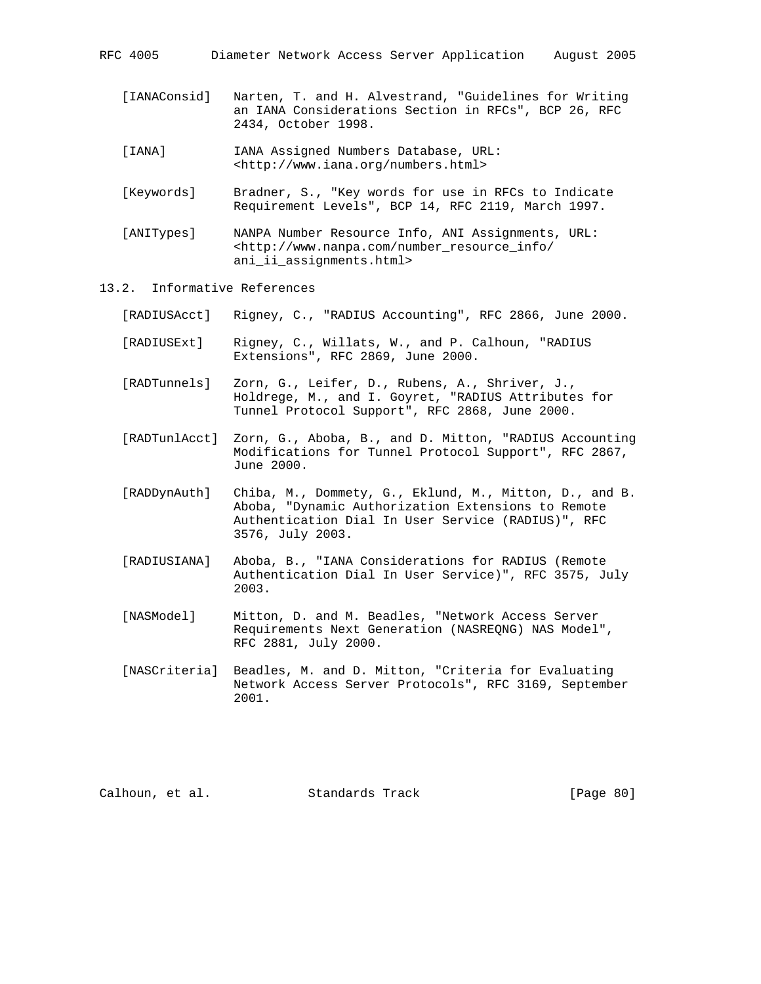- [IANAConsid] Narten, T. and H. Alvestrand, "Guidelines for Writing an IANA Considerations Section in RFCs", BCP 26, RFC 2434, October 1998.
- [IANA] IANA Assigned Numbers Database, URL: <http://www.iana.org/numbers.html>
- [Keywords] Bradner, S., "Key words for use in RFCs to Indicate Requirement Levels", BCP 14, RFC 2119, March 1997.
- [ANITypes] NANPA Number Resource Info, ANI Assignments, URL: <http://www.nanpa.com/number\_resource\_info/ ani\_ii\_assignments.html>
- 13.2. Informative References
	- [RADIUSAcct] Rigney, C., "RADIUS Accounting", RFC 2866, June 2000.
	- [RADIUSExt] Rigney, C., Willats, W., and P. Calhoun, "RADIUS Extensions", RFC 2869, June 2000.
	- [RADTunnels] Zorn, G., Leifer, D., Rubens, A., Shriver, J., Holdrege, M., and I. Goyret, "RADIUS Attributes for Tunnel Protocol Support", RFC 2868, June 2000.
	- [RADTunlAcct] Zorn, G., Aboba, B., and D. Mitton, "RADIUS Accounting Modifications for Tunnel Protocol Support", RFC 2867, June 2000.
	- [RADDynAuth] Chiba, M., Dommety, G., Eklund, M., Mitton, D., and B. Aboba, "Dynamic Authorization Extensions to Remote Authentication Dial In User Service (RADIUS)", RFC 3576, July 2003.
	- [RADIUSIANA] Aboba, B., "IANA Considerations for RADIUS (Remote Authentication Dial In User Service)", RFC 3575, July 2003.
	- [NASModel] Mitton, D. and M. Beadles, "Network Access Server Requirements Next Generation (NASREQNG) NAS Model", RFC 2881, July 2000.
	- [NASCriteria] Beadles, M. and D. Mitton, "Criteria for Evaluating Network Access Server Protocols", RFC 3169, September 2001.

Calhoun, et al. Standards Track [Page 80]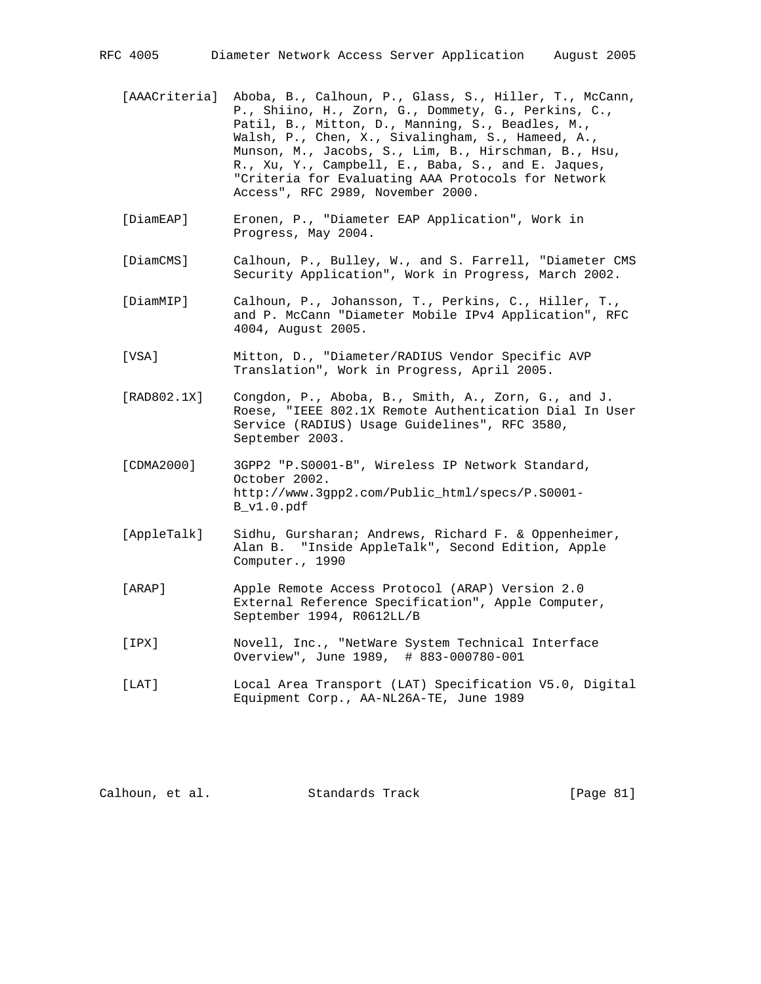- [AAACriteria] Aboba, B., Calhoun, P., Glass, S., Hiller, T., McCann, P., Shiino, H., Zorn, G., Dommety, G., Perkins, C., Patil, B., Mitton, D., Manning, S., Beadles, M., Walsh, P., Chen, X., Sivalingham, S., Hameed, A., Munson, M., Jacobs, S., Lim, B., Hirschman, B., Hsu, R., Xu, Y., Campbell, E., Baba, S., and E. Jaques, "Criteria for Evaluating AAA Protocols for Network Access", RFC 2989, November 2000.
- [DiamEAP] Eronen, P., "Diameter EAP Application", Work in Progress, May 2004.
- [DiamCMS] Calhoun, P., Bulley, W., and S. Farrell, "Diameter CMS Security Application", Work in Progress, March 2002.
- [DiamMIP] Calhoun, P., Johansson, T., Perkins, C., Hiller, T., and P. McCann "Diameter Mobile IPv4 Application", RFC 4004, August 2005.
- [VSA] Mitton, D., "Diameter/RADIUS Vendor Specific AVP Translation", Work in Progress, April 2005.
- [RAD802.1X] Congdon, P., Aboba, B., Smith, A., Zorn, G., and J. Roese, "IEEE 802.1X Remote Authentication Dial In User Service (RADIUS) Usage Guidelines", RFC 3580, September 2003.
- [CDMA2000] 3GPP2 "P.S0001-B", Wireless IP Network Standard, October 2002. http://www.3gpp2.com/Public\_html/specs/P.S0001- B\_v1.0.pdf
- [AppleTalk] Sidhu, Gursharan; Andrews, Richard F. & Oppenheimer, Alan B. "Inside AppleTalk", Second Edition, Apple Computer., 1990
- [ARAP] Apple Remote Access Protocol (ARAP) Version 2.0 External Reference Specification", Apple Computer, September 1994, R0612LL/B
- [IPX] Novell, Inc., "NetWare System Technical Interface Overview", June 1989, # 883-000780-001
- [LAT] Local Area Transport (LAT) Specification V5.0, Digital Equipment Corp., AA-NL26A-TE, June 1989

Calhoun, et al. Standards Track [Page 81]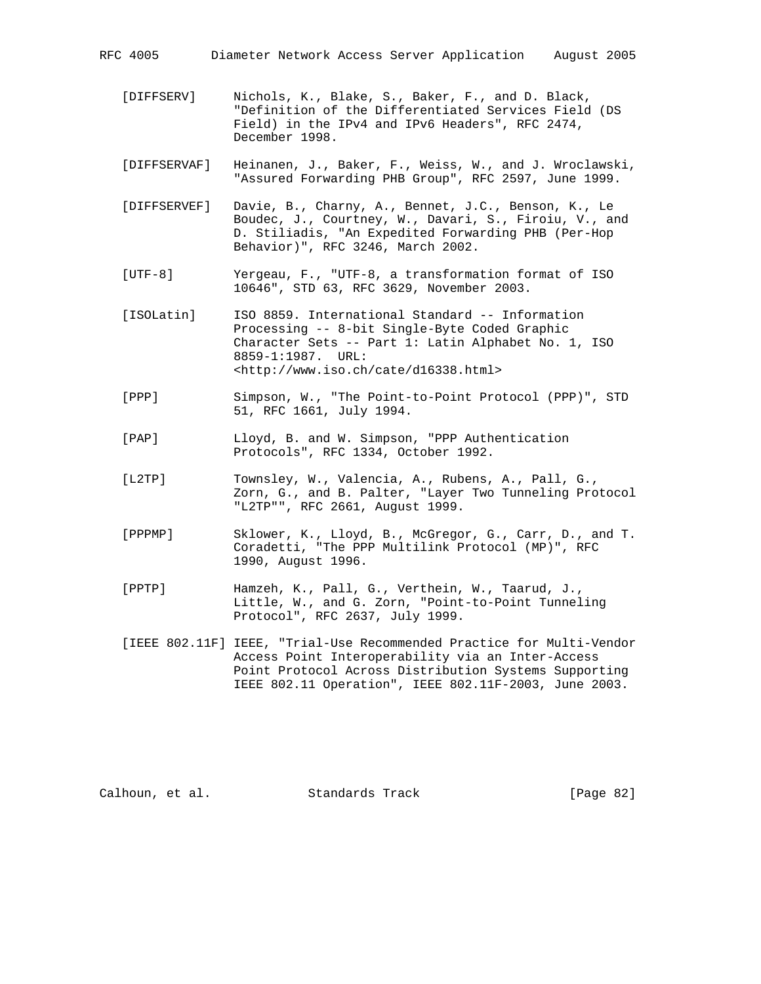- [DIFFSERV] Nichols, K., Blake, S., Baker, F., and D. Black, "Definition of the Differentiated Services Field (DS Field) in the IPv4 and IPv6 Headers", RFC 2474, December 1998.
- [DIFFSERVAF] Heinanen, J., Baker, F., Weiss, W., and J. Wroclawski, "Assured Forwarding PHB Group", RFC 2597, June 1999.
- [DIFFSERVEF] Davie, B., Charny, A., Bennet, J.C., Benson, K., Le Boudec, J., Courtney, W., Davari, S., Firoiu, V., and D. Stiliadis, "An Expedited Forwarding PHB (Per-Hop Behavior)", RFC 3246, March 2002.
- [UTF-8] Yergeau, F., "UTF-8, a transformation format of ISO 10646", STD 63, RFC 3629, November 2003.
- [ISOLatin] ISO 8859. International Standard -- Information Processing -- 8-bit Single-Byte Coded Graphic Character Sets -- Part 1: Latin Alphabet No. 1, ISO 8859-1:1987. URL: <http://www.iso.ch/cate/d16338.html>
- [PPP] Simpson, W., "The Point-to-Point Protocol (PPP)", STD 51, RFC 1661, July 1994.
- [PAP] Lloyd, B. and W. Simpson, "PPP Authentication Protocols", RFC 1334, October 1992.
- [L2TP] Townsley, W., Valencia, A., Rubens, A., Pall, G., Zorn, G., and B. Palter, "Layer Two Tunneling Protocol "L2TP"", RFC 2661, August 1999.
- [PPPMP] Sklower, K., Lloyd, B., McGregor, G., Carr, D., and T. Coradetti, "The PPP Multilink Protocol (MP)", RFC 1990, August 1996.
- [PPTP] Hamzeh, K., Pall, G., Verthein, W., Taarud, J., Little, W., and G. Zorn, "Point-to-Point Tunneling Protocol", RFC 2637, July 1999.
- [IEEE 802.11F] IEEE, "Trial-Use Recommended Practice for Multi-Vendor Access Point Interoperability via an Inter-Access Point Protocol Across Distribution Systems Supporting IEEE 802.11 Operation", IEEE 802.11F-2003, June 2003.

Calhoun, et al. Standards Track [Page 82]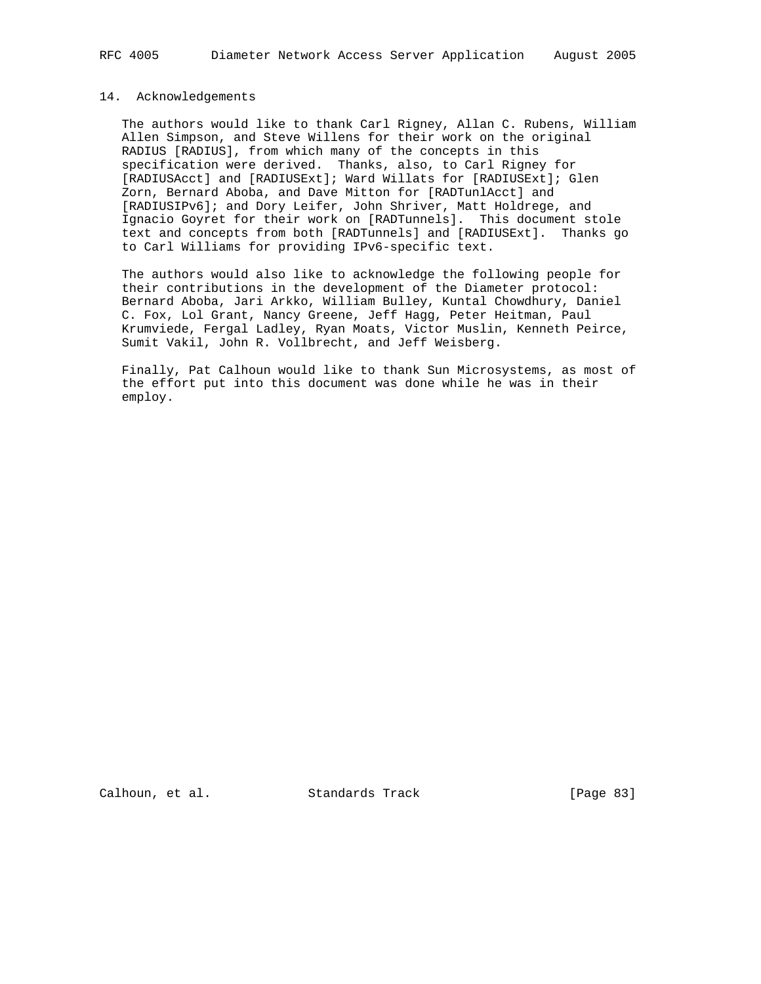#### 14. Acknowledgements

 The authors would like to thank Carl Rigney, Allan C. Rubens, William Allen Simpson, and Steve Willens for their work on the original RADIUS [RADIUS], from which many of the concepts in this specification were derived. Thanks, also, to Carl Rigney for [RADIUSAcct] and [RADIUSExt]; Ward Willats for [RADIUSExt]; Glen Zorn, Bernard Aboba, and Dave Mitton for [RADTunlAcct] and [RADIUSIPv6]; and Dory Leifer, John Shriver, Matt Holdrege, and Ignacio Goyret for their work on [RADTunnels]. This document stole text and concepts from both [RADTunnels] and [RADIUSExt]. Thanks go to Carl Williams for providing IPv6-specific text.

 The authors would also like to acknowledge the following people for their contributions in the development of the Diameter protocol: Bernard Aboba, Jari Arkko, William Bulley, Kuntal Chowdhury, Daniel C. Fox, Lol Grant, Nancy Greene, Jeff Hagg, Peter Heitman, Paul Krumviede, Fergal Ladley, Ryan Moats, Victor Muslin, Kenneth Peirce, Sumit Vakil, John R. Vollbrecht, and Jeff Weisberg.

 Finally, Pat Calhoun would like to thank Sun Microsystems, as most of the effort put into this document was done while he was in their employ.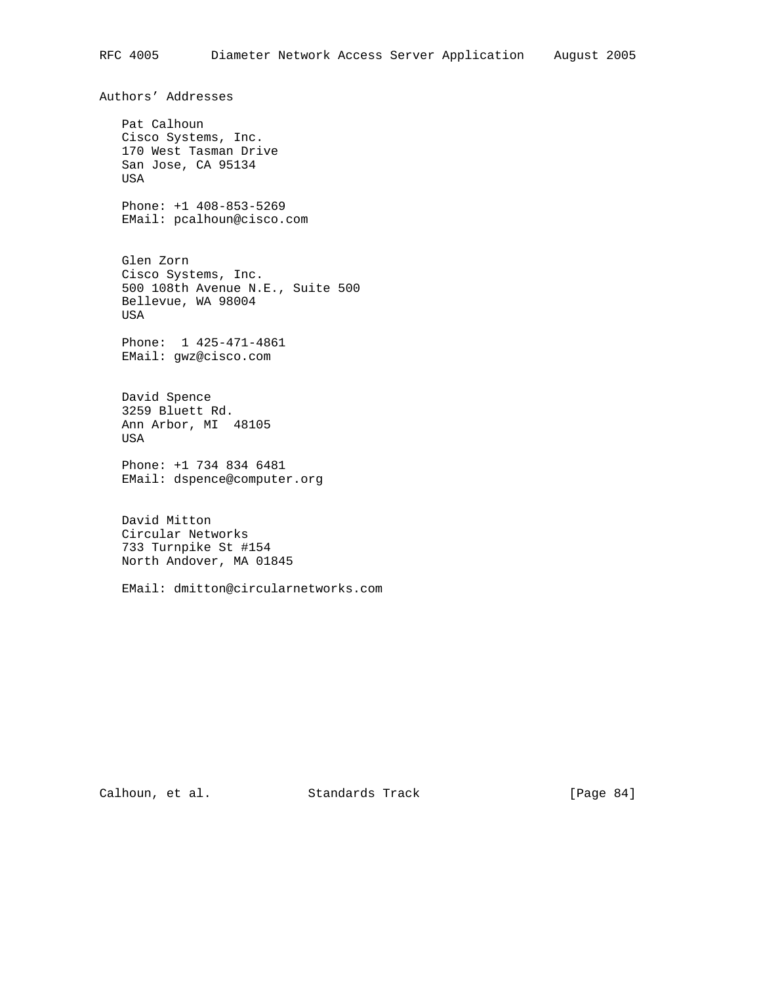Authors' Addresses Pat Calhoun Cisco Systems, Inc. 170 West Tasman Drive San Jose, CA 95134 USA Phone: +1 408-853-5269 EMail: pcalhoun@cisco.com Glen Zorn Cisco Systems, Inc. 500 108th Avenue N.E., Suite 500 Bellevue, WA 98004 USA Phone: 1 425-471-4861 EMail: gwz@cisco.com David Spence 3259 Bluett Rd. Ann Arbor, MI 48105 USA Phone: +1 734 834 6481 EMail: dspence@computer.org David Mitton

 Circular Networks 733 Turnpike St #154 North Andover, MA 01845

EMail: dmitton@circularnetworks.com

Calhoun, et al. Standards Track [Page 84]